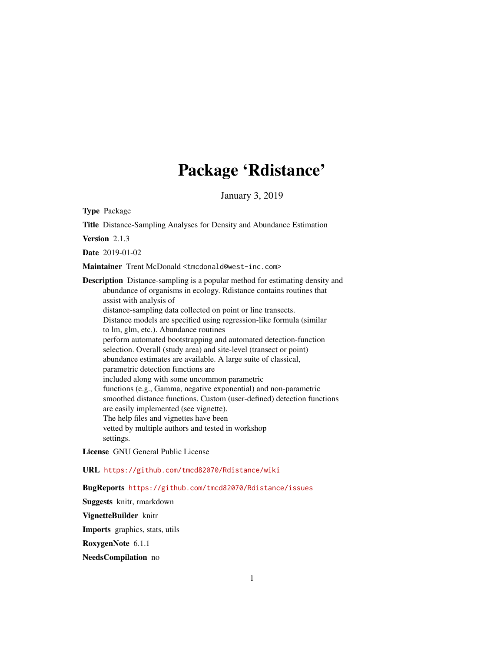# Package 'Rdistance'

January 3, 2019

<span id="page-0-0"></span>Type Package

Title Distance-Sampling Analyses for Density and Abundance Estimation Version 2.1.3 Date 2019-01-02 Maintainer Trent McDonald <tmcdonald@west-inc.com> Description Distance-sampling is a popular method for estimating density and abundance of organisms in ecology. Rdistance contains routines that assist with analysis of distance-sampling data collected on point or line transects. Distance models are specified using regression-like formula (similar to lm, glm, etc.). Abundance routines perform automated bootstrapping and automated detection-function selection. Overall (study area) and site-level (transect or point) abundance estimates are available. A large suite of classical, parametric detection functions are included along with some uncommon parametric functions (e.g., Gamma, negative exponential) and non-parametric smoothed distance functions. Custom (user-defined) detection functions are easily implemented (see vignette). The help files and vignettes have been vetted by multiple authors and tested in workshop settings.

License GNU General Public License

URL <https://github.com/tmcd82070/Rdistance/wiki>

BugReports <https://github.com/tmcd82070/Rdistance/issues>

Suggests knitr, rmarkdown VignetteBuilder knitr Imports graphics, stats, utils RoxygenNote 6.1.1 NeedsCompilation no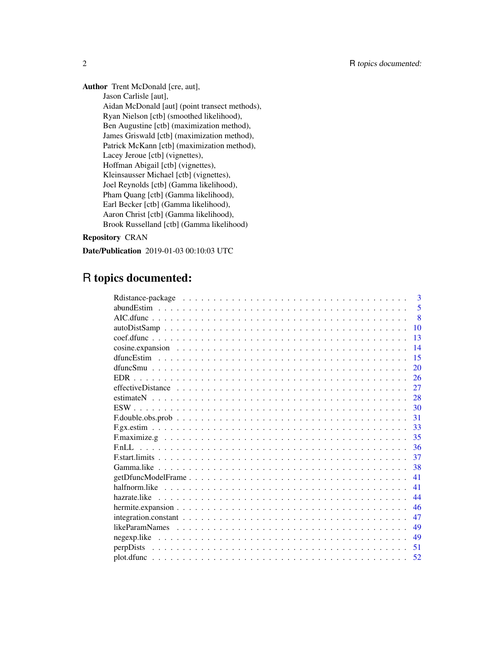Author Trent McDonald [cre, aut], Jason Carlisle [aut], Aidan McDonald [aut] (point transect methods), Ryan Nielson [ctb] (smoothed likelihood), Ben Augustine [ctb] (maximization method), James Griswald [ctb] (maximization method), Patrick McKann [ctb] (maximization method), Lacey Jeroue [ctb] (vignettes), Hoffman Abigail [ctb] (vignettes), Kleinsausser Michael [ctb] (vignettes), Joel Reynolds [ctb] (Gamma likelihood), Pham Quang [ctb] (Gamma likelihood), Earl Becker [ctb] (Gamma likelihood), Aaron Christ [ctb] (Gamma likelihood), Brook Russelland [ctb] (Gamma likelihood)

## Repository CRAN

Date/Publication 2019-01-03 00:10:03 UTC

# R topics documented:

|                                                                                                          | $\mathbf{3}$   |
|----------------------------------------------------------------------------------------------------------|----------------|
|                                                                                                          | 5              |
|                                                                                                          | $\overline{8}$ |
|                                                                                                          | 10             |
|                                                                                                          | 13             |
|                                                                                                          | 14             |
|                                                                                                          | 15             |
|                                                                                                          | 20             |
|                                                                                                          | 26             |
|                                                                                                          | 27             |
|                                                                                                          | 28             |
|                                                                                                          | 30             |
|                                                                                                          | 31             |
|                                                                                                          | 33             |
|                                                                                                          | 35             |
|                                                                                                          | 36             |
|                                                                                                          | 37             |
|                                                                                                          | 38             |
| $getDfuncModelFrame \ldots \ldots \ldots \ldots \ldots \ldots \ldots \ldots \ldots \ldots \ldots \ldots$ | 41             |
|                                                                                                          | 41             |
|                                                                                                          | 44             |
|                                                                                                          | 46             |
|                                                                                                          | 47             |
|                                                                                                          | 49             |
|                                                                                                          | 49             |
|                                                                                                          | 51             |
|                                                                                                          | 52             |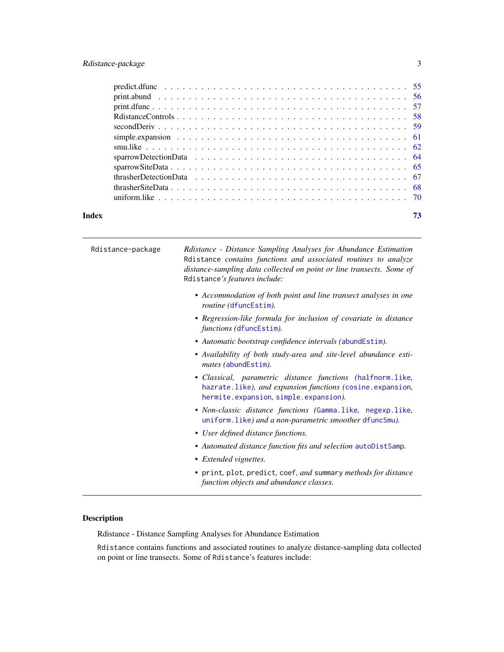## <span id="page-2-0"></span>Rdistance-package 3

| Index | 73 |
|-------|----|

| Rdistance-package | Rdistance - Distance Sampling Analyses for Abundance Estimation<br>Rdistance contains functions and associated routines to analyze<br>distance-sampling data collected on point or line transects. Some of<br>Rdistance's features include: |
|-------------------|---------------------------------------------------------------------------------------------------------------------------------------------------------------------------------------------------------------------------------------------|
|                   | • Accommodation of both point and line transect analyses in one<br>routine (dfuncEstim).                                                                                                                                                    |
|                   | • Regression-like formula for inclusion of covariate in distance<br>functions (dfuncEstim).                                                                                                                                                 |
|                   | • Automatic bootstrap confidence intervals (abundEstim).                                                                                                                                                                                    |
|                   | • Availability of both study-area and site-level abundance esti-<br>mates (abundEstim).                                                                                                                                                     |
|                   | · Classical, parametric distance functions (halfnorm.like,<br>hazrate.like), and expansion functions (cosine.expansion,<br>hermite.expansion, simple.expansion).                                                                            |
|                   | • Non-classic distance functions (Gamma.like, negexp.like,<br>uniform. like) and a non-parametric smoother dfuncSmu).                                                                                                                       |
|                   | • User defined distance functions.                                                                                                                                                                                                          |
|                   | • Automated distance function fits and selection autoDistSamp.                                                                                                                                                                              |
|                   | • Extended vignettes.                                                                                                                                                                                                                       |
|                   | • print, plot, predict, coef, and summary methods for distance<br>function objects and abundance classes.                                                                                                                                   |

## Description

Rdistance - Distance Sampling Analyses for Abundance Estimation

Rdistance contains functions and associated routines to analyze distance-sampling data collected on point or line transects. Some of Rdistance's features include: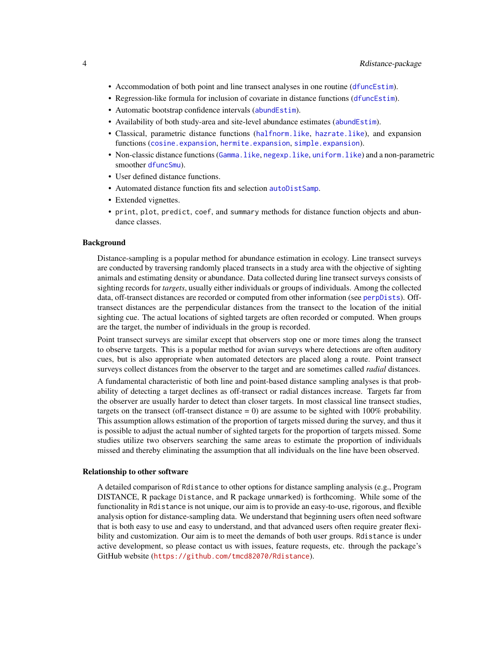- Accommodation of both point and line transect analyses in one routine ([dfuncEstim](#page-14-1)).
- Regression-like formula for inclusion of covariate in distance functions ([dfuncEstim](#page-14-1)).
- Automatic bootstrap confidence intervals ([abundEstim](#page-4-1)).
- Availability of both study-area and site-level abundance estimates ([abundEstim](#page-4-1)).
- Classical, parametric distance functions ([halfnorm.like](#page-40-1), [hazrate.like](#page-43-1)), and expansion functions ([cosine.expansion](#page-13-1), [hermite.expansion](#page-45-1), [simple.expansion](#page-60-1)).
- Non-classic distance functions ([Gamma.like](#page-37-1), [negexp.like](#page-48-1), [uniform.like](#page-69-1)) and a non-parametric smoother [dfuncSmu](#page-19-1)).
- User defined distance functions.
- Automated distance function fits and selection [autoDistSamp](#page-9-1).
- Extended vignettes.
- print, plot, predict, coef, and summary methods for distance function objects and abundance classes.

#### Background

Distance-sampling is a popular method for abundance estimation in ecology. Line transect surveys are conducted by traversing randomly placed transects in a study area with the objective of sighting animals and estimating density or abundance. Data collected during line transect surveys consists of sighting records for *targets*, usually either individuals or groups of individuals. Among the collected data, off-transect distances are recorded or computed from other information (see [perpDists](#page-50-1)). Offtransect distances are the perpendicular distances from the transect to the location of the initial sighting cue. The actual locations of sighted targets are often recorded or computed. When groups are the target, the number of individuals in the group is recorded.

Point transect surveys are similar except that observers stop one or more times along the transect to observe targets. This is a popular method for avian surveys where detections are often auditory cues, but is also appropriate when automated detectors are placed along a route. Point transect surveys collect distances from the observer to the target and are sometimes called *radial* distances.

A fundamental characteristic of both line and point-based distance sampling analyses is that probability of detecting a target declines as off-transect or radial distances increase. Targets far from the observer are usually harder to detect than closer targets. In most classical line transect studies, targets on the transect (off-transect distance  $= 0$ ) are assume to be sighted with 100% probability. This assumption allows estimation of the proportion of targets missed during the survey, and thus it is possible to adjust the actual number of sighted targets for the proportion of targets missed. Some studies utilize two observers searching the same areas to estimate the proportion of individuals missed and thereby eliminating the assumption that all individuals on the line have been observed.

#### Relationship to other software

A detailed comparison of Rdistance to other options for distance sampling analysis (e.g., Program DISTANCE, R package Distance, and R package unmarked) is forthcoming. While some of the functionality in Rdistance is not unique, our aim is to provide an easy-to-use, rigorous, and flexible analysis option for distance-sampling data. We understand that beginning users often need software that is both easy to use and easy to understand, and that advanced users often require greater flexibility and customization. Our aim is to meet the demands of both user groups. Rdistance is under active development, so please contact us with issues, feature requests, etc. through the package's GitHub website (<https://github.com/tmcd82070/Rdistance>).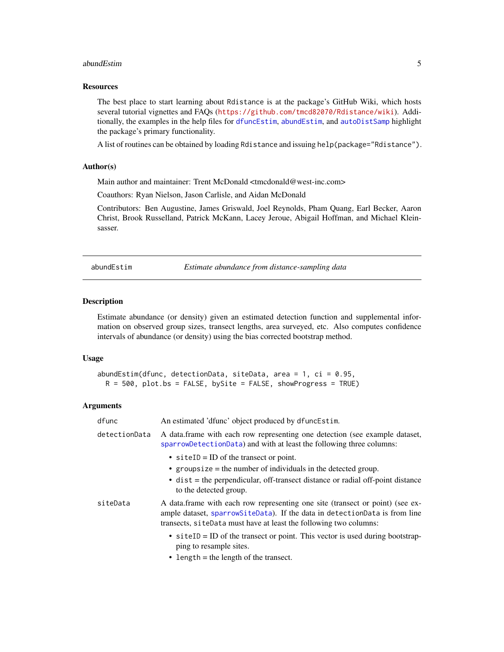#### <span id="page-4-0"></span>abundEstim 5

#### **Resources**

The best place to start learning about Rdistance is at the package's GitHub Wiki, which hosts several tutorial vignettes and FAQs (<https://github.com/tmcd82070/Rdistance/wiki>). Additionally, the examples in the help files for [dfuncEstim](#page-14-1), [abundEstim](#page-4-1), and [autoDistSamp](#page-9-1) highlight the package's primary functionality.

A list of routines can be obtained by loading Rdistance and issuing help(package="Rdistance").

## Author(s)

Main author and maintainer: Trent McDonald <tmcdonald@west-inc.com>

Coauthors: Ryan Nielson, Jason Carlisle, and Aidan McDonald

Contributors: Ben Augustine, James Griswald, Joel Reynolds, Pham Quang, Earl Becker, Aaron Christ, Brook Russelland, Patrick McKann, Lacey Jeroue, Abigail Hoffman, and Michael Kleinsasser.

<span id="page-4-1"></span>abundEstim *Estimate abundance from distance-sampling data*

#### Description

Estimate abundance (or density) given an estimated detection function and supplemental information on observed group sizes, transect lengths, area surveyed, etc. Also computes confidence intervals of abundance (or density) using the bias corrected bootstrap method.

#### Usage

```
abundEstim(dfunc, detectionData, siteData, area = 1, ci = 0.95,
 R = 500, plot.bs = FALSE, bySite = FALSE, showProgress = TRUE)
```
## Arguments

| dfunc         | An estimated 'dfunc' object produced by dfuncEstim.                                                                                                                                                                              |
|---------------|----------------------------------------------------------------------------------------------------------------------------------------------------------------------------------------------------------------------------------|
| detectionData | A data frame with each row representing one detection (see example dataset,<br>sparrowDetectionData) and with at least the following three columns:                                                                              |
|               | $\bullet$ site ID = ID of the transect or point.                                                                                                                                                                                 |
|               | • groupsize $=$ the number of individuals in the detected group.                                                                                                                                                                 |
|               | $\bullet$ dist = the perpendicular, off-transect distance or radial off-point distance<br>to the detected group.                                                                                                                 |
| siteData      | A data frame with each row representing one site (transect or point) (see ex-<br>ample dataset, sparrowSiteData). If the data in detectionData is from line<br>transects, siteData must have at least the following two columns: |
|               | • $\text{site ID} = \text{ID}$ of the transect or point. This vector is used during bootstrap-<br>ping to resample sites.                                                                                                        |
|               | • length $=$ the length of the transect.                                                                                                                                                                                         |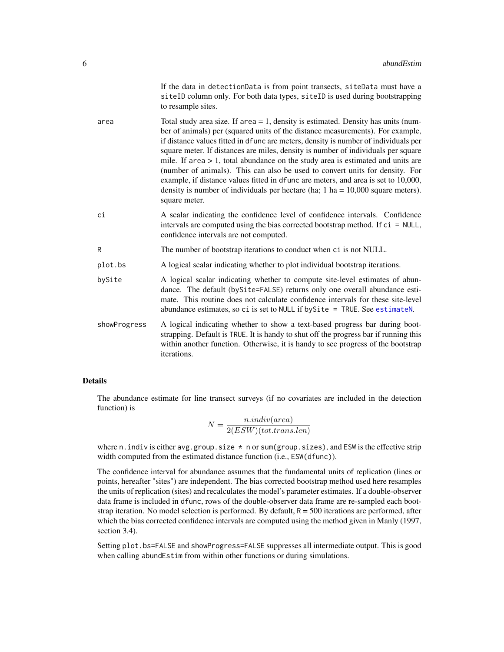| If the data in detection Data is from point transects, site Data must have a |
|------------------------------------------------------------------------------|
| siteID column only. For both data types, siteID is used during bootstrapping |
| to resample sites.                                                           |

- $area$  Total study area size. If area  $= 1$ , density is estimated. Density has units (number of animals) per (squared units of the distance measurements). For example, if distance values fitted in dfunc are meters, density is number of individuals per square meter. If distances are miles, density is number of individuals per square mile. If area  $> 1$ , total abundance on the study area is estimated and units are (number of animals). This can also be used to convert units for density. For example, if distance values fitted in dfunc are meters, and area is set to 10,000, density is number of individuals per hectare (ha;  $1 \text{ ha} = 10,000 \text{ square meters}$ ). square meter.
- ci A scalar indicating the confidence level of confidence intervals. Confidence intervals are computed using the bias corrected bootstrap method. If  $ci = NULL$ , confidence intervals are not computed.
- R The number of bootstrap iterations to conduct when ci is not NULL.
- plot.bs A logical scalar indicating whether to plot individual bootstrap iterations.
- bySite A logical scalar indicating whether to compute site-level estimates of abundance. The default (bySite=FALSE) returns only one overall abundance estimate. This routine does not calculate confidence intervals for these site-level abundance estimates, so ci is set to NULL if bySite = TRUE. See [estimateN](#page-27-1).
- showProgress A logical indicating whether to show a text-based progress bar during bootstrapping. Default is TRUE. It is handy to shut off the progress bar if running this within another function. Otherwise, it is handy to see progress of the bootstrap iterations.

## Details

The abundance estimate for line transect surveys (if no covariates are included in the detection function) is

$$
N = \frac{n.index(area)}{2(ESW)(tot.transpose, len)}
$$

where n. indiv is either avg.group.size  $*$  n or sum(group.sizes), and ESW is the effective strip width computed from the estimated distance function (i.e., ESW(dfunc)).

The confidence interval for abundance assumes that the fundamental units of replication (lines or points, hereafter "sites") are independent. The bias corrected bootstrap method used here resamples the units of replication (sites) and recalculates the model's parameter estimates. If a double-observer data frame is included in dfunc, rows of the double-observer data frame are re-sampled each bootstrap iteration. No model selection is performed. By default,  $R = 500$  iterations are performed, after which the bias corrected confidence intervals are computed using the method given in Manly (1997, section 3.4).

Setting plot.bs=FALSE and showProgress=FALSE suppresses all intermediate output. This is good when calling abundEstim from within other functions or during simulations.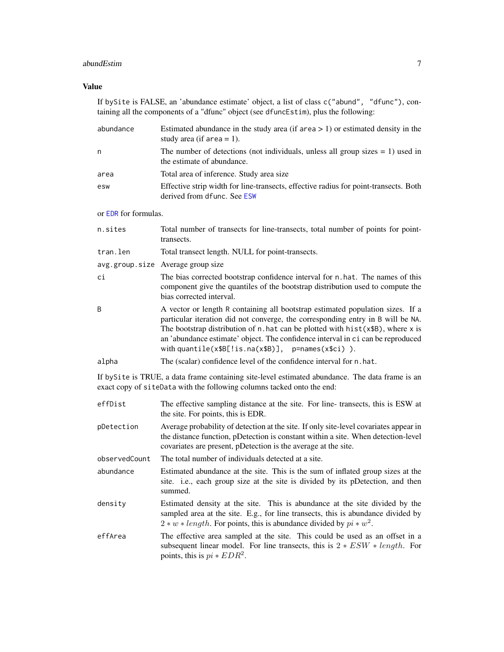#### abundEstim 7

#### Value

If bySite is FALSE, an 'abundance estimate' object, a list of class c("abund", "dfunc"), containing all the components of a "dfunc" object (see dfuncEstim), plus the following:

| abundance                                                                                                                                                                  | Estimated abundance in the study area (if $area > 1$ ) or estimated density in the<br>study area (if $area = 1$ ).                                                                                                                                                                                                                                                                                             |  |
|----------------------------------------------------------------------------------------------------------------------------------------------------------------------------|----------------------------------------------------------------------------------------------------------------------------------------------------------------------------------------------------------------------------------------------------------------------------------------------------------------------------------------------------------------------------------------------------------------|--|
| n                                                                                                                                                                          | The number of detections (not individuals, unless all group sizes $= 1$ ) used in<br>the estimate of abundance.                                                                                                                                                                                                                                                                                                |  |
| area                                                                                                                                                                       | Total area of inference. Study area size                                                                                                                                                                                                                                                                                                                                                                       |  |
| esw                                                                                                                                                                        | Effective strip width for line-transects, effective radius for point-transects. Both<br>derived from dfunc. See ESW                                                                                                                                                                                                                                                                                            |  |
| or EDR for formulas.                                                                                                                                                       |                                                                                                                                                                                                                                                                                                                                                                                                                |  |
| n.sites                                                                                                                                                                    | Total number of transects for line-transects, total number of points for point-<br>transects.                                                                                                                                                                                                                                                                                                                  |  |
| tran.len                                                                                                                                                                   | Total transect length. NULL for point-transects.                                                                                                                                                                                                                                                                                                                                                               |  |
|                                                                                                                                                                            | avg.group.size Average group size                                                                                                                                                                                                                                                                                                                                                                              |  |
| ci                                                                                                                                                                         | The bias corrected bootstrap confidence interval for n.hat. The names of this<br>component give the quantiles of the bootstrap distribution used to compute the<br>bias corrected interval.                                                                                                                                                                                                                    |  |
| B                                                                                                                                                                          | A vector or length R containing all bootstrap estimated population sizes. If a<br>particular iteration did not converge, the corresponding entry in B will be NA.<br>The bootstrap distribution of $n$ . hat can be plotted with $hist(x$B)$ , where x is<br>an 'abundance estimate' object. The confidence interval in ci can be reproduced<br>with quantile( $x$ \$B[!is.na( $x$ \$B)], p=names( $x$ \$ci)). |  |
| alpha                                                                                                                                                                      | The (scalar) confidence level of the confidence interval for n.hat.                                                                                                                                                                                                                                                                                                                                            |  |
| If by Site is TRUE, a data frame containing site-level estimated abundance. The data frame is an<br>exact copy of siteData with the following columns tacked onto the end: |                                                                                                                                                                                                                                                                                                                                                                                                                |  |
| effDist                                                                                                                                                                    | The effective sampling distance at the site. For line-transects, this is ESW at<br>the site. For points, this is EDR.                                                                                                                                                                                                                                                                                          |  |
| pDetection                                                                                                                                                                 | Average probability of detection at the site. If only site-level covariates appear in<br>the distance function, pDetection is constant within a site. When detection-level<br>covariates are present, pDetection is the average at the site.                                                                                                                                                                   |  |
| observedCount                                                                                                                                                              | The total number of individuals detected at a site.                                                                                                                                                                                                                                                                                                                                                            |  |
| abundance                                                                                                                                                                  | Estimated abundance at the site. This is the sum of inflated group sizes at the                                                                                                                                                                                                                                                                                                                                |  |

- site. i.e., each group size at the site is divided by its pDetection, and then summed. density Estimated density at the site. This is abundance at the site divided by the
- sampled area at the site. E.g., for line transects, this is abundance divided by  $2 * w * length$ . For points, this is abundance divided by  $pi * w^2$ .
- effArea The effective area sampled at the site. This could be used as an offset in a subsequent linear model. For line transects, this is  $2 * ESW * length$ . For points, this is  $pi * EDR<sup>2</sup>$ .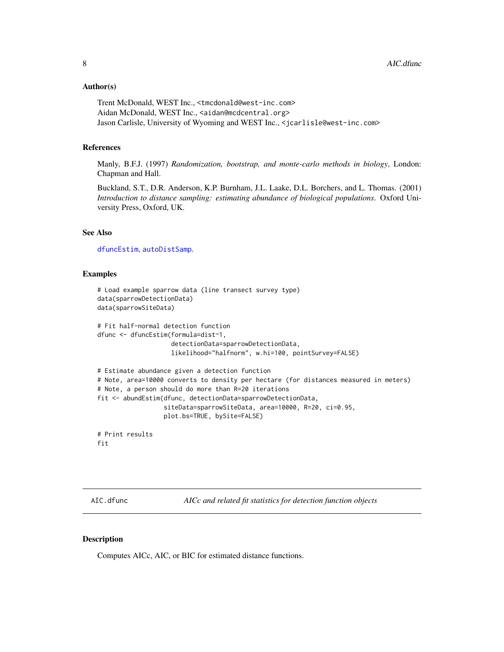#### <span id="page-7-0"></span>Author(s)

Trent McDonald, WEST Inc., <tmcdonald@west-inc.com> Aidan McDonald, WEST Inc., <aidan@mcdcentral.org> Jason Carlisle, University of Wyoming and WEST Inc., <jcarlisle@west-inc.com>

#### References

Manly, B.F.J. (1997) *Randomization, bootstrap, and monte-carlo methods in biology*, London: Chapman and Hall.

Buckland, S.T., D.R. Anderson, K.P. Burnham, J.L. Laake, D.L. Borchers, and L. Thomas. (2001) *Introduction to distance sampling: estimating abundance of biological populations*. Oxford University Press, Oxford, UK.

#### See Also

[dfuncEstim](#page-14-1), [autoDistSamp](#page-9-1).

#### Examples

```
# Load example sparrow data (line transect survey type)
data(sparrowDetectionData)
data(sparrowSiteData)
# Fit half-normal detection function
dfunc <- dfuncEstim(formula=dist~1,
                    detectionData=sparrowDetectionData,
                    likelihood="halfnorm", w.hi=100, pointSurvey=FALSE)
# Estimate abundance given a detection function
# Note, area=10000 converts to density per hectare (for distances measured in meters)
# Note, a person should do more than R=20 iterations
fit <- abundEstim(dfunc, detectionData=sparrowDetectionData,
                  siteData=sparrowSiteData, area=10000, R=20, ci=0.95,
                  plot.bs=TRUE, bySite=FALSE)
# Print results
fit
```
<span id="page-7-1"></span>AIC.dfunc *AICc and related fit statistics for detection function objects*

## Description

Computes AICc, AIC, or BIC for estimated distance functions.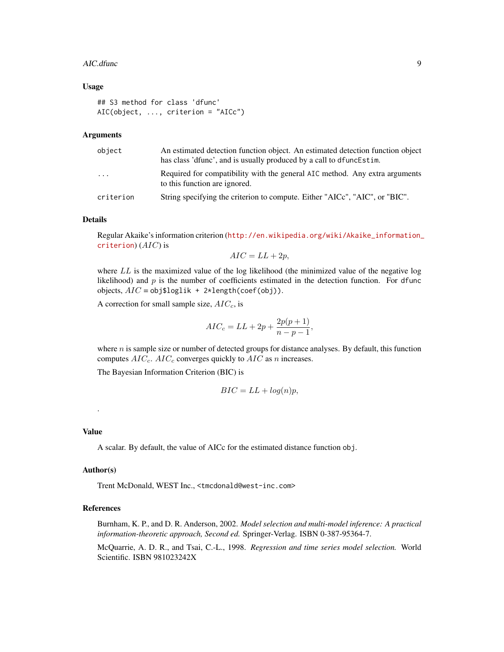#### AIC.dfunc 9

#### Usage

```
## S3 method for class 'dfunc'
AIC(object, ..., criterion = "AICc")
```
## Arguments

| object                  | An estimated detection function object. An estimated detection function object<br>has class 'dfunc', and is usually produced by a call to dfunce stim. |  |
|-------------------------|--------------------------------------------------------------------------------------------------------------------------------------------------------|--|
| $\cdot$ $\cdot$ $\cdot$ | Required for compatibility with the general AIC method. Any extra arguments<br>to this function are ignored.                                           |  |
| criterion               | String specifying the criterion to compute. Either "AICc", "AIC", or "BIC".                                                                            |  |

#### Details

Regular Akaike's information criterion ([http://en.wikipedia.org/wiki/Akaike\\_information\\_](http://en.wikipedia.org/wiki/Akaike_information_criterion) [criterion](http://en.wikipedia.org/wiki/Akaike_information_criterion))  $(AIC)$  is

$$
AIC = LL + 2p,
$$

where  $LL$  is the maximized value of the log likelihood (the minimized value of the negative log likelihood) and  $p$  is the number of coefficients estimated in the detection function. For dfunc objects,  $AIC = obj\$ loglik + 2\*length(coef(obj)).

A correction for small sample size,  $AIC_c$ , is

$$
AIC_c = LL + 2p + \frac{2p(p+1)}{n-p-1},
$$

where  $n$  is sample size or number of detected groups for distance analyses. By default, this function computes  $AIC_c$ .  $AIC_c$  converges quickly to  $AIC$  as n increases.

The Bayesian Information Criterion (BIC) is

$$
BIC = LL + \log(n)p,
$$

#### Value

.

A scalar. By default, the value of AICc for the estimated distance function obj.

## Author(s)

Trent McDonald, WEST Inc., <tmcdonald@west-inc.com>

## References

Burnham, K. P., and D. R. Anderson, 2002. *Model selection and multi-model inference: A practical information-theoretic approach, Second ed.* Springer-Verlag. ISBN 0-387-95364-7.

McQuarrie, A. D. R., and Tsai, C.-L., 1998. *Regression and time series model selection.* World Scientific. ISBN 981023242X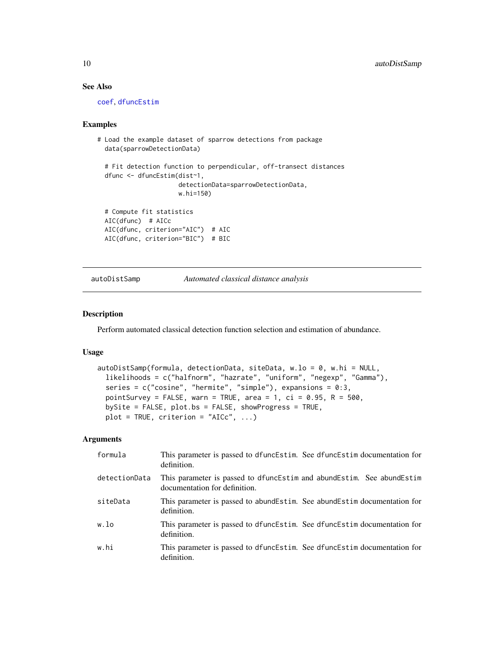## See Also

[coef](#page-0-0), [dfuncEstim](#page-14-1)

#### Examples

```
# Load the example dataset of sparrow detections from package
 data(sparrowDetectionData)
 # Fit detection function to perpendicular, off-transect distances
 dfunc <- dfuncEstim(dist~1,
                     detectionData=sparrowDetectionData,
                     w.hi=150)
 # Compute fit statistics
 AIC(dfunc) # AICc
 AIC(dfunc, criterion="AIC") # AIC
 AIC(dfunc, criterion="BIC") # BIC
```
<span id="page-9-1"></span>autoDistSamp *Automated classical distance analysis*

#### Description

Perform automated classical detection function selection and estimation of abundance.

## Usage

```
autoDistSamp(formula, detectionData, siteData, w.lo = 0, w.hi = NULL,
  likelihoods = c("halfnorm", "hazrate", "uniform", "negexp", "Gamma"),
  series = c("cosine", "hermite", "simple"), expansions = 0:3,
 pointSurvey = FALSE, warn = TRUE, area = 1, ci = 0.95, R = 500,
 bySite = FALSE, plot.bs = FALSE, showProgress = TRUE,
 plot = TRUE, criterion = "AICc", \ldots)
```
## Arguments

| formula       | This parameter is passed to dfuncEstim. See dfuncEstim documentation for<br>definition.                |
|---------------|--------------------------------------------------------------------------------------------------------|
| detectionData | This parameter is passed to dfuncEstim and abundEstim. See abundEstim<br>documentation for definition. |
| siteData      | This parameter is passed to abund Estim. See abund Estim documentation for<br>definition.              |
| w.lo          | This parameter is passed to dfuncEstim. See dfuncEstim documentation for<br>definition.                |
| w.hi          | This parameter is passed to dfuncEstim. See dfuncEstim documentation for<br>definition.                |

<span id="page-9-0"></span>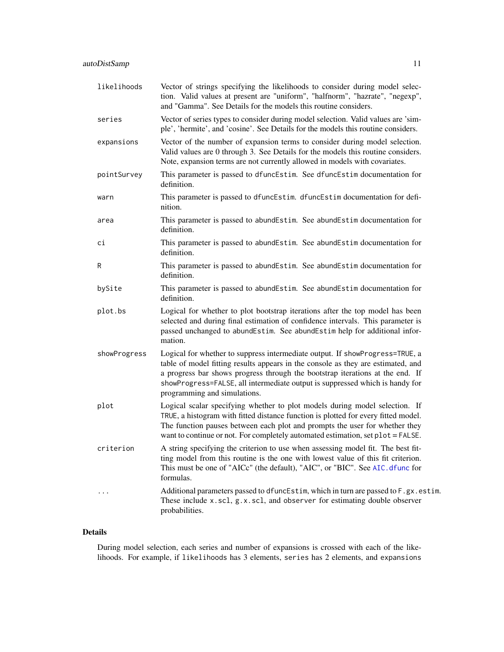| likelihoods  | Vector of strings specifying the likelihoods to consider during model selec-<br>tion. Valid values at present are "uniform", "halfnorm", "hazrate", "negexp",<br>and "Gamma". See Details for the models this routine considers.                                                                                                                                  |
|--------------|-------------------------------------------------------------------------------------------------------------------------------------------------------------------------------------------------------------------------------------------------------------------------------------------------------------------------------------------------------------------|
| series       | Vector of series types to consider during model selection. Valid values are 'sim-<br>ple', 'hermite', and 'cosine'. See Details for the models this routine considers.                                                                                                                                                                                            |
| expansions   | Vector of the number of expansion terms to consider during model selection.<br>Valid values are 0 through 3. See Details for the models this routine considers.<br>Note, expansion terms are not currently allowed in models with covariates.                                                                                                                     |
| pointSurvey  | This parameter is passed to dfuncEstim. See dfuncEstim documentation for<br>definition.                                                                                                                                                                                                                                                                           |
| warn         | This parameter is passed to dfuncEstim. dfuncEstim documentation for defi-<br>nition.                                                                                                                                                                                                                                                                             |
| area         | This parameter is passed to abundEstim. See abundEstim documentation for<br>definition.                                                                                                                                                                                                                                                                           |
| сi           | This parameter is passed to abundEstim. See abundEstim documentation for<br>definition.                                                                                                                                                                                                                                                                           |
| R            | This parameter is passed to abundEstim. See abundEstim documentation for<br>definition.                                                                                                                                                                                                                                                                           |
| bySite       | This parameter is passed to abundEstim. See abundEstim documentation for<br>definition.                                                                                                                                                                                                                                                                           |
| plot.bs      | Logical for whether to plot bootstrap iterations after the top model has been<br>selected and during final estimation of confidence intervals. This parameter is<br>passed unchanged to abundEstim. See abundEstim help for additional infor-<br>mation.                                                                                                          |
| showProgress | Logical for whether to suppress intermediate output. If showProgress=TRUE, a<br>table of model fitting results appears in the console as they are estimated, and<br>a progress bar shows progress through the bootstrap iterations at the end. If<br>showProgress=FALSE, all intermediate output is suppressed which is handy for<br>programming and simulations. |
| plot         | Logical scalar specifying whether to plot models during model selection. If<br>TRUE, a histogram with fitted distance function is plotted for every fitted model.<br>The function pauses between each plot and prompts the user for whether they<br>want to continue or not. For completely automated estimation, set plot = FALSE.                               |
| criterion    | A string specifying the criterion to use when assessing model fit. The best fit-<br>ting model from this routine is the one with lowest value of this fit criterion.<br>This must be one of "AICc" (the default), "AIC", or "BIC". See AIC. dfunc for<br>formulas.                                                                                                |
|              | Additional parameters passed to dfuncEstim, which in turn are passed to F.gx.estim.<br>These include x.scl, g.x.scl, and observer for estimating double observer<br>probabilities.                                                                                                                                                                                |

## Details

During model selection, each series and number of expansions is crossed with each of the likelihoods. For example, if likelihoods has 3 elements, series has 2 elements, and expansions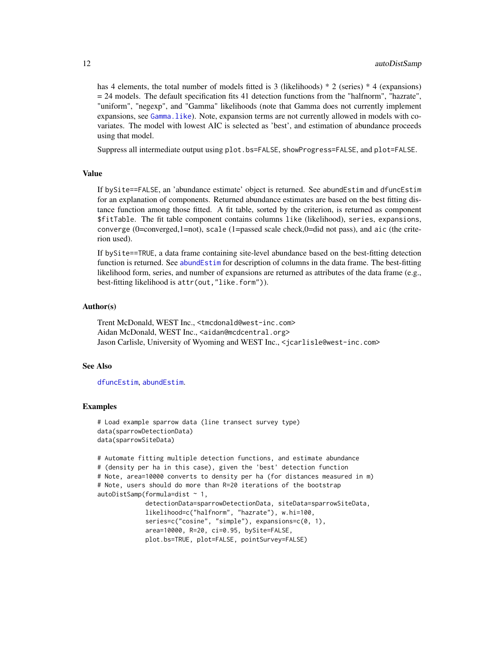has 4 elements, the total number of models fitted is 3 (likelihoods) \* 2 (series) \* 4 (expansions)  $= 24$  models. The default specification fits 41 detection functions from the "halfnorm", "hazrate", "uniform", "negexp", and "Gamma" likelihoods (note that Gamma does not currently implement expansions, see [Gamma.like](#page-37-1)). Note, expansion terms are not currently allowed in models with covariates. The model with lowest AIC is selected as 'best', and estimation of abundance proceeds using that model.

Suppress all intermediate output using plot.bs=FALSE, showProgress=FALSE, and plot=FALSE.

#### Value

If bySite==FALSE, an 'abundance estimate' object is returned. See abundEstim and dfuncEstim for an explanation of components. Returned abundance estimates are based on the best fitting distance function among those fitted. A fit table, sorted by the criterion, is returned as component \$fitTable. The fit table component contains columns like (likelihood), series, expansions, converge (0=converged,1=not), scale (1=passed scale check,0=did not pass), and aic (the criterion used).

If bySite==TRUE, a data frame containing site-level abundance based on the best-fitting detection function is returned. See [abundEstim](#page-4-1) for description of columns in the data frame. The best-fitting likelihood form, series, and number of expansions are returned as attributes of the data frame (e.g., best-fitting likelihood is attr(out,"like.form")).

#### Author(s)

Trent McDonald, WEST Inc., <tmcdonald@west-inc.com> Aidan McDonald, WEST Inc., <aidan@mcdcentral.org> Jason Carlisle, University of Wyoming and WEST Inc., <jcarlisle@west-inc.com>

#### See Also

[dfuncEstim](#page-14-1), [abundEstim](#page-4-1).

#### Examples

```
# Load example sparrow data (line transect survey type)
data(sparrowDetectionData)
data(sparrowSiteData)
```

```
# Automate fitting multiple detection functions, and estimate abundance
# (density per ha in this case), given the 'best' detection function
# Note, area=10000 converts to density per ha (for distances measured in m)
# Note, users should do more than R=20 iterations of the bootstrap
autoDistSamp(formula=dist ~ 1,
            detectionData=sparrowDetectionData, siteData=sparrowSiteData,
            likelihood=c("halfnorm", "hazrate"), w.hi=100,
```
series=c("cosine", "simple"), expansions=c(0, 1), area=10000, R=20, ci=0.95, bySite=FALSE, plot.bs=TRUE, plot=FALSE, pointSurvey=FALSE)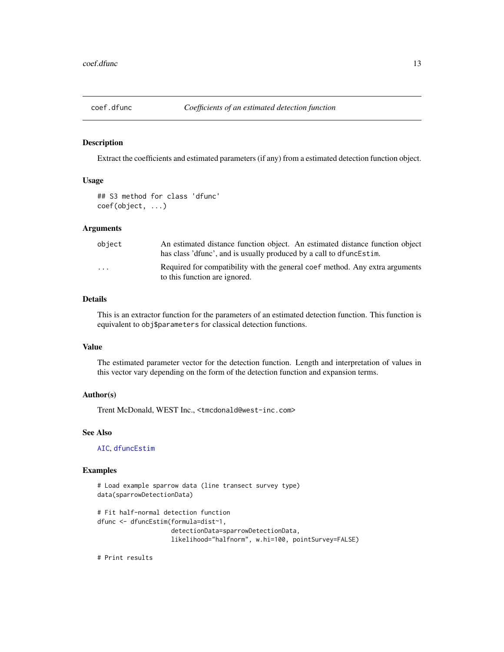<span id="page-12-0"></span>

#### Description

Extract the coefficients and estimated parameters (if any) from a estimated detection function object.

## Usage

```
## S3 method for class 'dfunc'
coef(object, ...)
```
#### Arguments

| object | An estimated distance function object. An estimated distance function object<br>has class 'dfunc', and is usually produced by a call to dfunce stim. |
|--------|------------------------------------------------------------------------------------------------------------------------------------------------------|
| .      | Required for compatibility with the general coef method. Any extra arguments<br>to this function are ignored.                                        |

## Details

This is an extractor function for the parameters of an estimated detection function. This function is equivalent to obj\$parameters for classical detection functions.

## Value

The estimated parameter vector for the detection function. Length and interpretation of values in this vector vary depending on the form of the detection function and expansion terms.

## Author(s)

Trent McDonald, WEST Inc., <tmcdonald@west-inc.com>

## See Also

[AIC](#page-0-0), [dfuncEstim](#page-14-1)

#### Examples

```
# Load example sparrow data (line transect survey type)
data(sparrowDetectionData)
# Fit half-normal detection function
dfunc <- dfuncEstim(formula=dist~1,
                    detectionData=sparrowDetectionData,
                    likelihood="halfnorm", w.hi=100, pointSurvey=FALSE)
```
# Print results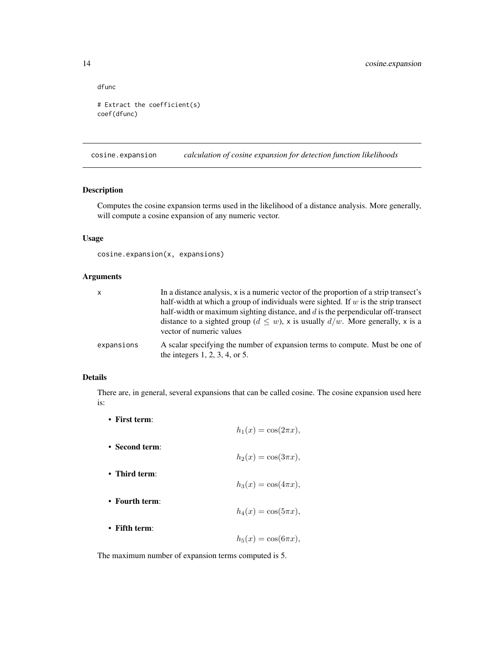dfunc

```
# Extract the coefficient(s)
coef(dfunc)
```
<span id="page-13-1"></span>cosine.expansion *calculation of cosine expansion for detection function likelihoods*

## Description

Computes the cosine expansion terms used in the likelihood of a distance analysis. More generally, will compute a cosine expansion of any numeric vector.

#### Usage

```
cosine.expansion(x, expansions)
```
## Arguments

| X          | In a distance analysis, x is a numeric vector of the proportion of a strip transect's                               |
|------------|---------------------------------------------------------------------------------------------------------------------|
|            | half-width at which a group of individuals were sighted. If $w$ is the strip transect                               |
|            | half-width or maximum sighting distance, and $d$ is the perpendicular off-transect                                  |
|            | distance to a sighted group ( $d \leq w$ ), x is usually $d/w$ . More generally, x is a<br>vector of numeric values |
| expansions | A scalar specifying the number of expansion terms to compute. Must be one of<br>the integers $1, 2, 3, 4$ , or 5.   |

## Details

There are, in general, several expansions that can be called cosine. The cosine expansion used here is:

• First term:

The maximum number of expansion terms computed is 5.

<span id="page-13-0"></span>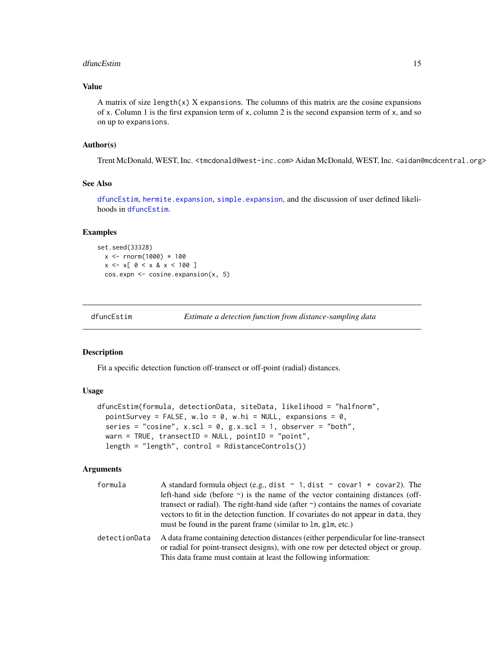#### <span id="page-14-0"></span>dfuncEstim and the contract of the contract of the contract of the contract of the contract of the contract of the contract of the contract of the contract of the contract of the contract of the contract of the contract of

## Value

A matrix of size length $(x)$  X expansions. The columns of this matrix are the cosine expansions of x. Column 1 is the first expansion term of x, column 2 is the second expansion term of x, and so on up to expansions.

#### Author(s)

Trent McDonald, WEST, Inc. <tmcdonald@west-inc.com> Aidan McDonald, WEST, Inc. <aidan@mcdcentral.org>

#### See Also

[dfuncEstim](#page-14-1), [hermite.expansion](#page-45-1), [simple.expansion](#page-60-1), and the discussion of user defined likelihoods in [dfuncEstim](#page-14-1).

#### Examples

```
set.seed(33328)
  x < - rnorm(1000) * 100
  x \le -x[ 0 \lt x & x \lt 100 ]
  cos.expn <- cosine.expansion(x, 5)
```
<span id="page-14-1"></span>

| dfuncEstim | Estimate a detection function from distance-sampling data |
|------------|-----------------------------------------------------------|
|------------|-----------------------------------------------------------|

#### Description

Fit a specific detection function off-transect or off-point (radial) distances.

#### Usage

```
dfuncEstim(formula, detectionData, siteData, likelihood = "halfnorm",
  pointSurvey = FALSE, w \cdot lo = 0, w \cdot hi = NULL, expansions = 0,
  series = "cosine", x.scl = 0, g.x.scl = 1, observer = "both",
 warn = TRUE, transectID = NULL, pointID = "point",
  length = "length", control = RdistanceControls())
```
#### Arguments

| formula       | A standard formula object (e.g., dist $\sim$ 1, dist $\sim$ covar1 + covar2). The                                                                                        |  |  |  |  |  |
|---------------|--------------------------------------------------------------------------------------------------------------------------------------------------------------------------|--|--|--|--|--|
|               | left-hand side (before $\sim$ ) is the name of the vector containing distances (off-                                                                                     |  |  |  |  |  |
|               | transect or radial). The right-hand side (after $\sim$ ) contains the names of covariate                                                                                 |  |  |  |  |  |
|               | vectors to fit in the detection function. If covariates do not appear in data, they                                                                                      |  |  |  |  |  |
|               | must be found in the parent frame (similar to 1m, g1m, etc.)                                                                                                             |  |  |  |  |  |
| detectionData | A data frame containing detection distances (either perpendicular for line-transect<br>or radial for point-transect designs), with one row per detected object or group. |  |  |  |  |  |
|               | This data frame must contain at least the following information:                                                                                                         |  |  |  |  |  |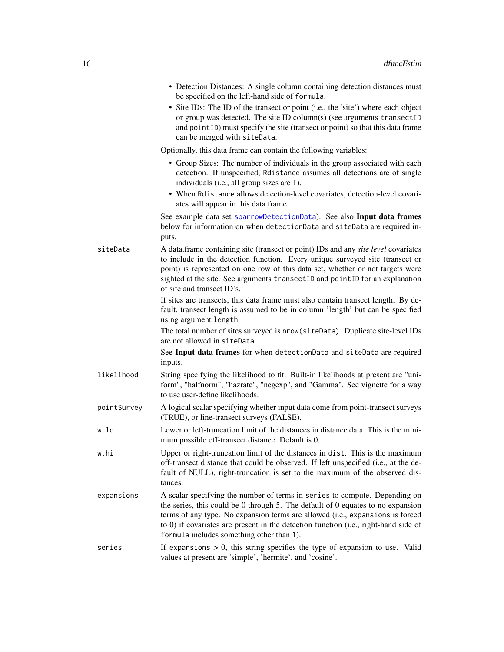|             | • Detection Distances: A single column containing detection distances must<br>be specified on the left-hand side of formula.                                                                                                                                                                                                                                                          |
|-------------|---------------------------------------------------------------------------------------------------------------------------------------------------------------------------------------------------------------------------------------------------------------------------------------------------------------------------------------------------------------------------------------|
|             | • Site IDs: The ID of the transect or point (i.e., the 'site') where each object<br>or group was detected. The site ID column(s) (see arguments transectID<br>and point ID) must specify the site (transect or point) so that this data frame<br>can be merged with siteData.                                                                                                         |
|             | Optionally, this data frame can contain the following variables:                                                                                                                                                                                                                                                                                                                      |
|             | • Group Sizes: The number of individuals in the group associated with each<br>detection. If unspecified, Rdistance assumes all detections are of single<br>individuals (i.e., all group sizes are 1).<br>• When Rdistance allows detection-level covariates, detection-level covari-                                                                                                  |
|             | ates will appear in this data frame.                                                                                                                                                                                                                                                                                                                                                  |
|             | See example data set sparrowDetectionData). See also Input data frames<br>below for information on when detectionData and siteData are required in-<br>puts.                                                                                                                                                                                                                          |
| siteData    | A data.frame containing site (transect or point) IDs and any site level covariates<br>to include in the detection function. Every unique surveyed site (transect or<br>point) is represented on one row of this data set, whether or not targets were<br>sighted at the site. See arguments transectID and pointID for an explanation<br>of site and transect ID's.                   |
|             | If sites are transects, this data frame must also contain transect length. By de-<br>fault, transect length is assumed to be in column 'length' but can be specified<br>using argument length.                                                                                                                                                                                        |
|             | The total number of sites surveyed is nrow(siteData). Duplicate site-level IDs<br>are not allowed in siteData.                                                                                                                                                                                                                                                                        |
|             | See Input data frames for when detectionData and siteData are required<br>inputs.                                                                                                                                                                                                                                                                                                     |
| likelihood  | String specifying the likelihood to fit. Built-in likelihoods at present are "uni-<br>form", "halfnorm", "hazrate", "negexp", and "Gamma". See vignette for a way<br>to use user-define likelihoods.                                                                                                                                                                                  |
| pointSurvey | A logical scalar specifying whether input data come from point-transect surveys<br>(TRUE), or line-transect surveys (FALSE).                                                                                                                                                                                                                                                          |
| w.lo        | Lower or left-truncation limit of the distances in distance data. This is the mini-<br>mum possible off-transect distance. Default is 0.                                                                                                                                                                                                                                              |
| w.hi        | Upper or right-truncation limit of the distances in dist. This is the maximum<br>off-transect distance that could be observed. If left unspecified (i.e., at the de-<br>fault of NULL), right-truncation is set to the maximum of the observed dis-<br>tances.                                                                                                                        |
| expansions  | A scalar specifying the number of terms in series to compute. Depending on<br>the series, this could be 0 through $5$ . The default of 0 equates to no expansion<br>terms of any type. No expansion terms are allowed (i.e., expansions is forced<br>to 0) if covariates are present in the detection function (i.e., right-hand side of<br>formula includes something other than 1). |
| series      | If expansions $> 0$ , this string specifies the type of expansion to use. Valid<br>values at present are 'simple', 'hermite', and 'cosine'.                                                                                                                                                                                                                                           |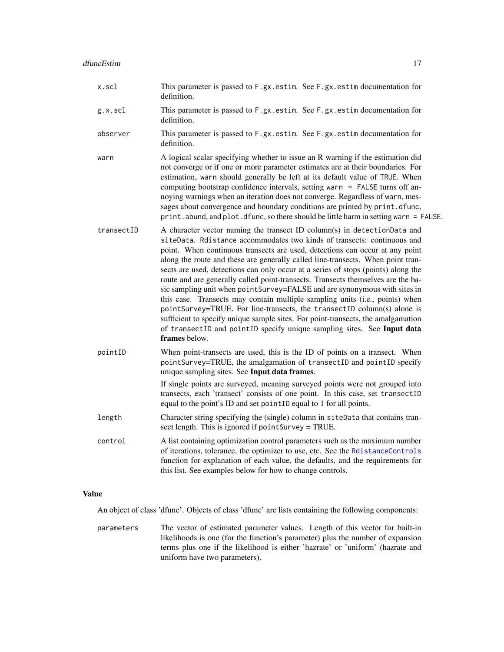- g.x.scl This parameter is passed to F.gx.estim. See F.gx.estim documentation for definition.
- observer This parameter is passed to F.gx.estim. See F.gx.estim documentation for definition.
- warn A logical scalar specifying whether to issue an R warning if the estimation did not converge or if one or more parameter estimates are at their boundaries. For estimation, warn should generally be left at its default value of TRUE. When computing bootstrap confidence intervals, setting warn  $=$  FALSE turns off annoying warnings when an iteration does not converge. Regardless of warn, messages about convergence and boundary conditions are printed by print.dfunc, print.abund, and plot.dfunc, so there should be little harm in setting warn = FALSE.
- transectID A character vector naming the transect ID column(s) in detectionData and siteData. Rdistance accommodates two kinds of transects: continuous and point. When continuous transects are used, detections can occur at any point along the route and these are generally called line-transects. When point transects are used, detections can only occur at a series of stops (points) along the route and are generally called point-transects. Transects themselves are the basic sampling unit when pointSurvey=FALSE and are synonymous with sites in this case. Transects may contain multiple sampling units (i.e., points) when pointSurvey=TRUE. For line-transects, the transectID column(s) alone is sufficient to specify unique sample sites. For point-transects, the amalgamation of transectID and pointID specify unique sampling sites. See Input data frames below.
- pointID When point-transects are used, this is the ID of points on a transect. When pointSurvey=TRUE, the amalgamation of transectID and pointID specify unique sampling sites. See Input data frames.

If single points are surveyed, meaning surveyed points were not grouped into transects, each 'transect' consists of one point. In this case, set transectID equal to the point's ID and set pointID equal to 1 for all points.

- length Character string specifying the (single) column in siteData that contains transect length. This is ignored if pointSurvey = TRUE.
- control A list containing optimization control parameters such as the maximum number of iterations, tolerance, the optimizer to use, etc. See the [RdistanceControls](#page-57-1) function for explanation of each value, the defaults, and the requirements for this list. See examples below for how to change controls.

## Value

An object of class 'dfunc'. Objects of class 'dfunc' are lists containing the following components:

parameters The vector of estimated parameter values. Length of this vector for built-in likelihoods is one (for the function's parameter) plus the number of expansion terms plus one if the likelihood is either 'hazrate' or 'uniform' (hazrate and uniform have two parameters).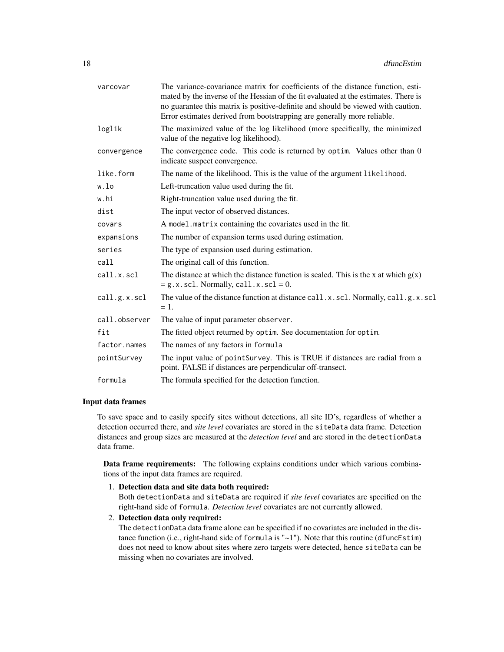| mated by the inverse of the Hessian of the fit evaluated at the estimates. There is<br>no guarantee this matrix is positive-definite and should be viewed with caution.<br>Error estimates derived from bootstrapping are generally more reliable. |  |  |  |  |  |  |
|----------------------------------------------------------------------------------------------------------------------------------------------------------------------------------------------------------------------------------------------------|--|--|--|--|--|--|
| The maximized value of the log likelihood (more specifically, the minimized<br>value of the negative log likelihood).                                                                                                                              |  |  |  |  |  |  |
| The convergence code. This code is returned by optim. Values other than 0<br>indicate suspect convergence.                                                                                                                                         |  |  |  |  |  |  |
| The name of the likelihood. This is the value of the argument likelihood.                                                                                                                                                                          |  |  |  |  |  |  |
| Left-truncation value used during the fit.                                                                                                                                                                                                         |  |  |  |  |  |  |
| Right-truncation value used during the fit.                                                                                                                                                                                                        |  |  |  |  |  |  |
| The input vector of observed distances.                                                                                                                                                                                                            |  |  |  |  |  |  |
| A model.matrix containing the covariates used in the fit.                                                                                                                                                                                          |  |  |  |  |  |  |
| The number of expansion terms used during estimation.                                                                                                                                                                                              |  |  |  |  |  |  |
| The type of expansion used during estimation.                                                                                                                                                                                                      |  |  |  |  |  |  |
| The original call of this function.                                                                                                                                                                                                                |  |  |  |  |  |  |
| The distance at which the distance function is scaled. This is the x at which $g(x)$<br>$= g.x.scl.$ Normally, call.x.scl = 0.                                                                                                                     |  |  |  |  |  |  |
| The value of the distance function at distance call.x.scl. Normally, call.g.x.scl<br>$=1.$                                                                                                                                                         |  |  |  |  |  |  |
| The value of input parameter observer.                                                                                                                                                                                                             |  |  |  |  |  |  |
| The fitted object returned by optim. See documentation for optim.                                                                                                                                                                                  |  |  |  |  |  |  |
| The names of any factors in formula                                                                                                                                                                                                                |  |  |  |  |  |  |
| The input value of point Survey. This is TRUE if distances are radial from a<br>point. FALSE if distances are perpendicular off-transect.                                                                                                          |  |  |  |  |  |  |
| formula<br>The formula specified for the detection function.                                                                                                                                                                                       |  |  |  |  |  |  |
|                                                                                                                                                                                                                                                    |  |  |  |  |  |  |

#### Input data frames

To save space and to easily specify sites without detections, all site ID's, regardless of whether a detection occurred there, and *site level* covariates are stored in the siteData data frame. Detection distances and group sizes are measured at the *detection level* and are stored in the detectionData data frame.

Data frame requirements: The following explains conditions under which various combinations of the input data frames are required.

1. Detection data and site data both required:

Both detectionData and siteData are required if *site level* covariates are specified on the right-hand side of formula. *Detection level* covariates are not currently allowed.

2. Detection data only required:

The detectionData data frame alone can be specified if no covariates are included in the distance function (i.e., right-hand side of formula is " $\sim$ 1"). Note that this routine (dfuncEstim) does not need to know about sites where zero targets were detected, hence siteData can be missing when no covariates are involved.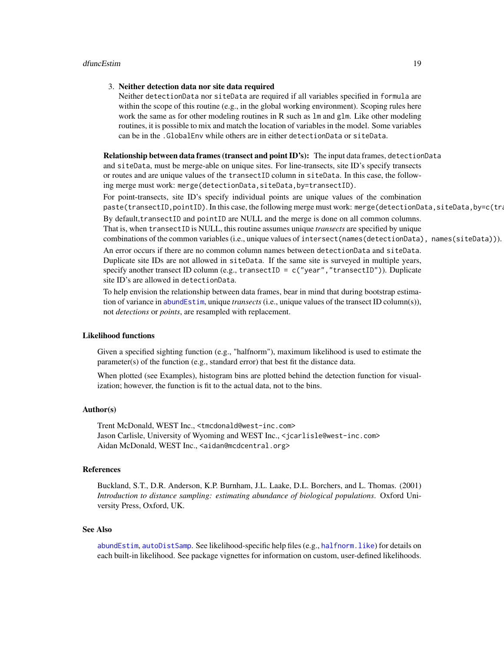#### 3. Neither detection data nor site data required

Neither detectionData nor siteData are required if all variables specified in formula are within the scope of this routine (e.g., in the global working environment). Scoping rules here work the same as for other modeling routines in R such as  $\text{lm}$  and  $\text{glm}$ . Like other modeling routines, it is possible to mix and match the location of variables in the model. Some variables can be in the .GlobalEnv while others are in either detectionData or siteData.

Relationship between data frames (transect and point ID's): The input data frames, detectionData and siteData, must be merge-able on unique sites. For line-transects, site ID's specify transects or routes and are unique values of the transectID column in siteData. In this case, the following merge must work: merge(detectionData,siteData,by=transectID).

For point-transects, site ID's specify individual points are unique values of the combination paste(transectID,pointID). In this case, the following merge must work: merge(detectionData,siteData,by=c(tra By default, transectID and pointID are NULL and the merge is done on all common columns. That is, when transectID is NULL, this routine assumes unique *transects* are specified by unique combinations of the common variables (i.e., unique values of intersect(names(detectionData), names(siteData))).

An error occurs if there are no common column names between detectionData and siteData. Duplicate site IDs are not allowed in siteData. If the same site is surveyed in multiple years, specify another transect ID column (e.g., transectID = c("year", "transectID")). Duplicate site ID's are allowed in detectionData.

To help envision the relationship between data frames, bear in mind that during bootstrap estimation of variance in [abundEstim](#page-4-1), unique *transects* (i.e., unique values of the transect ID column(s)), not *detections* or *points*, are resampled with replacement.

## Likelihood functions

Given a specified sighting function (e.g., "halfnorm"), maximum likelihood is used to estimate the parameter(s) of the function (e.g., standard error) that best fit the distance data.

When plotted (see Examples), histogram bins are plotted behind the detection function for visualization; however, the function is fit to the actual data, not to the bins.

#### Author(s)

Trent McDonald, WEST Inc., <tmcdonald@west-inc.com> Jason Carlisle, University of Wyoming and WEST Inc., <jcarlisle@west-inc.com> Aidan McDonald, WEST Inc., <aidan@mcdcentral.org>

#### References

Buckland, S.T., D.R. Anderson, K.P. Burnham, J.L. Laake, D.L. Borchers, and L. Thomas. (2001) *Introduction to distance sampling: estimating abundance of biological populations*. Oxford University Press, Oxford, UK.

#### See Also

[abundEstim](#page-4-1), [autoDistSamp](#page-9-1). See likelihood-specific help files (e.g., [halfnorm.like](#page-40-1)) for details on each built-in likelihood. See package vignettes for information on custom, user-defined likelihoods.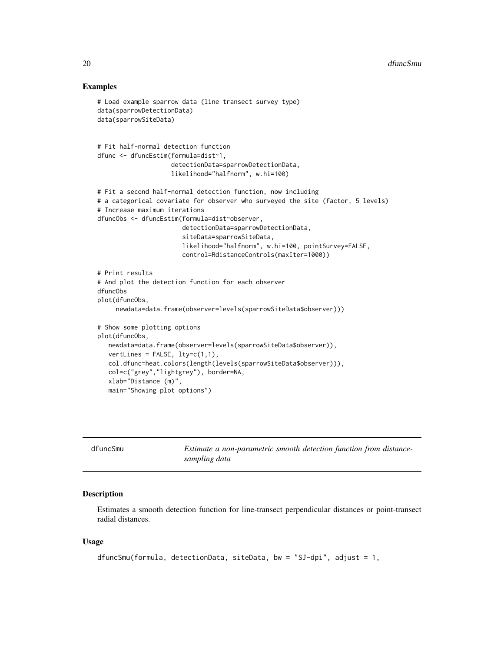#### Examples

```
# Load example sparrow data (line transect survey type)
data(sparrowDetectionData)
data(sparrowSiteData)
# Fit half-normal detection function
dfunc <- dfuncEstim(formula=dist~1,
                    detectionData=sparrowDetectionData,
                    likelihood="halfnorm", w.hi=100)
# Fit a second half-normal detection function, now including
# a categorical covariate for observer who surveyed the site (factor, 5 levels)
# Increase maximum iterations
dfuncObs <- dfuncEstim(formula=dist~observer,
                       detectionData=sparrowDetectionData,
                       siteData=sparrowSiteData,
                       likelihood="halfnorm", w.hi=100, pointSurvey=FALSE,
                       control=RdistanceControls(maxIter=1000))
# Print results
# And plot the detection function for each observer
dfuncObs
plot(dfuncObs,
     newdata=data.frame(observer=levels(sparrowSiteData$observer)))
# Show some plotting options
plot(dfuncObs,
  newdata=data.frame(observer=levels(sparrowSiteData$observer)),
  vertLines = FALSE, 1ty=c(1,1),col.dfunc=heat.colors(length(levels(sparrowSiteData$observer))),
  col=c("grey","lightgrey"), border=NA,
  xlab="Distance (m)",
  main="Showing plot options")
```
<span id="page-19-1"></span>

| dfuncSmu | Estimate a non-parametric smooth detection function from distance- |
|----------|--------------------------------------------------------------------|
|          | sampling data                                                      |

## Description

Estimates a smooth detection function for line-transect perpendicular distances or point-transect radial distances.

#### Usage

```
dfuncSmu(formula, detectionData, siteData, bw = "SJ-dpi", adjust = 1,
```
<span id="page-19-0"></span>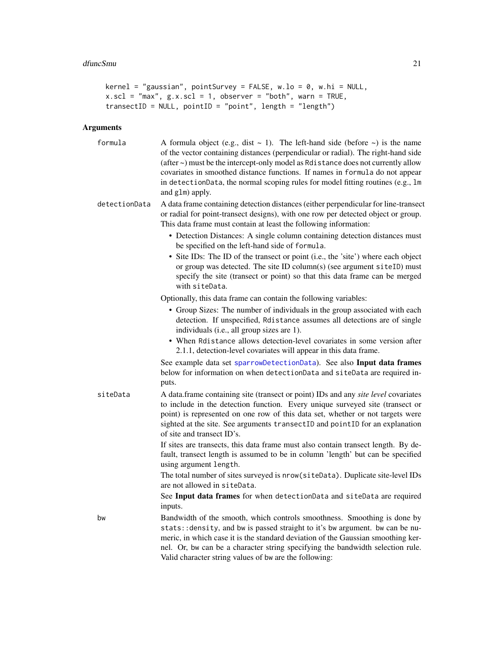```
kernel = "gaussian", pointSurvey = FALSE, w.lo = 0, w.hi = NULL,
x.scl = "max", g.x.scl = 1, observer = "both", warn = TRUE,transectID = NULL, pointID = "point", length = "length")
```
## Arguments

| formula       | A formula object (e.g., dist $\sim$ 1). The left-hand side (before $\sim$ ) is the name<br>of the vector containing distances (perpendicular or radial). The right-hand side<br>(after ~) must be the intercept-only model as Rdistance does not currently allow<br>covariates in smoothed distance functions. If names in formula do not appear<br>in detectionData, the normal scoping rules for model fitting routines (e.g., 1m<br>and glm) apply. |
|---------------|--------------------------------------------------------------------------------------------------------------------------------------------------------------------------------------------------------------------------------------------------------------------------------------------------------------------------------------------------------------------------------------------------------------------------------------------------------|
| detectionData | A data frame containing detection distances (either perpendicular for line-transect<br>or radial for point-transect designs), with one row per detected object or group.<br>This data frame must contain at least the following information:                                                                                                                                                                                                           |
|               | • Detection Distances: A single column containing detection distances must<br>be specified on the left-hand side of formula.                                                                                                                                                                                                                                                                                                                           |
|               | • Site IDs: The ID of the transect or point (i.e., the 'site') where each object<br>or group was detected. The site ID column(s) (see argument siteID) must<br>specify the site (transect or point) so that this data frame can be merged<br>with siteData.                                                                                                                                                                                            |
|               | Optionally, this data frame can contain the following variables:                                                                                                                                                                                                                                                                                                                                                                                       |
|               | • Group Sizes: The number of individuals in the group associated with each<br>detection. If unspecified, Rdistance assumes all detections are of single<br>individuals (i.e., all group sizes are 1).                                                                                                                                                                                                                                                  |
|               | • When Rdistance allows detection-level covariates in some version after<br>2.1.1, detection-level covariates will appear in this data frame.                                                                                                                                                                                                                                                                                                          |
|               | See example data set sparrowDetectionData). See also Input data frames<br>below for information on when detectionData and siteData are required in-<br>puts.                                                                                                                                                                                                                                                                                           |
| siteData      | A data.frame containing site (transect or point) IDs and any site level covariates<br>to include in the detection function. Every unique surveyed site (transect or<br>point) is represented on one row of this data set, whether or not targets were<br>sighted at the site. See arguments transectID and pointID for an explanation<br>of site and transect ID's.                                                                                    |
|               | If sites are transects, this data frame must also contain transect length. By de-<br>fault, transect length is assumed to be in column 'length' but can be specified<br>using argument length.                                                                                                                                                                                                                                                         |
|               | The total number of sites surveyed is nrow(siteData). Duplicate site-level IDs<br>are not allowed in siteData.                                                                                                                                                                                                                                                                                                                                         |
|               | See Input data frames for when detectionData and siteData are required<br>inputs.                                                                                                                                                                                                                                                                                                                                                                      |
| bw            | Bandwidth of the smooth, which controls smoothness. Smoothing is done by<br>stats:: density, and bw is passed straight to it's bw argument. bw can be nu-<br>meric, in which case it is the standard deviation of the Gaussian smoothing ker-<br>nel. Or, bw can be a character string specifying the bandwidth selection rule.<br>Valid character string values of bw are the following:                                                              |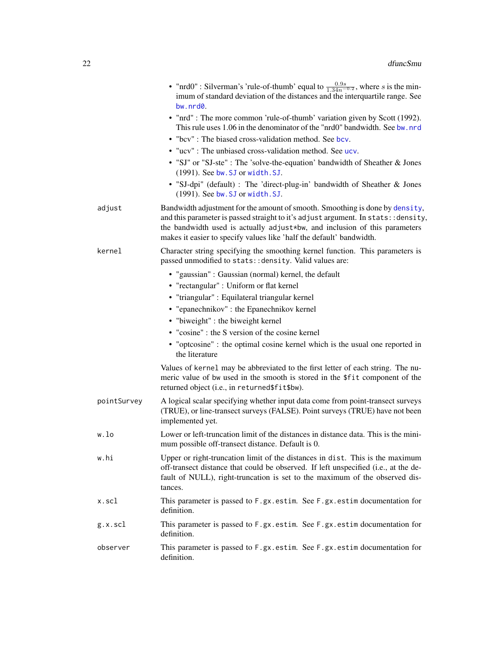| • "nrd0" : Silverman's 'rule-of-thumb' equal to $\frac{0.9s}{1.34n^{-0.2}}$ , where s is the min-<br>imum of standard deviation of the distances and the interquartile range. See<br>bw.nrd0.                                                                                                                             |
|---------------------------------------------------------------------------------------------------------------------------------------------------------------------------------------------------------------------------------------------------------------------------------------------------------------------------|
| • "nrd": The more common 'rule-of-thumb' variation given by Scott (1992).<br>This rule uses 1.06 in the denominator of the "nrd0" bandwidth. See bw. nrd                                                                                                                                                                  |
| • "bcv": The biased cross-validation method. See bcv.                                                                                                                                                                                                                                                                     |
| • "ucv": The unbiased cross-validation method. See ucv.                                                                                                                                                                                                                                                                   |
| • "SJ" or "SJ-ste" : The 'solve-the-equation' bandwidth of Sheather & Jones<br>(1991). See bw. SJ or width. SJ.                                                                                                                                                                                                           |
| • "SJ-dpi" (default) : The 'direct-plug-in' bandwidth of Sheather & Jones<br>(1991). See bw. SJ or width. SJ.                                                                                                                                                                                                             |
| Bandwidth adjustment for the amount of smooth. Smoothing is done by density,<br>and this parameter is passed straight to it's adjust argument. In stats: : density,<br>the bandwidth used is actually adjust*bw, and inclusion of this parameters<br>makes it easier to specify values like 'half the default' bandwidth. |
| Character string specifying the smoothing kernel function. This parameters is<br>passed unmodified to stats: : density. Valid values are:                                                                                                                                                                                 |
| • "gaussian": Gaussian (normal) kernel, the default                                                                                                                                                                                                                                                                       |
| • "rectangular" : Uniform or flat kernel                                                                                                                                                                                                                                                                                  |
| • "triangular": Equilateral triangular kernel                                                                                                                                                                                                                                                                             |
| • "epanechnikov" : the Epanechnikov kernel                                                                                                                                                                                                                                                                                |
| • "biweight" : the biweight kernel                                                                                                                                                                                                                                                                                        |
| • "cosine" : the S version of the cosine kernel                                                                                                                                                                                                                                                                           |
| • "optcosine" : the optimal cosine kernel which is the usual one reported in<br>the literature                                                                                                                                                                                                                            |
| Values of kernel may be abbreviated to the first letter of each string. The nu-<br>meric value of bw used in the smooth is stored in the \$fit component of the<br>returned object (i.e., in returned \$fit \$bw).                                                                                                        |
| A logical scalar specifying whether input data come from point-transect surveys<br>(TRUE), or line-transect surveys (FALSE). Point surveys (TRUE) have not been<br>implemented yet.                                                                                                                                       |
| Lower or left-truncation limit of the distances in distance data. This is the mini-<br>mum possible off-transect distance. Default is 0.                                                                                                                                                                                  |
| Upper or right-truncation limit of the distances in dist. This is the maximum<br>off-transect distance that could be observed. If left unspecified (i.e., at the de-<br>fault of NULL), right-truncation is set to the maximum of the observed dis-<br>tances.                                                            |
| This parameter is passed to F.gx.estim. See F.gx.estim documentation for<br>definition.                                                                                                                                                                                                                                   |
| This parameter is passed to F.gx.estim. See F.gx.estim documentation for<br>definition.                                                                                                                                                                                                                                   |
| This parameter is passed to F.gx.estim. See F.gx.estim documentation for<br>definition.                                                                                                                                                                                                                                   |
|                                                                                                                                                                                                                                                                                                                           |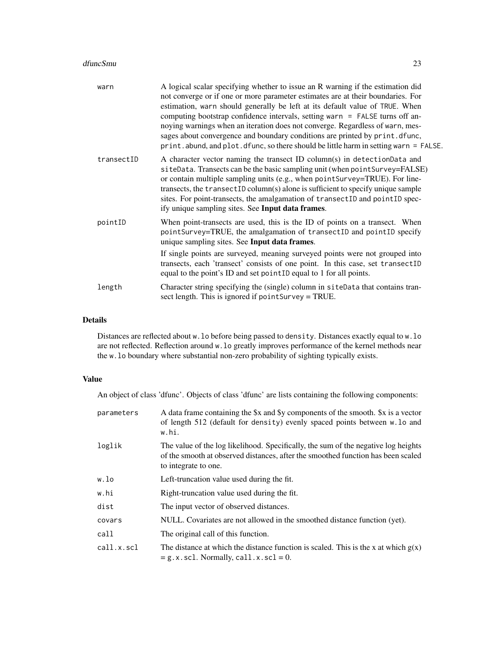#### dfuncSmu 23

| warn       | A logical scalar specifying whether to issue an R warning if the estimation did<br>not converge or if one or more parameter estimates are at their boundaries. For<br>estimation, warn should generally be left at its default value of TRUE. When<br>computing bootstrap confidence intervals, setting warn $=$ FALSE turns off an-<br>noying warnings when an iteration does not converge. Regardless of warn, mes-<br>sages about convergence and boundary conditions are printed by print. dfunc,<br>print. abund, and plot. dfunc, so there should be little harm in setting warn = FALSE. |
|------------|-------------------------------------------------------------------------------------------------------------------------------------------------------------------------------------------------------------------------------------------------------------------------------------------------------------------------------------------------------------------------------------------------------------------------------------------------------------------------------------------------------------------------------------------------------------------------------------------------|
| transectID | A character vector naming the transect ID column(s) in detectionData and<br>siteData. Transects can be the basic sampling unit (when point Survey=FALSE)<br>or contain multiple sampling units (e.g., when point Survey=TRUE). For line-<br>transects, the transectID column(s) alone is sufficient to specify unique sample<br>sites. For point-transects, the amalgamation of transectID and pointID spec-<br>ify unique sampling sites. See Input data frames.                                                                                                                               |
| pointID    | When point-transects are used, this is the ID of points on a transect. When<br>pointSurvey=TRUE, the amalgamation of transectID and pointID specify<br>unique sampling sites. See Input data frames.<br>If single points are surveyed, meaning surveyed points were not grouped into<br>transects, each 'transect' consists of one point. In this case, set transectID<br>equal to the point's ID and set point ID equal to 1 for all points.                                                                                                                                                   |
| length     | Character string specifying the (single) column in siteData that contains tran-<br>sect length. This is ignored if point Survey = TRUE.                                                                                                                                                                                                                                                                                                                                                                                                                                                         |

## Details

Distances are reflected about w.lo before being passed to density. Distances exactly equal to w.lo are not reflected. Reflection around w.lo greatly improves performance of the kernel methods near the w.lo boundary where substantial non-zero probability of sighting typically exists.

## Value

An object of class 'dfunc'. Objects of class 'dfunc' are lists containing the following components:

| parameters | A data frame containing the \$x and \$y components of the smooth. \$x is a vector<br>of length 512 (default for density) evenly spaced points between w. lo and<br>w.hi.                       |
|------------|------------------------------------------------------------------------------------------------------------------------------------------------------------------------------------------------|
| loglik     | The value of the log likelihood. Specifically, the sum of the negative log heights<br>of the smooth at observed distances, after the smoothed function has been scaled<br>to integrate to one. |
| w.lo       | Left-truncation value used during the fit.                                                                                                                                                     |
| w.hi       | Right-truncation value used during the fit.                                                                                                                                                    |
| dist       | The input vector of observed distances.                                                                                                                                                        |
| covars     | NULL. Covariates are not allowed in the smoothed distance function (yet).                                                                                                                      |
| call       | The original call of this function.                                                                                                                                                            |
| call.x.scl | The distance at which the distance function is scaled. This is the x at which $g(x)$<br>$= g.x.scl.$ Normally, call.x.scl = 0.                                                                 |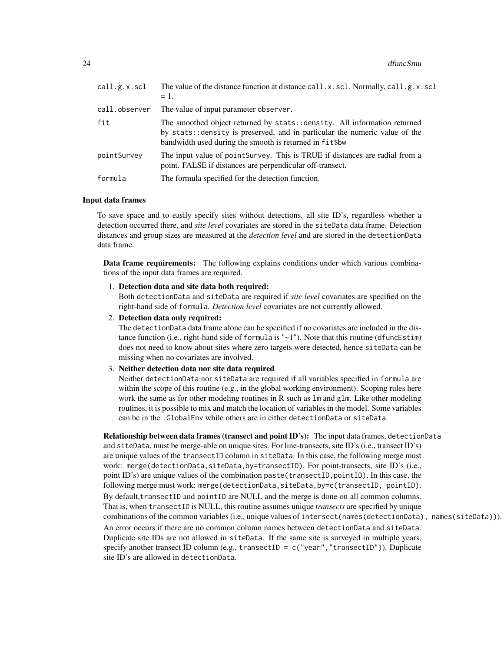| call.g.x.scl  | The value of the distance function at distance call.x.scl. Normally, call.g.x.scl<br>$= 1.$                                                                                                                         |
|---------------|---------------------------------------------------------------------------------------------------------------------------------------------------------------------------------------------------------------------|
| call.observer | The value of input parameter observer.                                                                                                                                                                              |
| fit           | The smoothed object returned by stats::density. All information returned<br>by stats: : density is preserved, and in particular the numeric value of the<br>bandwidth used during the smooth is returned in fit\$bw |
| pointSurvey   | The input value of point Survey. This is TRUE if distances are radial from a<br>point. FALSE if distances are perpendicular off-transect.                                                                           |
| formula       | The formula specified for the detection function.                                                                                                                                                                   |

#### Input data frames

To save space and to easily specify sites without detections, all site ID's, regardless whether a detection occurred there, and *site level* covariates are stored in the siteData data frame. Detection distances and group sizes are measured at the *detection level* and are stored in the detectionData data frame.

Data frame requirements: The following explains conditions under which various combinations of the input data frames are required.

1. Detection data and site data both required:

Both detectionData and siteData are required if *site level* covariates are specified on the right-hand side of formula. *Detection level* covariates are not currently allowed.

2. Detection data only required:

The detectionData data frame alone can be specified if no covariates are included in the distance function (i.e., right-hand side of formula is  $"$  ~1"). Note that this routine (dfuncEstim) does not need to know about sites where zero targets were detected, hence siteData can be missing when no covariates are involved.

3. Neither detection data nor site data required

Neither detectionData nor siteData are required if all variables specified in formula are within the scope of this routine (e.g., in the global working environment). Scoping rules here work the same as for other modeling routines in R such as lm and glm. Like other modeling routines, it is possible to mix and match the location of variables in the model. Some variables can be in the .GlobalEnv while others are in either detectionData or siteData.

Relationship between data frames (transect and point ID's): The input data frames, detectionData and siteData, must be merge-able on unique sites. For line-transects, site ID's (i.e., transect ID's) are unique values of the transectID column in siteData. In this case, the following merge must work: merge(detectionData,siteData,by=transectID). For point-transects, site ID's (i.e., point ID's) are unique values of the combination paste(transectID,pointID). In this case, the following merge must work: merge(detectionData,siteData,by=c(transectID, pointID). By default,transectID and pointID are NULL and the merge is done on all common columns. That is, when transectID is NULL, this routine assumes unique *transects* are specified by unique combinations of the common variables (i.e., unique values of intersect(names(detectionData), names(siteData))). An error occurs if there are no common column names between detectionData and siteData. Duplicate site IDs are not allowed in siteData. If the same site is surveyed in multiple years, specify another transect ID column (e.g., transectID =  $c("year", "transfer"),$  Duplicate site ID's are allowed in detectionData.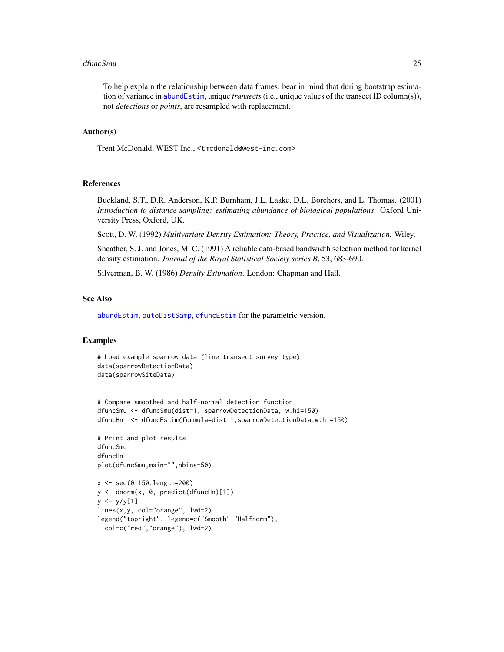#### dfuncSmu 25

To help explain the relationship between data frames, bear in mind that during bootstrap estimation of variance in [abundEstim](#page-4-1), unique *transects* (i.e., unique values of the transect ID column(s)), not *detections* or *points*, are resampled with replacement.

#### Author(s)

Trent McDonald, WEST Inc., <tmcdonald@west-inc.com>

#### References

Buckland, S.T., D.R. Anderson, K.P. Burnham, J.L. Laake, D.L. Borchers, and L. Thomas. (2001) *Introduction to distance sampling: estimating abundance of biological populations*. Oxford University Press, Oxford, UK.

Scott, D. W. (1992) *Multivariate Density Estimation: Theory, Practice, and Visualization.* Wiley.

Sheather, S. J. and Jones, M. C. (1991) A reliable data-based bandwidth selection method for kernel density estimation. *Journal of the Royal Statistical Society series B*, 53, 683-690.

Silverman, B. W. (1986) *Density Estimation*. London: Chapman and Hall.

## See Also

[abundEstim](#page-4-1), [autoDistSamp](#page-9-1), [dfuncEstim](#page-14-1) for the parametric version.

#### Examples

```
# Load example sparrow data (line transect survey type)
data(sparrowDetectionData)
data(sparrowSiteData)
```

```
# Compare smoothed and half-normal detection function
dfuncSmu <- dfuncSmu(dist~1, sparrowDetectionData, w.hi=150)
dfuncHn <- dfuncEstim(formula=dist~1,sparrowDetectionData,w.hi=150)
```
# Print and plot results dfuncSmu dfuncHn plot(dfuncSmu,main="",nbins=50)

```
x <- seq(0,150,length=200)
y <- dnorm(x, 0, predict(dfuncHn)[1])
y \le -y/y[1]lines(x,y, col="orange", lwd=2)
legend("topright", legend=c("Smooth","Halfnorm"),
 col=c("red","orange"), lwd=2)
```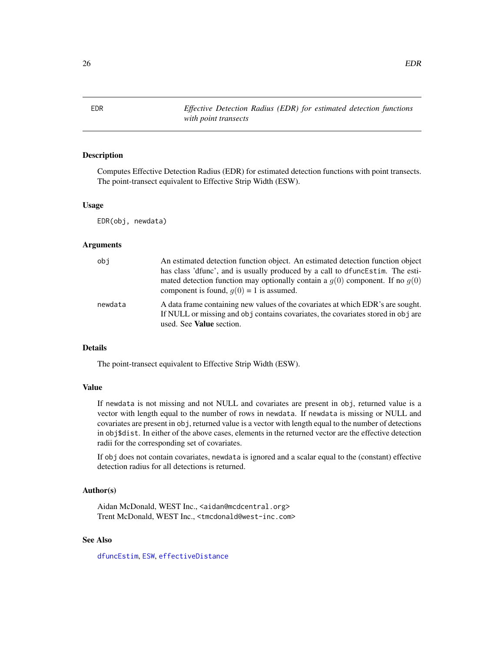#### Description

Computes Effective Detection Radius (EDR) for estimated detection functions with point transects. The point-transect equivalent to Effective Strip Width (ESW).

#### Usage

EDR(obj, newdata)

#### Arguments

| obi     | An estimated detection function object. An estimated detection function object<br>has class 'dfunc', and is usually produced by a call to dfuncEstim. The esti-<br>mated detection function may optionally contain a $q(0)$ component. If no $q(0)$<br>component is found, $q(0) = 1$ is assumed. |
|---------|---------------------------------------------------------------------------------------------------------------------------------------------------------------------------------------------------------------------------------------------------------------------------------------------------|
| newdata | A data frame containing new values of the covariates at which EDR's are sought.<br>If NULL or missing and obj contains covariates, the covariates stored in obj are<br>used. See <b>Value</b> section.                                                                                            |

## Details

The point-transect equivalent to Effective Strip Width (ESW).

## Value

If newdata is not missing and not NULL and covariates are present in obj, returned value is a vector with length equal to the number of rows in newdata. If newdata is missing or NULL and covariates are present in obj, returned value is a vector with length equal to the number of detections in obj\$dist. In either of the above cases, elements in the returned vector are the effective detection radii for the corresponding set of covariates.

If obj does not contain covariates, newdata is ignored and a scalar equal to the (constant) effective detection radius for all detections is returned.

#### Author(s)

Aidan McDonald, WEST Inc., <aidan@mcdcentral.org> Trent McDonald, WEST Inc., <tmcdonald@west-inc.com>

## See Also

[dfuncEstim](#page-14-1), [ESW](#page-29-1), [effectiveDistance](#page-26-1)

<span id="page-25-1"></span><span id="page-25-0"></span>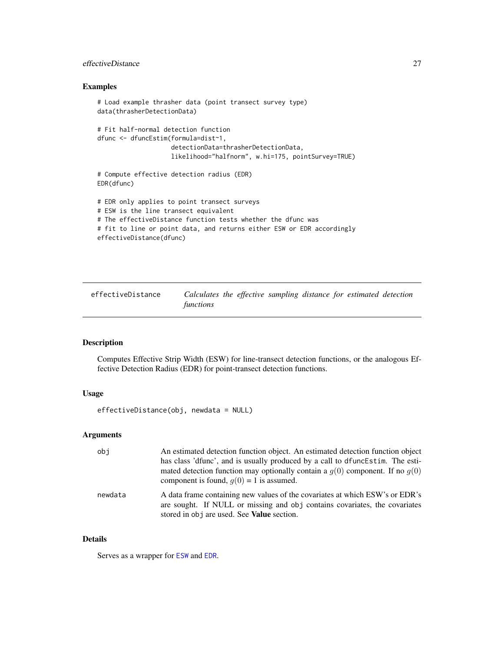## <span id="page-26-0"></span>effectiveDistance 27

## Examples

```
# Load example thrasher data (point transect survey type)
data(thrasherDetectionData)
# Fit half-normal detection function
dfunc <- dfuncEstim(formula=dist~1,
                    detectionData=thrasherDetectionData,
                    likelihood="halfnorm", w.hi=175, pointSurvey=TRUE)
# Compute effective detection radius (EDR)
EDR(dfunc)
# EDR only applies to point transect surveys
# ESW is the line transect equivalent
# The effectiveDistance function tests whether the dfunc was
# fit to line or point data, and returns either ESW or EDR accordingly
effectiveDistance(dfunc)
```
<span id="page-26-1"></span>

| effectiveDistance | Calculates the effective sampling distance for estimated detection |  |  |  |  |
|-------------------|--------------------------------------------------------------------|--|--|--|--|
|                   | functions                                                          |  |  |  |  |

## Description

Computes Effective Strip Width (ESW) for line-transect detection functions, or the analogous Effective Detection Radius (EDR) for point-transect detection functions.

## Usage

```
effectiveDistance(obj, newdata = NULL)
```
## Arguments

| obi     | An estimated detection function object. An estimated detection function object<br>has class 'dfunc', and is usually produced by a call to dfuncEstim. The esti-<br>mated detection function may optionally contain a $q(0)$ component. If no $q(0)$<br>component is found, $q(0) = 1$ is assumed. |
|---------|---------------------------------------------------------------------------------------------------------------------------------------------------------------------------------------------------------------------------------------------------------------------------------------------------|
| newdata | A data frame containing new values of the covariates at which ESW's or EDR's<br>are sought. If NULL or missing and obj contains covariates, the covariates<br>stored in obj are used. See <b>Value</b> section.                                                                                   |

## Details

Serves as a wrapper for [ESW](#page-29-1) and [EDR](#page-25-1).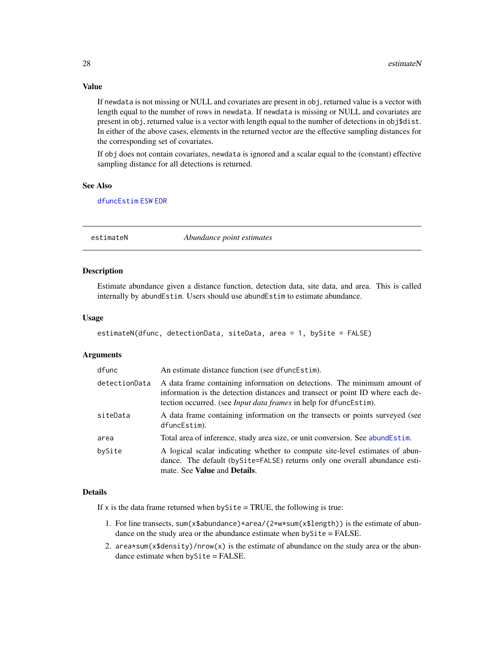## Value

If newdata is not missing or NULL and covariates are present in obj, returned value is a vector with length equal to the number of rows in newdata. If newdata is missing or NULL and covariates are present in obj, returned value is a vector with length equal to the number of detections in obj\$dist. In either of the above cases, elements in the returned vector are the effective sampling distances for the corresponding set of covariates.

If obj does not contain covariates, newdata is ignored and a scalar equal to the (constant) effective sampling distance for all detections is returned.

## See Also

[dfuncEstim](#page-14-1) [ESW](#page-29-1) [EDR](#page-25-1)

<span id="page-27-1"></span>estimateN *Abundance point estimates*

## **Description**

Estimate abundance given a distance function, detection data, site data, and area. This is called internally by abundEstim. Users should use abundEstim to estimate abundance.

#### Usage

```
estimateN(dfunc, detectionData, siteData, area = 1, bySite = FALSE)
```
#### Arguments

| dfunc         | An estimate distance function (see dfuncEstim).                                                                                                                                                                                        |
|---------------|----------------------------------------------------------------------------------------------------------------------------------------------------------------------------------------------------------------------------------------|
| detectionData | A data frame containing information on detections. The minimum amount of<br>information is the detection distances and transect or point ID where each de-<br>tection occurred. (see <i>Input data frames</i> in help for dfuncEstim). |
| siteData      | A data frame containing information on the transects or points surveyed (see<br>dfuncEstim).                                                                                                                                           |
| area          | Total area of inference, study area size, or unit conversion. See abundEstim.                                                                                                                                                          |
| bySite        | A logical scalar indicating whether to compute site-level estimates of abun-<br>dance. The default (by Site=FALSE) returns only one overall abundance esti-<br>mate. See <b>Value</b> and <b>Details</b> .                             |

## Details

If x is the data frame returned when by $\text{Site} = \text{TRUE}$ , the following is true:

- 1. For line transects, sum(x\$abundance)\*area/(2\*w\*sum(x\$length)) is the estimate of abundance on the study area or the abundance estimate when bySite = FALSE.
- 2. area\*sum(x\$density)/nrow(x) is the estimate of abundance on the study area or the abundance estimate when bySite = FALSE.

<span id="page-27-0"></span>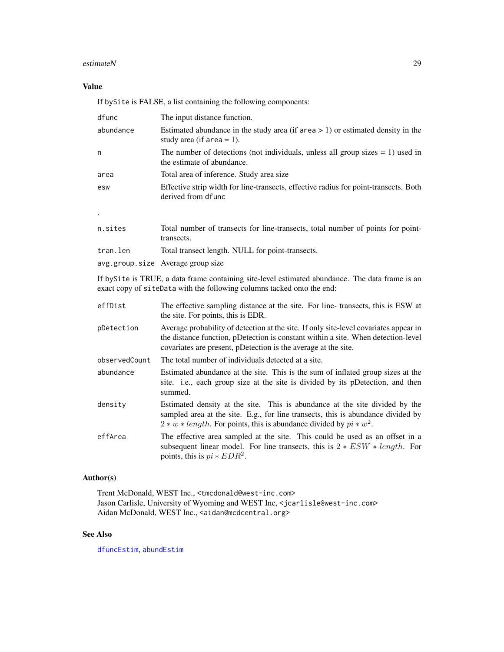#### estimateN 29

## Value

If bySite is FALSE, a list containing the following components:

| dfunc     | The input distance function.                                                                                       |
|-----------|--------------------------------------------------------------------------------------------------------------------|
| abundance | Estimated abundance in the study area (if area $> 1$ ) or estimated density in the<br>study area (if area $= 1$ ). |
| n         | The number of detections (not individuals, unless all group sizes $= 1$ ) used in<br>the estimate of abundance.    |
| area      | Total area of inference. Study area size                                                                           |
| esw       | Effective strip width for line-transects, effective radius for point-transects. Both<br>derived from dfunc         |
|           |                                                                                                                    |
| n.sites   | Total number of transects for line-transects, total number of points for point-<br>transects.                      |
| tran.len  | Total transect length. NULL for point-transects.                                                                   |

avg.group.size Average group size

If bySite is TRUE, a data frame containing site-level estimated abundance. The data frame is an exact copy of siteData with the following columns tacked onto the end:

| effDist       | The effective sampling distance at the site. For line-transects, this is ESW at<br>the site. For points, this is EDR.                                                                                                                        |
|---------------|----------------------------------------------------------------------------------------------------------------------------------------------------------------------------------------------------------------------------------------------|
| pDetection    | Average probability of detection at the site. If only site-level covariates appear in<br>the distance function, pDetection is constant within a site. When detection-level<br>covariates are present, pDetection is the average at the site. |
| observedCount | The total number of individuals detected at a site.                                                                                                                                                                                          |
| abundance     | Estimated abundance at the site. This is the sum of inflated group sizes at the<br>site. <i>i.e.</i> , each group size at the site is divided by its pDetection, and then<br>summed.                                                         |
| density       | Estimated density at the site. This is abundance at the site divided by the<br>sampled area at the site. E.g., for line transects, this is abundance divided by<br>$2 * w * length$ . For points, this is abundance divided by $pi * w^2$ .  |
| effArea       | The effective area sampled at the site. This could be used as an offset in a<br>subsequent linear model. For line transects, this is $2 * ESW * length$ . For<br>points, this is $pi * EDR^2$ .                                              |

## Author(s)

Trent McDonald, WEST Inc., <tmcdonald@west-inc.com> Jason Carlisle, University of Wyoming and WEST Inc, <jcarlisle@west-inc.com> Aidan McDonald, WEST Inc., <aidan@mcdcentral.org>

## See Also

[dfuncEstim](#page-14-1), [abundEstim](#page-4-1)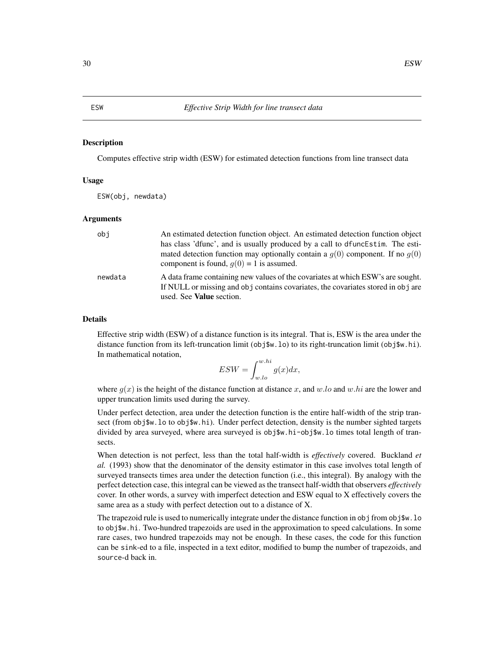#### <span id="page-29-1"></span><span id="page-29-0"></span>Description

Computes effective strip width (ESW) for estimated detection functions from line transect data

## Usage

ESW(obj, newdata)

#### Arguments

| obi     | An estimated detection function object. An estimated detection function object<br>has class 'dfunc', and is usually produced by a call to dfunce stim. The esti-<br>mated detection function may optionally contain a $q(0)$ component. If no $q(0)$<br>component is found, $q(0) = 1$ is assumed. |
|---------|----------------------------------------------------------------------------------------------------------------------------------------------------------------------------------------------------------------------------------------------------------------------------------------------------|
| newdata | A data frame containing new values of the covariates at which ESW's are sought.<br>If NULL or missing and obj contains covariates, the covariates stored in obj are<br>used. See Value section.                                                                                                    |

#### Details

Effective strip width (ESW) of a distance function is its integral. That is, ESW is the area under the distance function from its left-truncation limit (obj\$w.lo) to its right-truncation limit (obj\$w.hi). In mathematical notation,

$$
ESW = \int_{w,lo}^{w.hi} g(x)dx,
$$

where  $g(x)$  is the height of the distance function at distance x, and w.lo and w.hi are the lower and upper truncation limits used during the survey.

Under perfect detection, area under the detection function is the entire half-width of the strip transect (from obj\$w.lo to obj\$w.hi). Under perfect detection, density is the number sighted targets divided by area surveyed, where area surveyed is obj\$w.hi-obj\$w.lo times total length of transects.

When detection is not perfect, less than the total half-width is *effectively* covered. Buckland *et al.* (1993) show that the denominator of the density estimator in this case involves total length of surveyed transects times area under the detection function (i.e., this integral). By analogy with the perfect detection case, this integral can be viewed as the transect half-width that observers *effectively* cover. In other words, a survey with imperfect detection and ESW equal to X effectively covers the same area as a study with perfect detection out to a distance of X.

The trapezoid rule is used to numerically integrate under the distance function in obj from obj\$w. lo to obj\$w.hi. Two-hundred trapezoids are used in the approximation to speed calculations. In some rare cases, two hundred trapezoids may not be enough. In these cases, the code for this function can be sink-ed to a file, inspected in a text editor, modified to bump the number of trapezoids, and source-d back in.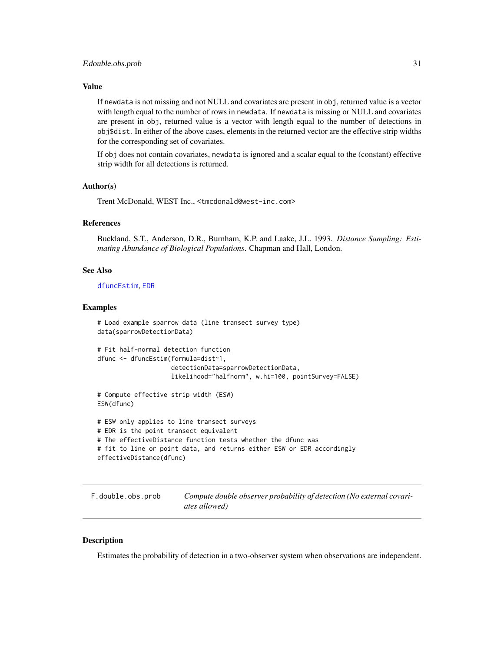#### <span id="page-30-0"></span>Value

If newdata is not missing and not NULL and covariates are present in obj, returned value is a vector with length equal to the number of rows in newdata. If newdata is missing or NULL and covariates are present in obj, returned value is a vector with length equal to the number of detections in obj\$dist. In either of the above cases, elements in the returned vector are the effective strip widths for the corresponding set of covariates.

If obj does not contain covariates, newdata is ignored and a scalar equal to the (constant) effective strip width for all detections is returned.

#### Author(s)

Trent McDonald, WEST Inc., <tmcdonald@west-inc.com>

#### References

Buckland, S.T., Anderson, D.R., Burnham, K.P. and Laake, J.L. 1993. *Distance Sampling: Estimating Abundance of Biological Populations*. Chapman and Hall, London.

## See Also

[dfuncEstim](#page-14-1), [EDR](#page-25-1)

#### Examples

```
# Load example sparrow data (line transect survey type)
data(sparrowDetectionData)
# Fit half-normal detection function
dfunc <- dfuncEstim(formula=dist~1,
                    detectionData=sparrowDetectionData,
                    likelihood="halfnorm", w.hi=100, pointSurvey=FALSE)
# Compute effective strip width (ESW)
ESW(dfunc)
# ESW only applies to line transect surveys
# EDR is the point transect equivalent
# The effectiveDistance function tests whether the dfunc was
# fit to line or point data, and returns either ESW or EDR accordingly
effectiveDistance(dfunc)
```
F.double.obs.prob *Compute double observer probability of detection (No external covariates allowed)*

## Description

Estimates the probability of detection in a two-observer system when observations are independent.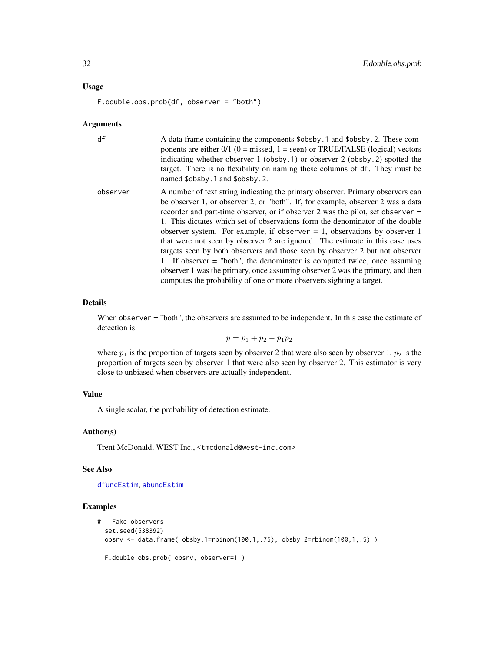#### Usage

F.double.obs.prob(df, observer = "both")

#### Arguments

| df       | A data frame containing the components \$obsby. 1 and \$obsby. 2. These com-<br>ponents are either $0/1$ (0 = missed, 1 = seen) or TRUE/FALSE (logical) vectors<br>indicating whether observer 1 (obsby.1) or observer 2 (obsby.2) spotted the<br>target. There is no flexibility on naming these columns of df. They must be<br>named \$obsby.1 and \$obsby.2.                                                                                                                                                                                                                                                                                                                                                                                                                                                                  |
|----------|----------------------------------------------------------------------------------------------------------------------------------------------------------------------------------------------------------------------------------------------------------------------------------------------------------------------------------------------------------------------------------------------------------------------------------------------------------------------------------------------------------------------------------------------------------------------------------------------------------------------------------------------------------------------------------------------------------------------------------------------------------------------------------------------------------------------------------|
| observer | A number of text string indicating the primary observer. Primary observers can<br>be observer 1, or observer 2, or "both". If, for example, observer 2 was a data<br>recorder and part-time observer, or if observer 2 was the pilot, set observer $=$<br>1. This dictates which set of observations form the denominator of the double<br>observer system. For example, if observer $= 1$ , observations by observer 1<br>that were not seen by observer 2 are ignored. The estimate in this case uses<br>targets seen by both observers and those seen by observer 2 but not observer<br>1. If observer $=$ "both", the denominator is computed twice, once assuming<br>observer 1 was the primary, once assuming observer 2 was the primary, and then<br>computes the probability of one or more observers sighting a target. |

#### Details

When observer = "both", the observers are assumed to be independent. In this case the estimate of detection is

 $p = p_1 + p_2 - p_1p_2$ 

where  $p_1$  is the proportion of targets seen by observer 2 that were also seen by observer 1,  $p_2$  is the proportion of targets seen by observer 1 that were also seen by observer 2. This estimator is very close to unbiased when observers are actually independent.

#### Value

A single scalar, the probability of detection estimate.

#### Author(s)

Trent McDonald, WEST Inc., <tmcdonald@west-inc.com>

#### See Also

[dfuncEstim](#page-14-1), [abundEstim](#page-4-1)

## Examples

```
# Fake observers
 set.seed(538392)
 obsrv <- data.frame( obsby.1=rbinom(100,1,.75), obsby.2=rbinom(100,1,.5) )
 F.double.obs.prob( obsrv, observer=1 )
```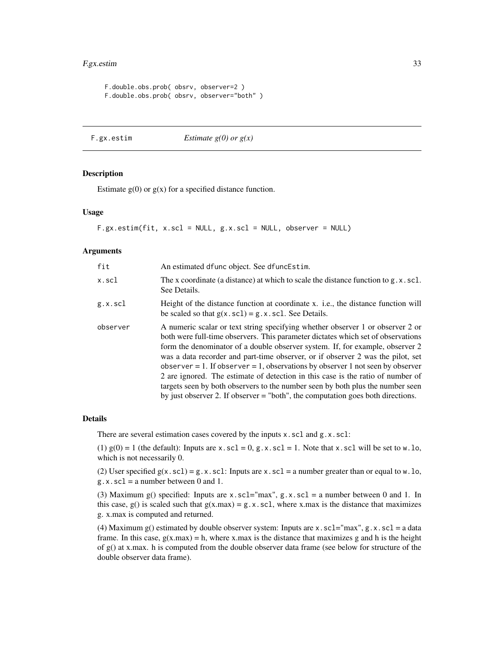## <span id="page-32-0"></span>F.gx.estim 33

F.double.obs.prob( obsrv, observer=2 ) F.double.obs.prob( obsrv, observer="both" )

```
F.gx.estim Estimate g(0) or g(x)
```
#### Description

Estimate  $g(0)$  or  $g(x)$  for a specified distance function.

## Usage

F.gx.estim(fit, x.scl = NULL, g.x.scl = NULL, observer = NULL)

#### Arguments

| fit      | An estimated dfunc object. See dfuncEstim.                                                                                                                                                                                                                                                                                                                                                                                                                                                                                                                                                                                                                                         |
|----------|------------------------------------------------------------------------------------------------------------------------------------------------------------------------------------------------------------------------------------------------------------------------------------------------------------------------------------------------------------------------------------------------------------------------------------------------------------------------------------------------------------------------------------------------------------------------------------------------------------------------------------------------------------------------------------|
| x.scl    | The x coordinate (a distance) at which to scale the distance function to $g.x.sc1$ .<br>See Details.                                                                                                                                                                                                                                                                                                                                                                                                                                                                                                                                                                               |
| g.x.scl  | Height of the distance function at coordinate x, i.e., the distance function will<br>be scaled so that $g(x \cdot \text{sc1}) = g \cdot x \cdot \text{sc1}$ . See Details.                                                                                                                                                                                                                                                                                                                                                                                                                                                                                                         |
| observer | A numeric scalar or text string specifying whether observer 1 or observer 2 or<br>both were full-time observers. This parameter dictates which set of observations<br>form the denominator of a double observer system. If, for example, observer 2<br>was a data recorder and part-time observer, or if observer 2 was the pilot, set<br>observer = 1. If observer = 1, observations by observer 1 not seen by observer<br>2 are ignored. The estimate of detection in this case is the ratio of number of<br>targets seen by both observers to the number seen by both plus the number seen<br>by just observer 2. If observer $=$ "both", the computation goes both directions. |

## Details

There are several estimation cases covered by the inputs  $x$ . scl and  $g$ .  $x$ . scl:

(1)  $g(0) = 1$  (the default): Inputs are x.scl = 0, g.x.scl = 1. Note that x.scl will be set to w.lo, which is not necessarily 0.

(2) User specified  $g(x, scl) = g.x.scl$ : Inputs are x.scl = a number greater than or equal to w.lo, g.x.scl = a number between 0 and 1.

(3) Maximum g() specified: Inputs are  $x$ .scl="max", g.x.scl = a number between 0 and 1. In this case, g() is scaled such that  $g(x.max) = g.x.scl$ , where x.max is the distance that maximizes g. x.max is computed and returned.

(4) Maximum g() estimated by double observer system: Inputs are x.scl="max", g.x.scl = a data frame. In this case,  $g(x.max) = h$ , where x max is the distance that maximizes g and h is the height of g() at x.max. h is computed from the double observer data frame (see below for structure of the double observer data frame).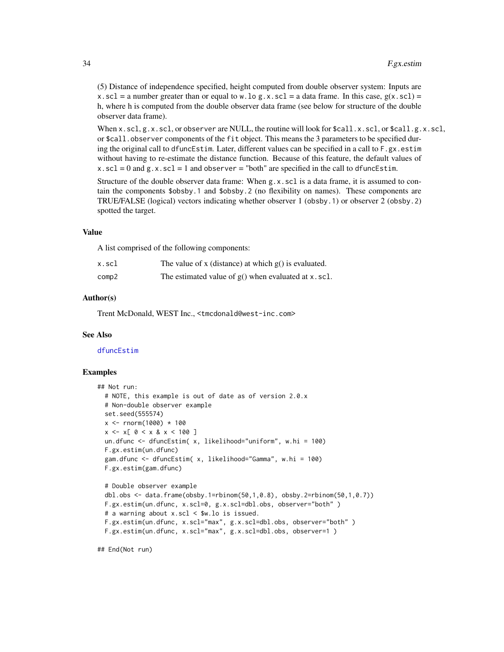(5) Distance of independence specified, height computed from double observer system: Inputs are x.scl = a number greater than or equal to w.lo g.x.scl = a data frame. In this case,  $g(x, scl)$  = h, where h is computed from the double observer data frame (see below for structure of the double observer data frame).

When  $x$ .scl,  $g$ . $x$ .scl, or observer are NULL, the routine will look for  $\text{\$call}.x$ .scl, or  $\text{\$call}.g.x$ .scl, or  $\text{\$call.}$  observer components of the fit object. This means the 3 parameters to be specified during the original call to dfuncEstim. Later, different values can be specified in a call to F.gx.estim without having to re-estimate the distance function. Because of this feature, the default values of  $x.$ scl = 0 and  $g.$ x.scl = 1 and observer = "both" are specified in the call to dfuncEstim.

Structure of the double observer data frame: When g.x.scl is a data frame, it is assumed to contain the components \$obsby.1 and \$obsby.2 (no flexibility on names). These components are TRUE/FALSE (logical) vectors indicating whether observer 1 (obsby.1) or observer 2 (obsby.2) spotted the target.

#### Value

A list comprised of the following components:

| x.scl | The value of x (distance) at which $g()$ is evaluated. |
|-------|--------------------------------------------------------|
| comp2 | The estimated value of $g()$ when evaluated at x.scl.  |

## Author(s)

Trent McDonald, WEST Inc., <tmcdonald@west-inc.com>

## See Also

#### [dfuncEstim](#page-14-1)

#### Examples

```
## Not run:
 # NOTE, this example is out of date as of version 2.0.x
 # Non-double observer example
 set.seed(555574)
 x < - rnorm(1000) * 100
 x \le -x[0 \le x 8 x < 100]un.dfunc <- dfuncEstim( x, likelihood="uniform", w.hi = 100)
 F.gx.estim(un.dfunc)
 gam.dfunc <- dfuncEstim( x, likelihood="Gamma", w.hi = 100)
 F.gx.estim(gam.dfunc)
 # Double observer example
 dbl.obs <- data.frame(obsby.1=rbinom(50,1,0.8), obsby.2=rbinom(50,1,0.7))
 F.gx.estim(un.dfunc, x.scl=0, g.x.scl=dbl.obs, observer="both" )
 # a warning about x.scl < $w.lo is issued.
 F.gx.estim(un.dfunc, x.scl="max", g.x.scl=dbl.obs, observer="both" )
 F.gx.estim(un.dfunc, x.scl="max", g.x.scl=dbl.obs, observer=1 )
```
## End(Not run)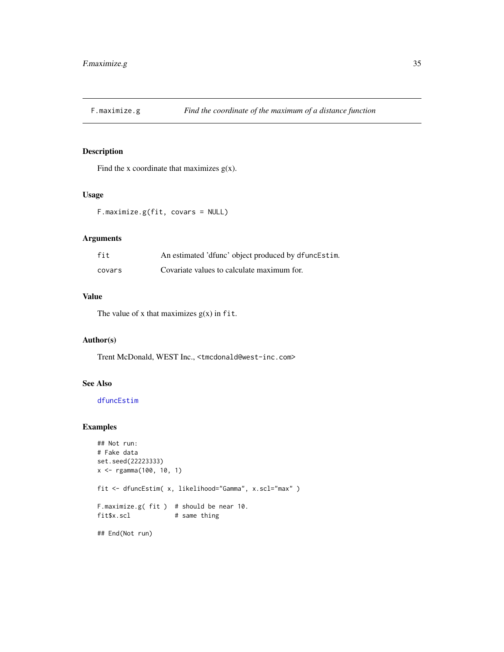<span id="page-34-0"></span>

## Description

Find the x coordinate that maximizes  $g(x)$ .

## Usage

F.maximize.g(fit, covars = NULL)

## Arguments

| fit    | An estimated 'dfunc' object produced by dfuncEstim. |
|--------|-----------------------------------------------------|
| covars | Covariate values to calculate maximum for.          |

## Value

The value of x that maximizes  $g(x)$  in fit.

## Author(s)

Trent McDonald, WEST Inc., <tmcdonald@west-inc.com>

#### See Also

[dfuncEstim](#page-14-1)

## Examples

```
## Not run:
# Fake data
set.seed(22223333)
x <- rgamma(100, 10, 1)
fit <- dfuncEstim( x, likelihood="Gamma", x.scl="max" )
F.maximize.g( fit ) # should be near 10.
fit$x.scl # same thing
## End(Not run)
```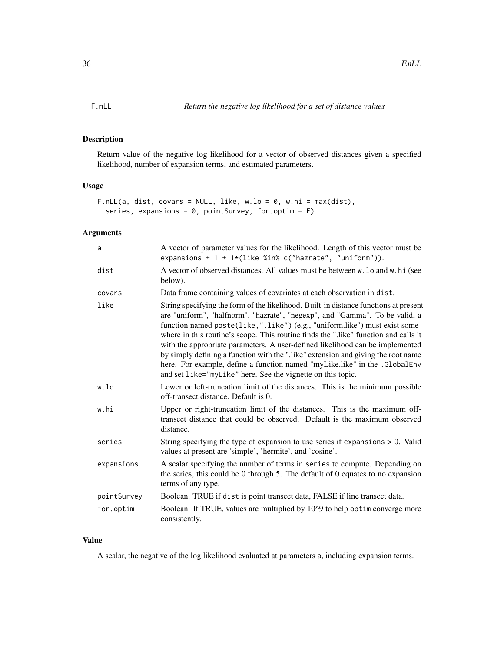#### <span id="page-35-0"></span>Description

Return value of the negative log likelihood for a vector of observed distances given a specified likelihood, number of expansion terms, and estimated parameters.

## Usage

```
F.nLL(a, dist, covars = NULL, like, w.lo = 0, w.hi = max(dist),
  series, expansions = 0, pointSurvey, for.optim = F)
```
## Arguments

| a           | A vector of parameter values for the likelihood. Length of this vector must be<br>expansions + $1 + 1*(like %in % c("hazrate", "uniform"))$ .                                                                                                                                                                                                                                                                                                                                                                                                                                                                                                              |
|-------------|------------------------------------------------------------------------------------------------------------------------------------------------------------------------------------------------------------------------------------------------------------------------------------------------------------------------------------------------------------------------------------------------------------------------------------------------------------------------------------------------------------------------------------------------------------------------------------------------------------------------------------------------------------|
| dist        | A vector of observed distances. All values must be between w. lo and w. hi (see<br>below).                                                                                                                                                                                                                                                                                                                                                                                                                                                                                                                                                                 |
| covars      | Data frame containing values of covariates at each observation in dist.                                                                                                                                                                                                                                                                                                                                                                                                                                                                                                                                                                                    |
| like        | String specifying the form of the likelihood. Built-in distance functions at present<br>are "uniform", "halfnorm", "hazrate", "negexp", and "Gamma". To be valid, a<br>function named paste(like,".like") (e.g., "uniform.like") must exist some-<br>where in this routine's scope. This routine finds the ".like" function and calls it<br>with the appropriate parameters. A user-defined likelihood can be implemented<br>by simply defining a function with the "like" extension and giving the root name<br>here. For example, define a function named "myLike.like" in the .GlobalEnv<br>and set like="myLike" here. See the vignette on this topic. |
| w.lo        | Lower or left-truncation limit of the distances. This is the minimum possible<br>off-transect distance. Default is 0.                                                                                                                                                                                                                                                                                                                                                                                                                                                                                                                                      |
| w.hi        | Upper or right-truncation limit of the distances. This is the maximum off-<br>transect distance that could be observed. Default is the maximum observed<br>distance.                                                                                                                                                                                                                                                                                                                                                                                                                                                                                       |
| series      | String specifying the type of expansion to use series if expansions $> 0$ . Valid<br>values at present are 'simple', 'hermite', and 'cosine'.                                                                                                                                                                                                                                                                                                                                                                                                                                                                                                              |
| expansions  | A scalar specifying the number of terms in series to compute. Depending on<br>the series, this could be 0 through 5. The default of 0 equates to no expansion<br>terms of any type.                                                                                                                                                                                                                                                                                                                                                                                                                                                                        |
| pointSurvey | Boolean. TRUE if dist is point transect data, FALSE if line transect data.                                                                                                                                                                                                                                                                                                                                                                                                                                                                                                                                                                                 |
| for.optim   | Boolean. If TRUE, values are multiplied by 10^9 to help optim converge more<br>consistently.                                                                                                                                                                                                                                                                                                                                                                                                                                                                                                                                                               |

## Value

A scalar, the negative of the log likelihood evaluated at parameters a, including expansion terms.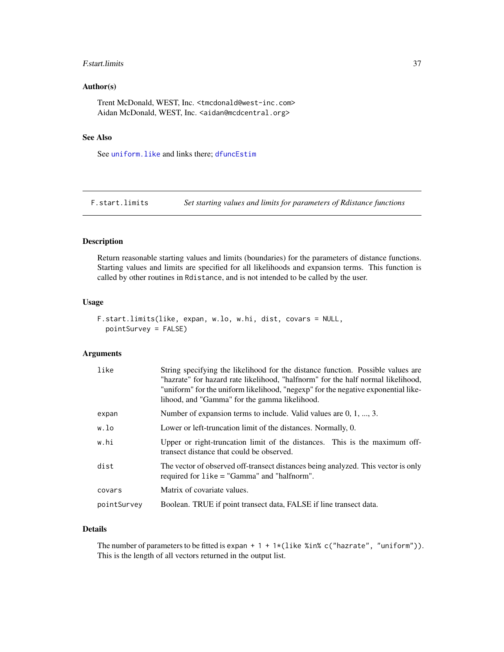#### F.start.limits 37

## Author(s)

Trent McDonald, WEST, Inc. <tmcdonald@west-inc.com> Aidan McDonald, WEST, Inc. <aidan@mcdcentral.org>

### See Also

See [uniform.like](#page-69-0) and links there; [dfuncEstim](#page-14-0)

F.start.limits *Set starting values and limits for parameters of Rdistance functions*

## Description

Return reasonable starting values and limits (boundaries) for the parameters of distance functions. Starting values and limits are specified for all likelihoods and expansion terms. This function is called by other routines in Rdistance, and is not intended to be called by the user.

### Usage

```
F.start.limits(like, expan, w.lo, w.hi, dist, covars = NULL,
 pointSurvey = FALSE)
```
## Arguments

| like        | String specifying the likelihood for the distance function. Possible values are<br>"hazrate" for hazard rate likelihood, "halfnorm" for the half normal likelihood,<br>"uniform" for the uniform likelihood, "negexp" for the negative exponential like-<br>lihood, and "Gamma" for the gamma likelihood. |
|-------------|-----------------------------------------------------------------------------------------------------------------------------------------------------------------------------------------------------------------------------------------------------------------------------------------------------------|
| expan       | Number of expansion terms to include. Valid values are $0, 1, , 3$ .                                                                                                                                                                                                                                      |
| w.lo        | Lower or left-truncation limit of the distances. Normally, 0.                                                                                                                                                                                                                                             |
| w.hi        | Upper or right-truncation limit of the distances. This is the maximum off-<br>transect distance that could be observed.                                                                                                                                                                                   |
| dist        | The vector of observed off-transect distances being analyzed. This vector is only<br>required for $like = "Gamma"$ and "halfnorm".                                                                                                                                                                        |
| covars      | Matrix of covariate values.                                                                                                                                                                                                                                                                               |
| pointSurvey | Boolean. TRUE if point transect data, FALSE if line transect data.                                                                                                                                                                                                                                        |

# Details

The number of parameters to be fitted is expan +  $1 + 1 \times (like \times in \times c("hazrate", "uniform"))$ . This is the length of all vectors returned in the output list.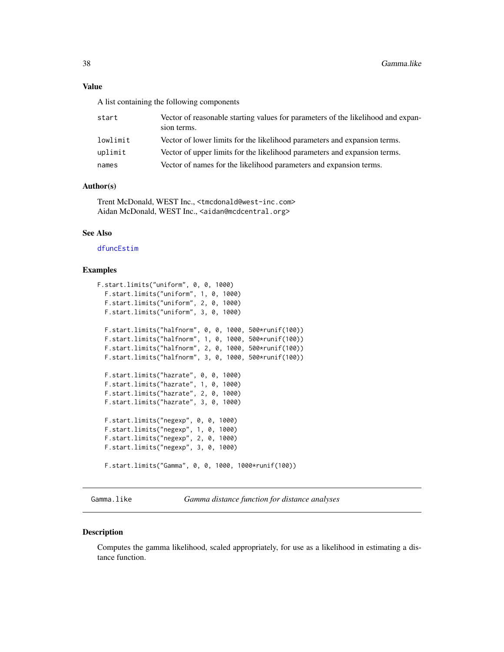## Value

A list containing the following components

| start    | Vector of reasonable starting values for parameters of the likelihood and expan-<br>sion terms. |
|----------|-------------------------------------------------------------------------------------------------|
| lowlimit | Vector of lower limits for the likelihood parameters and expansion terms.                       |
| uplimit  | Vector of upper limits for the likelihood parameters and expansion terms.                       |
| names    | Vector of names for the likelihood parameters and expansion terms.                              |

## Author(s)

Trent McDonald, WEST Inc., <tmcdonald@west-inc.com> Aidan McDonald, WEST Inc., <aidan@mcdcentral.org>

## See Also

[dfuncEstim](#page-14-0)

### Examples

```
F.start.limits("uniform", 0, 0, 1000)
 F.start.limits("uniform", 1, 0, 1000)
 F.start.limits("uniform", 2, 0, 1000)
 F.start.limits("uniform", 3, 0, 1000)
 F.start.limits("halfnorm", 0, 0, 1000, 500*runif(100))
 F.start.limits("halfnorm", 1, 0, 1000, 500*runif(100))
  F.start.limits("halfnorm", 2, 0, 1000, 500*runif(100))
  F.start.limits("halfnorm", 3, 0, 1000, 500*runif(100))
 F.start.limits("hazrate", 0, 0, 1000)
 F.start.limits("hazrate", 1, 0, 1000)
 F.start.limits("hazrate", 2, 0, 1000)
 F.start.limits("hazrate", 3, 0, 1000)
 F.start.limits("negexp", 0, 0, 1000)
 F.start.limits("negexp", 1, 0, 1000)
  F.start.limits("negexp", 2, 0, 1000)
  F.start.limits("negexp", 3, 0, 1000)
 F.start.limits("Gamma", 0, 0, 1000, 1000*runif(100))
```
<span id="page-37-0"></span>Gamma.like *Gamma distance function for distance analyses*

### Description

Computes the gamma likelihood, scaled appropriately, for use as a likelihood in estimating a distance function.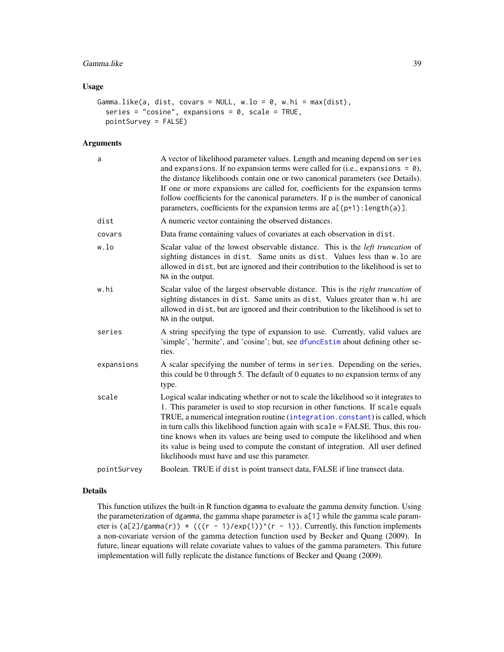## Gamma.like 39

## Usage

```
Gamma.like(a, dist, covars = NULL, w.lo = 0, w.hi = max(dist),
  series = "cosine", expansions = 0, scale = TRUE,
 pointSurvey = FALSE)
```
#### Arguments

| a           | A vector of likelihood parameter values. Length and meaning depend on series<br>and expansions. If no expansion terms were called for (i.e., expansions = $\theta$ ),<br>the distance likelihoods contain one or two canonical parameters (see Details).<br>If one or more expansions are called for, coefficients for the expansion terms<br>follow coefficients for the canonical parameters. If p is the number of canonical<br>parameters, coefficients for the expansion terms are $a[(p+1):length(a)].$                                                     |
|-------------|-------------------------------------------------------------------------------------------------------------------------------------------------------------------------------------------------------------------------------------------------------------------------------------------------------------------------------------------------------------------------------------------------------------------------------------------------------------------------------------------------------------------------------------------------------------------|
| dist        | A numeric vector containing the observed distances.                                                                                                                                                                                                                                                                                                                                                                                                                                                                                                               |
| covars      | Data frame containing values of covariates at each observation in dist.                                                                                                                                                                                                                                                                                                                                                                                                                                                                                           |
| w.lo        | Scalar value of the lowest observable distance. This is the <i>left truncation</i> of<br>sighting distances in dist. Same units as dist. Values less than w.lo are<br>allowed in dist, but are ignored and their contribution to the likelihood is set to<br>NA in the output.                                                                                                                                                                                                                                                                                    |
| w.hi        | Scalar value of the largest observable distance. This is the right truncation of<br>sighting distances in dist. Same units as dist. Values greater than w.hi are<br>allowed in dist, but are ignored and their contribution to the likelihood is set to<br>NA in the output.                                                                                                                                                                                                                                                                                      |
| series      | A string specifying the type of expansion to use. Currently, valid values are<br>'simple', 'hermite', and 'cosine'; but, see dfuncEstim about defining other se-<br>ries.                                                                                                                                                                                                                                                                                                                                                                                         |
| expansions  | A scalar specifying the number of terms in series. Depending on the series,<br>this could be 0 through 5. The default of 0 equates to no expansion terms of any<br>type.                                                                                                                                                                                                                                                                                                                                                                                          |
| scale       | Logical scalar indicating whether or not to scale the likelihood so it integrates to<br>1. This parameter is used to stop recursion in other functions. If scale equals<br>TRUE, a numerical integration routine (integration.constant) is called, which<br>in turn calls this likelihood function again with scale = FALSE. Thus, this rou-<br>tine knows when its values are being used to compute the likelihood and when<br>its value is being used to compute the constant of integration. All user defined<br>likelihoods must have and use this parameter. |
| pointSurvey | Boolean. TRUE if dist is point transect data, FALSE if line transect data.                                                                                                                                                                                                                                                                                                                                                                                                                                                                                        |

## Details

This function utilizes the built-in R function dgamma to evaluate the gamma density function. Using the parameterization of dgamma, the gamma shape parameter is a[1] while the gamma scale parameter is  $(a[2]/\text{gamma}(r)) * ((r - 1)/\text{exp}(1))^(r - 1)$ . Currently, this function implements a non-covariate version of the gamma detection function used by Becker and Quang (2009). In future, linear equations will relate covariate values to values of the gamma parameters. This future implementation will fully replicate the distance functions of Becker and Quang (2009).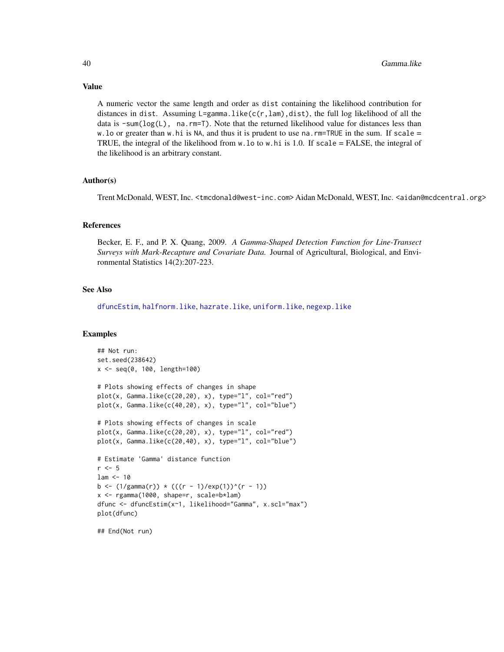A numeric vector the same length and order as dist containing the likelihood contribution for distances in dist. Assuming  $L=gamma$ amma.like(c(r,lam),dist), the full log likelihood of all the data is  $\text{-sum}(\log(L))$ , na.rm=T). Note that the returned likelihood value for distances less than w. lo or greater than w. hi is NA, and thus it is prudent to use na.  $rm = TRUE$  in the sum. If scale  $=$ TRUE, the integral of the likelihood from  $w \cdot \nu$ . Lo to  $w \cdot \nu$  is 1.0. If scale = FALSE, the integral of the likelihood is an arbitrary constant.

## Author(s)

Trent McDonald, WEST, Inc. <tmcdonald@west-inc.com> Aidan McDonald, WEST, Inc. <aidan@mcdcentral.org>

#### References

Becker, E. F., and P. X. Quang, 2009. *A Gamma-Shaped Detection Function for Line-Transect Surveys with Mark-Recapture and Covariate Data.* Journal of Agricultural, Biological, and Environmental Statistics 14(2):207-223.

#### See Also

[dfuncEstim](#page-14-0), [halfnorm.like](#page-40-0), [hazrate.like](#page-43-0), [uniform.like](#page-69-0), [negexp.like](#page-48-0)

#### Examples

```
## Not run:
set.seed(238642)
x <- seq(0, 100, length=100)
# Plots showing effects of changes in shape
plot(x, Gamma.like(c(20,20), x), type="l", col="red")
plot(x, Gamma.like(c(40,20), x), type="l", col="blue")
# Plots showing effects of changes in scale
plot(x, Gamma.like(c(20,20), x), type="1", col="red")plot(x, Gamma.like(c(20,40), x), type="1", col="blue")# Estimate 'Gamma' distance function
r < -5lam < - 10b <- (1/\text{gamma}(r)) * ((r - 1)/\text{exp}(1))^(r - 1)x <- rgamma(1000, shape=r, scale=b*lam)
dfunc <- dfuncEstim(x~1, likelihood="Gamma", x.scl="max")
plot(dfunc)
```
## End(Not run)

# Value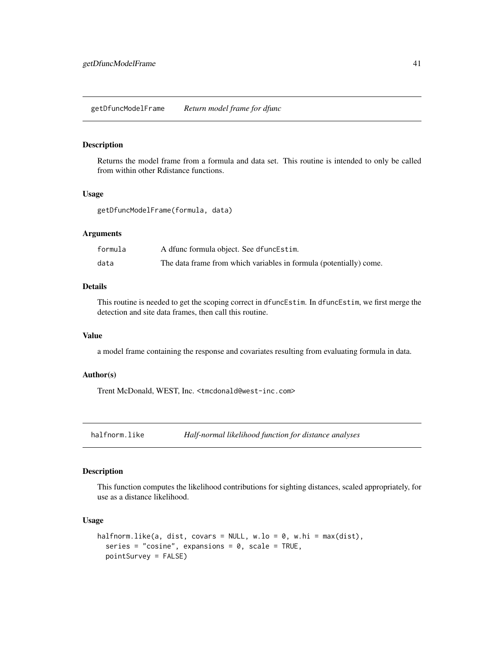## Description

Returns the model frame from a formula and data set. This routine is intended to only be called from within other Rdistance functions.

## Usage

getDfuncModelFrame(formula, data)

#### **Arguments**

| formula | A dfunc formula object. See dfuncEstim.                            |
|---------|--------------------------------------------------------------------|
| data    | The data frame from which variables in formula (potentially) come. |

# Details

This routine is needed to get the scoping correct in dfuncEstim. In dfuncEstim, we first merge the detection and site data frames, then call this routine.

## Value

a model frame containing the response and covariates resulting from evaluating formula in data.

### Author(s)

Trent McDonald, WEST, Inc. <tmcdonald@west-inc.com>

<span id="page-40-0"></span>halfnorm.like *Half-normal likelihood function for distance analyses*

### Description

This function computes the likelihood contributions for sighting distances, scaled appropriately, for use as a distance likelihood.

## Usage

```
halfnorm.like(a, dist, covars = NULL, w.lo = 0, w.hi = max(dist),
  series = "cosine", expansions = 0, scale = TRUE,
  pointSurvey = FALSE)
```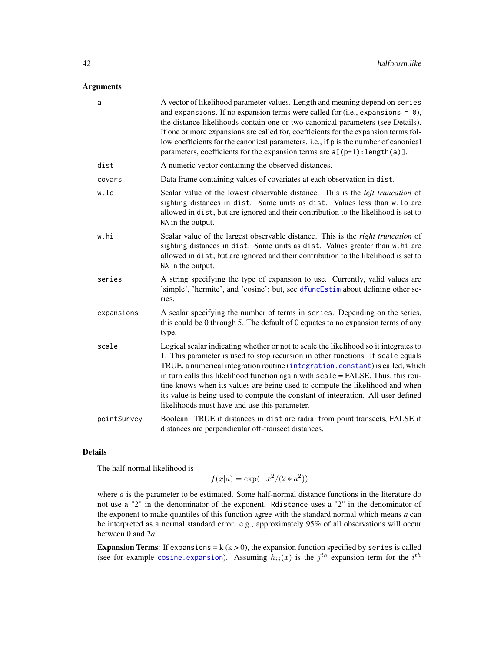## Arguments

| a           | A vector of likelihood parameter values. Length and meaning depend on series<br>and expansions. If no expansion terms were called for (i.e., expansions = $\theta$ ),<br>the distance likelihoods contain one or two canonical parameters (see Details).<br>If one or more expansions are called for, coefficients for the expansion terms fol-<br>low coefficients for the canonical parameters. <i>i.e.</i> , if p is the number of canonical<br>parameters, coefficients for the expansion terms are $a[(p+1):length(a)].$                                     |
|-------------|-------------------------------------------------------------------------------------------------------------------------------------------------------------------------------------------------------------------------------------------------------------------------------------------------------------------------------------------------------------------------------------------------------------------------------------------------------------------------------------------------------------------------------------------------------------------|
| dist        | A numeric vector containing the observed distances.                                                                                                                                                                                                                                                                                                                                                                                                                                                                                                               |
| covars      | Data frame containing values of covariates at each observation in dist.                                                                                                                                                                                                                                                                                                                                                                                                                                                                                           |
| w.lo        | Scalar value of the lowest observable distance. This is the <i>left truncation</i> of<br>sighting distances in dist. Same units as dist. Values less than w. lo are<br>allowed in dist, but are ignored and their contribution to the likelihood is set to<br>NA in the output.                                                                                                                                                                                                                                                                                   |
| w.hi        | Scalar value of the largest observable distance. This is the right truncation of<br>sighting distances in dist. Same units as dist. Values greater than w.hi are<br>allowed in dist, but are ignored and their contribution to the likelihood is set to<br>NA in the output.                                                                                                                                                                                                                                                                                      |
| series      | A string specifying the type of expansion to use. Currently, valid values are<br>'simple', 'hermite', and 'cosine'; but, see dfuncEstim about defining other se-<br>ries.                                                                                                                                                                                                                                                                                                                                                                                         |
| expansions  | A scalar specifying the number of terms in series. Depending on the series,<br>this could be 0 through 5. The default of 0 equates to no expansion terms of any<br>type.                                                                                                                                                                                                                                                                                                                                                                                          |
| scale       | Logical scalar indicating whether or not to scale the likelihood so it integrates to<br>1. This parameter is used to stop recursion in other functions. If scale equals<br>TRUE, a numerical integration routine (integration.constant) is called, which<br>in turn calls this likelihood function again with scale = FALSE. Thus, this rou-<br>tine knows when its values are being used to compute the likelihood and when<br>its value is being used to compute the constant of integration. All user defined<br>likelihoods must have and use this parameter. |
| pointSurvey | Boolean. TRUE if distances in dist are radial from point transects, FALSE if<br>distances are perpendicular off-transect distances.                                                                                                                                                                                                                                                                                                                                                                                                                               |

## Details

The half-normal likelihood is

$$
f(x|a) = \exp(-x^2/(2*a^2))
$$

where a is the parameter to be estimated. Some half-normal distance functions in the literature do not use a "2" in the denominator of the exponent. Rdistance uses a "2" in the denominator of the exponent to make quantiles of this function agree with the standard normal which means  $a$  can be interpreted as a normal standard error. e.g., approximately 95% of all observations will occur between 0 and 2*a*.

**Expansion Terms:** If expansions  $= k (k > 0)$ , the expansion function specified by series is called (see for example cosine. expansion). Assuming  $h_{ij}(x)$  is the  $j^{th}$  expansion term for the  $i^{th}$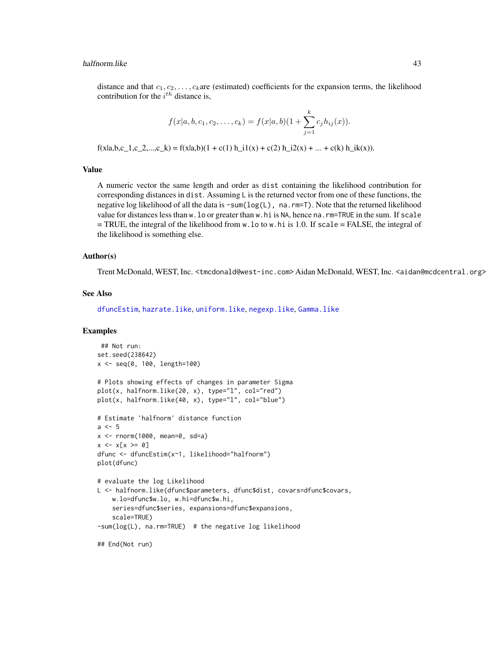#### halfnorm.like 43

distance and that  $c_1, c_2, \ldots, c_k$  are (estimated) coefficients for the expansion terms, the likelihood contribution for the  $i^{th}$  distance is,

$$
f(x|a, b, c_1, c_2, \ldots, c_k) = f(x|a, b)(1 + \sum_{j=1}^k c_j h_{ij}(x)).
$$

 $f(x|a,b,c_1,c_2,...,c_k) = f(x|a,b)(1 + c(1) h_i(1+x)(2) h_i(2x) + ... + c(k) h_i(kx)).$ 

#### Value

A numeric vector the same length and order as dist containing the likelihood contribution for corresponding distances in dist. Assuming L is the returned vector from one of these functions, the negative log likelihood of all the data is  $\text{-sum}(\log(L))$ , na.rm=T). Note that the returned likelihood value for distances less than w.lo or greater than w.hi is NA, hence na.rm=TRUE in the sum. If scale = TRUE, the integral of the likelihood from w.lo to w.hi is 1.0. If scale = FALSE, the integral of the likelihood is something else.

#### Author(s)

Trent McDonald, WEST, Inc. <tmcdonald@west-inc.com> Aidan McDonald, WEST, Inc. <aidan@mcdcentral.org>

## See Also

[dfuncEstim](#page-14-0), [hazrate.like](#page-43-0), [uniform.like](#page-69-0), [negexp.like](#page-48-0), [Gamma.like](#page-37-0)

### Examples

```
## Not run:
set.seed(238642)
x <- seq(0, 100, length=100)
# Plots showing effects of changes in parameter Sigma
plot(x, halfnorm.like(20, x), type="l", col="red")
plot(x, halfnorm.like(40, x), type="l", col="blue")
# Estimate 'halfnorm' distance function
a \leq -5x \le - rnorm(1000, mean=0, sd=a)
x \le -x[x \ge 0]dfunc <- dfuncEstim(x~1, likelihood="halfnorm")
plot(dfunc)
# evaluate the log Likelihood
L <- halfnorm.like(dfunc$parameters, dfunc$dist, covars=dfunc$covars,
    w.lo=dfunc$w.lo, w.hi=dfunc$w.hi,
    series=dfunc$series, expansions=dfunc$expansions,
    scale=TRUE)
-sum(log(L), na.rm=TRUE) # the negative log likelihood
## End(Not run)
```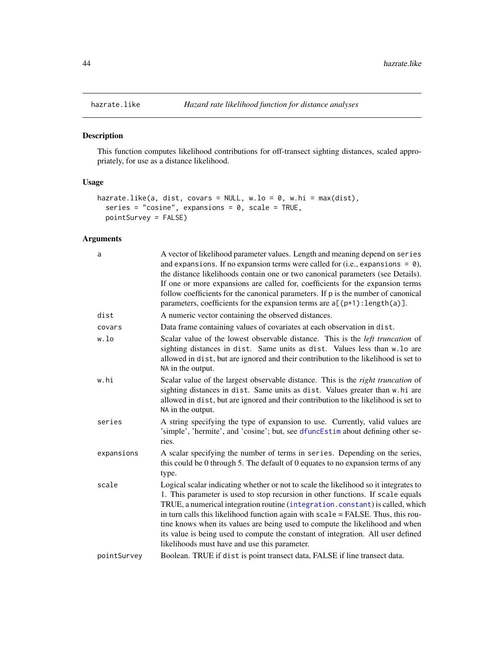# Description

This function computes likelihood contributions for off-transect sighting distances, scaled appropriately, for use as a distance likelihood.

## Usage

```
hazrate.like(a, dist, covars = NULL, w.lo = 0, w.hi = max(dist),
  series = "cosine", expansions = 0, scale = TRUE,
 pointSurvey = FALSE)
```
## Arguments

| a           | A vector of likelihood parameter values. Length and meaning depend on series<br>and expansions. If no expansion terms were called for (i.e., expansions = $\theta$ ),<br>the distance likelihoods contain one or two canonical parameters (see Details).<br>If one or more expansions are called for, coefficients for the expansion terms<br>follow coefficients for the canonical parameters. If p is the number of canonical<br>parameters, coefficients for the expansion terms are $a[(p+1):length(a)].$                                                     |
|-------------|-------------------------------------------------------------------------------------------------------------------------------------------------------------------------------------------------------------------------------------------------------------------------------------------------------------------------------------------------------------------------------------------------------------------------------------------------------------------------------------------------------------------------------------------------------------------|
| dist        | A numeric vector containing the observed distances.                                                                                                                                                                                                                                                                                                                                                                                                                                                                                                               |
| covars      | Data frame containing values of covariates at each observation in dist.                                                                                                                                                                                                                                                                                                                                                                                                                                                                                           |
| w.lo        | Scalar value of the lowest observable distance. This is the <i>left truncation</i> of<br>sighting distances in dist. Same units as dist. Values less than w.lo are<br>allowed in dist, but are ignored and their contribution to the likelihood is set to<br>NA in the output.                                                                                                                                                                                                                                                                                    |
| w.hi        | Scalar value of the largest observable distance. This is the right truncation of<br>sighting distances in dist. Same units as dist. Values greater than w.hi are<br>allowed in dist, but are ignored and their contribution to the likelihood is set to<br>NA in the output.                                                                                                                                                                                                                                                                                      |
| series      | A string specifying the type of expansion to use. Currently, valid values are<br>'simple', 'hermite', and 'cosine'; but, see dfuncEstim about defining other se-<br>ries.                                                                                                                                                                                                                                                                                                                                                                                         |
| expansions  | A scalar specifying the number of terms in series. Depending on the series,<br>this could be 0 through 5. The default of 0 equates to no expansion terms of any<br>type.                                                                                                                                                                                                                                                                                                                                                                                          |
| scale       | Logical scalar indicating whether or not to scale the likelihood so it integrates to<br>1. This parameter is used to stop recursion in other functions. If scale equals<br>TRUE, a numerical integration routine (integration.constant) is called, which<br>in turn calls this likelihood function again with scale = FALSE. Thus, this rou-<br>tine knows when its values are being used to compute the likelihood and when<br>its value is being used to compute the constant of integration. All user defined<br>likelihoods must have and use this parameter. |
| pointSurvey | Boolean. TRUE if dist is point transect data, FALSE if line transect data.                                                                                                                                                                                                                                                                                                                                                                                                                                                                                        |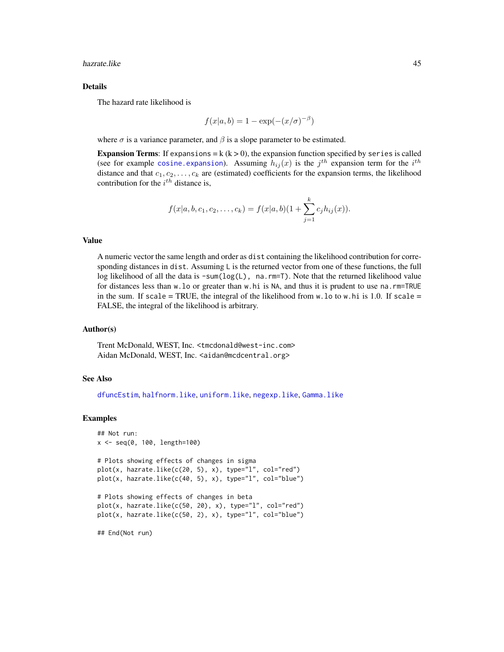hazrate.like 45

#### Details

The hazard rate likelihood is

$$
f(x|a, b) = 1 - \exp(-(x/\sigma)^{-\beta})
$$

where  $\sigma$  is a variance parameter, and  $\beta$  is a slope parameter to be estimated.

Expansion Terms: If expansions =  $k (k > 0)$ , the expansion function specified by series is called (see for example [cosine.expansion](#page-13-0)). Assuming  $h_{ij}(x)$  is the  $j^{th}$  expansion term for the  $i^{th}$ distance and that  $c_1, c_2, \ldots, c_k$  are (estimated) coefficients for the expansion terms, the likelihood contribution for the  $i^{th}$  distance is,

$$
f(x|a, b, c_1, c_2, \ldots, c_k) = f(x|a, b)(1 + \sum_{j=1}^k c_j h_{ij}(x)).
$$

### Value

A numeric vector the same length and order as dist containing the likelihood contribution for corresponding distances in dist. Assuming L is the returned vector from one of these functions, the full log likelihood of all the data is -sum(log(L), na.rm=T). Note that the returned likelihood value for distances less than w.lo or greater than w.hi is NA, and thus it is prudent to use na.rm=TRUE in the sum. If scale = TRUE, the integral of the likelihood from  $w \cdot$  lo to  $w \cdot h$  is 1.0. If scale = FALSE, the integral of the likelihood is arbitrary.

### Author(s)

Trent McDonald, WEST, Inc. <tmcdonald@west-inc.com> Aidan McDonald, WEST, Inc. <aidan@mcdcentral.org>

### See Also

[dfuncEstim](#page-14-0), [halfnorm.like](#page-40-0), [uniform.like](#page-69-0), [negexp.like](#page-48-0), [Gamma.like](#page-37-0)

#### Examples

```
## Not run:
x <- seq(0, 100, length=100)
# Plots showing effects of changes in sigma
plot(x, hazrate.like(c(20, 5), x), type="l", col="red")
plot(x, hazrate.like(c(40, 5), x), type="l", col="blue")
# Plots showing effects of changes in beta
plot(x, hazrate.like(c(50, 20), x), type="l", col="red")
plot(x, hazrate.like(c(50, 2), x), type="l", col="blue")
## End(Not run)
```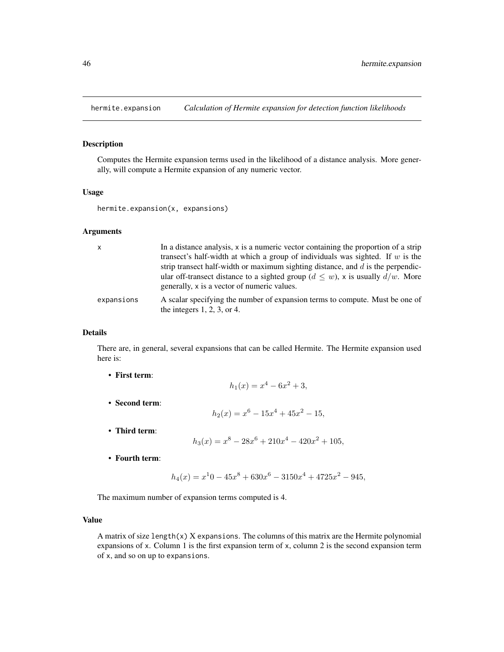<span id="page-45-0"></span>

### Description

Computes the Hermite expansion terms used in the likelihood of a distance analysis. More generally, will compute a Hermite expansion of any numeric vector.

#### Usage

hermite.expansion(x, expansions)

## Arguments

| $\mathsf{x}$ | In a distance analysis, x is a numeric vector containing the proportion of a strip<br>transect's half-width at which a group of individuals was sighted. If $w$ is the<br>strip transect half-width or maximum sighting distance, and $d$ is the perpendic-<br>ular off-transect distance to a sighted group ( $d \leq w$ ), x is usually $d/w$ . More<br>generally, x is a vector of numeric values. |
|--------------|-------------------------------------------------------------------------------------------------------------------------------------------------------------------------------------------------------------------------------------------------------------------------------------------------------------------------------------------------------------------------------------------------------|
| expansions   | A scalar specifying the number of expansion terms to compute. Must be one of<br>the integers $1, 2, 3$ , or $4$ .                                                                                                                                                                                                                                                                                     |

#### Details

There are, in general, several expansions that can be called Hermite. The Hermite expansion used here is:

- First term:
- 

$$
h_2(x) = x^6 - 15x^4 + 45x^2 - 15,
$$

 $h_1(x) = x^4 - 6x^2 + 3,$ 

• Third term:

• Second term:

$$
h_3(x) = x^8 - 28x^6 + 210x^4 - 420x^2 + 105,
$$

• Fourth term:

$$
h_4(x) = x^10 - 45x^8 + 630x^6 - 3150x^4 + 4725x^2 - 945,
$$

The maximum number of expansion terms computed is 4.

### Value

A matrix of size length $(x)$  X expansions. The columns of this matrix are the Hermite polynomial expansions of x. Column 1 is the first expansion term of x, column 2 is the second expansion term of x, and so on up to expansions.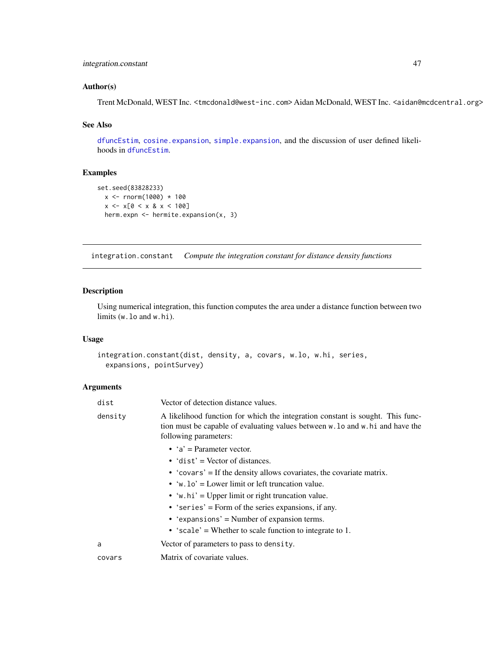## integration.constant 47

## Author(s)

Trent McDonald, WEST Inc. <tmcdonald@west-inc.com> Aidan McDonald, WEST Inc. <aidan@mcdcentral.org>

## See Also

[dfuncEstim](#page-14-0), [cosine.expansion](#page-13-0), [simple.expansion](#page-60-0), and the discussion of user defined likelihoods in [dfuncEstim](#page-14-0).

# Examples

```
set.seed(83828233)
  x <- rnorm(1000) * 100
  x \le -x[0 \le x \& x \le 100]herm.expn <- hermite.expansion(x, 3)
```
<span id="page-46-0"></span>integration.constant *Compute the integration constant for distance density functions*

## Description

Using numerical integration, this function computes the area under a distance function between two limits (w.lo and w.hi).

## Usage

```
integration.constant(dist, density, a, covars, w.lo, w.hi, series,
 expansions, pointSurvey)
```
#### Arguments

| dist    | Vector of detection distance values.                                                                                                                                                      |
|---------|-------------------------------------------------------------------------------------------------------------------------------------------------------------------------------------------|
| density | A likelihood function for which the integration constant is sought. This func-<br>tion must be capable of evaluating values between w. lo and w. hi and have the<br>following parameters: |
|         | • $a' = Parameter vector$ .                                                                                                                                                               |
|         | $\bullet$ 'dist' = Vector of distances.                                                                                                                                                   |
|         | • 'covars' = If the density allows covariates, the covariate matrix.                                                                                                                      |
|         | • 'w.lo' = Lower limit or left truncation value.                                                                                                                                          |
|         | • 'w.hi' = Upper limit or right truncation value.                                                                                                                                         |
|         | • 'series' = Form of the series expansions, if any.                                                                                                                                       |
|         | • 'expansions' = Number of expansion terms.                                                                                                                                               |
|         | • 'scale' = Whether to scale function to integrate to 1.                                                                                                                                  |
| a       | Vector of parameters to pass to density.                                                                                                                                                  |
| covars  | Matrix of covariate values.                                                                                                                                                               |
|         |                                                                                                                                                                                           |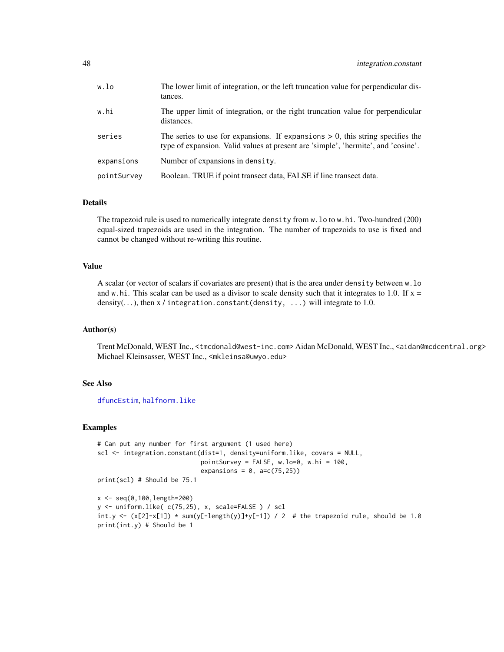| w.lo        | The lower limit of integration, or the left truncation value for perpendicular dis-<br>tances.                                                                         |
|-------------|------------------------------------------------------------------------------------------------------------------------------------------------------------------------|
| w.hi        | The upper limit of integration, or the right truncation value for perpendicular<br>distances.                                                                          |
| series      | The series to use for expansions. If expansions $> 0$ , this string specifies the<br>type of expansion. Valid values at present are 'simple', 'hermite', and 'cosine'. |
| expansions  | Number of expansions in density.                                                                                                                                       |
| pointSurvey | Boolean. TRUE if point transect data, FALSE if line transect data.                                                                                                     |

#### Details

The trapezoid rule is used to numerically integrate density from w.lo to w.hi. Two-hundred (200) equal-sized trapezoids are used in the integration. The number of trapezoids to use is fixed and cannot be changed without re-writing this routine.

## Value

A scalar (or vector of scalars if covariates are present) that is the area under density between w.lo and w.hi. This scalar can be used as a divisor to scale density such that it integrates to 1.0. If  $x =$ density(...), then  $x /$  integration.constant(density, ...) will integrate to 1.0.

### Author(s)

Trent McDonald, WEST Inc., <tmcdonald@west-inc.com> Aidan McDonald, WEST Inc., <aidan@mcdcentral.org> Michael Kleinsasser, WEST Inc., <mkleinsa@uwyo.edu>

#### See Also

[dfuncEstim](#page-14-0), [halfnorm.like](#page-40-0)

#### Examples

```
# Can put any number for first argument (1 used here)
scl <- integration.constant(dist=1, density=uniform.like, covars = NULL,
                            pointSurvey = FALSE, w.lo=0, w.hi = 100,
                            expansions = 0, a=c(75,25))
print(scl) # Should be 75.1
```

```
x <- seq(0,100,length=200)
y <- uniform.like( c(75,25), x, scale=FALSE ) / scl
int.y <- (x[2]-x[1]) * sum(y[-length(y)]+y[-1]) / 2 # the trapezoid rule, should be 1.0print(int.y) # Should be 1
```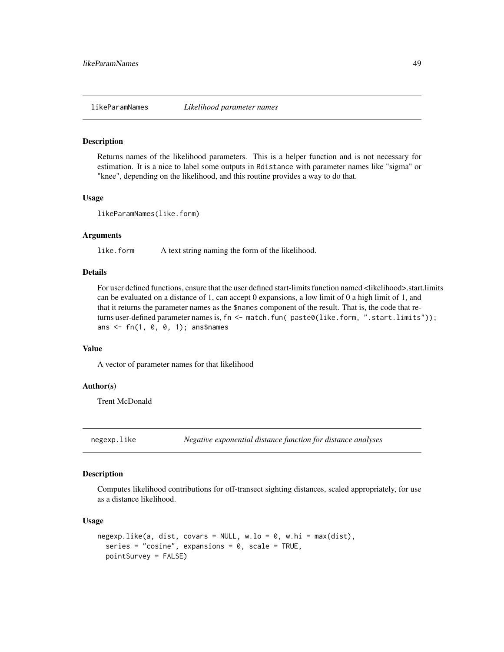### **Description**

Returns names of the likelihood parameters. This is a helper function and is not necessary for estimation. It is a nice to label some outputs in Rdistance with parameter names like "sigma" or "knee", depending on the likelihood, and this routine provides a way to do that.

#### Usage

```
likeParamNames(like.form)
```
## Arguments

like.form A text string naming the form of the likelihood.

## Details

For user defined functions, ensure that the user defined start-limits function named <likelihood>.start.limits can be evaluated on a distance of 1, can accept 0 expansions, a low limit of 0 a high limit of 1, and that it returns the parameter names as the \$names component of the result. That is, the code that returns user-defined parameter names is, fn <- match.fun( paste0(like.form, ".start.limits")); ans <- fn(1, 0, 0, 1); ans\$names

### Value

A vector of parameter names for that likelihood

#### Author(s)

Trent McDonald

<span id="page-48-0"></span>negexp.like *Negative exponential distance function for distance analyses*

### Description

Computes likelihood contributions for off-transect sighting distances, scaled appropriately, for use as a distance likelihood.

### Usage

```
negexpu.like(a, dist, covars = NULL, w.lo = 0, w.hi = max(dist),
  series = "cosine", expansions = 0, scale = TRUE,
  pointSurvey = FALSE)
```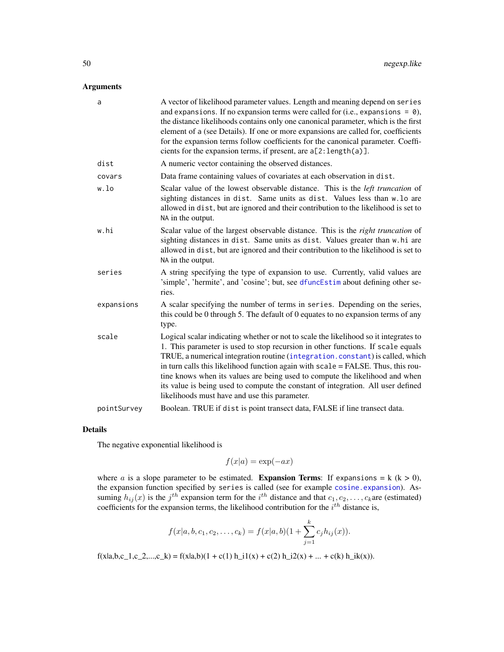## Arguments

| a           | A vector of likelihood parameter values. Length and meaning depend on series<br>and expansions. If no expansion terms were called for (i.e., expansions = $\theta$ ),<br>the distance likelihoods contains only one canonical parameter, which is the first<br>element of a (see Details). If one or more expansions are called for, coefficients<br>for the expansion terms follow coefficients for the canonical parameter. Coeffi-<br>cients for the expansion terms, if present, are $a[2:length(a)]$ .                                                       |
|-------------|-------------------------------------------------------------------------------------------------------------------------------------------------------------------------------------------------------------------------------------------------------------------------------------------------------------------------------------------------------------------------------------------------------------------------------------------------------------------------------------------------------------------------------------------------------------------|
| dist        | A numeric vector containing the observed distances.                                                                                                                                                                                                                                                                                                                                                                                                                                                                                                               |
| covars      | Data frame containing values of covariates at each observation in dist.                                                                                                                                                                                                                                                                                                                                                                                                                                                                                           |
| w.lo        | Scalar value of the lowest observable distance. This is the <i>left truncation</i> of<br>sighting distances in dist. Same units as dist. Values less than w.lo are<br>allowed in dist, but are ignored and their contribution to the likelihood is set to<br>NA in the output.                                                                                                                                                                                                                                                                                    |
| w.hi        | Scalar value of the largest observable distance. This is the right truncation of<br>sighting distances in dist. Same units as dist. Values greater than w.hi are<br>allowed in dist, but are ignored and their contribution to the likelihood is set to<br>NA in the output.                                                                                                                                                                                                                                                                                      |
| series      | A string specifying the type of expansion to use. Currently, valid values are<br>'simple', 'hermite', and 'cosine'; but, see dfuncEstim about defining other se-<br>ries.                                                                                                                                                                                                                                                                                                                                                                                         |
| expansions  | A scalar specifying the number of terms in series. Depending on the series,<br>this could be 0 through 5. The default of 0 equates to no expansion terms of any<br>type.                                                                                                                                                                                                                                                                                                                                                                                          |
| scale       | Logical scalar indicating whether or not to scale the likelihood so it integrates to<br>1. This parameter is used to stop recursion in other functions. If scale equals<br>TRUE, a numerical integration routine (integration.constant) is called, which<br>in turn calls this likelihood function again with scale = FALSE. Thus, this rou-<br>tine knows when its values are being used to compute the likelihood and when<br>its value is being used to compute the constant of integration. All user defined<br>likelihoods must have and use this parameter. |
| pointSurvey | Boolean. TRUE if dist is point transect data, FALSE if line transect data.                                                                                                                                                                                                                                                                                                                                                                                                                                                                                        |

### Details

The negative exponential likelihood is

$$
f(x|a) = \exp(-ax)
$$

where *a* is a slope parameter to be estimated. **Expansion Terms**: If expansions = k (k > 0), the expansion function specified by series is called (see for example [cosine.expansion](#page-13-0)). Assuming  $h_{ij}(x)$  is the  $j<sup>th</sup>$  expansion term for the  $i<sup>th</sup>$  distance and that  $c_1, c_2, \ldots, c_k$ are (estimated) coefficients for the expansion terms, the likelihood contribution for the  $i^{th}$  distance is,

$$
f(x|a, b, c_1, c_2, \ldots, c_k) = f(x|a, b)(1 + \sum_{j=1}^k c_j h_{ij}(x)).
$$

 $f(x|a,b,c_1,c_2,...,c_k) = f(x|a,b)(1 + c(1) h_1 1(x) + c(2) h_2 2(x) + ... + c(k) h_k(x)).$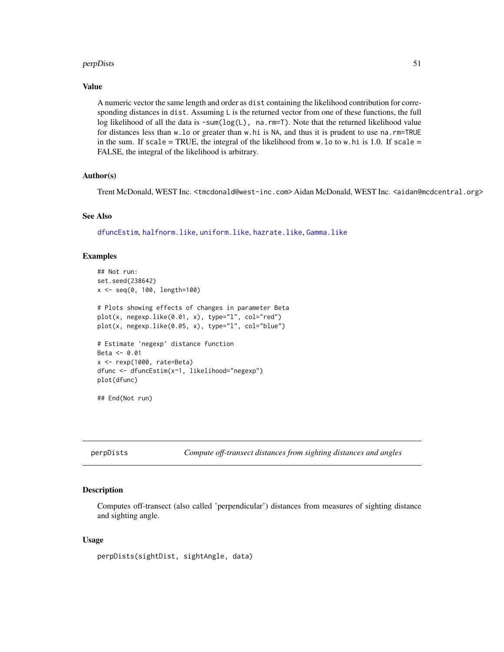#### perpDists 51

## Value

A numeric vector the same length and order as dist containing the likelihood contribution for corresponding distances in dist. Assuming L is the returned vector from one of these functions, the full log likelihood of all the data is -sum(log(L), na.rm=T). Note that the returned likelihood value for distances less than w.lo or greater than w.hi is NA, and thus it is prudent to use na.rm=TRUE in the sum. If scale = TRUE, the integral of the likelihood from  $w \cdot$  lo to  $w \cdot h$  is 1.0. If scale = FALSE, the integral of the likelihood is arbitrary.

### Author(s)

Trent McDonald, WEST Inc. <tmcdonald@west-inc.com> Aidan McDonald, WEST Inc. <aidan@mcdcentral.org>

## See Also

[dfuncEstim](#page-14-0), [halfnorm.like](#page-40-0), [uniform.like](#page-69-0), [hazrate.like](#page-43-0), [Gamma.like](#page-37-0)

### Examples

```
## Not run:
set.seed(238642)
x <- seq(0, 100, length=100)
# Plots showing effects of changes in parameter Beta
plot(x, negexp.like(0.01, x), type="l", col="red")
plot(x, negexp.like(0.05, x), type="l", col="blue")
# Estimate 'negexp' distance function
Beta <- 0.01
x <- rexp(1000, rate=Beta)
dfunc <- dfuncEstim(x~1, likelihood="negexp")
plot(dfunc)
## End(Not run)
```
<span id="page-50-0"></span>perpDists *Compute off-transect distances from sighting distances and angles*

### Description

Computes off-transect (also called 'perpendicular') distances from measures of sighting distance and sighting angle.

#### Usage

```
perpDists(sightDist, sightAngle, data)
```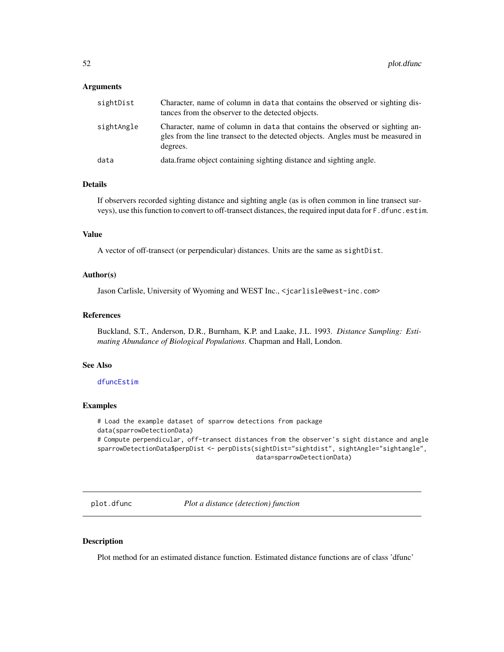#### **Arguments**

| sightDist  | Character, name of column in data that contains the observed or sighting dis-<br>tances from the observer to the detected objects.                                          |
|------------|-----------------------------------------------------------------------------------------------------------------------------------------------------------------------------|
| sightAngle | Character, name of column in data that contains the observed or sighting an-<br>gles from the line transect to the detected objects. Angles must be measured in<br>degrees. |
| data       | data.frame object containing sighting distance and sighting angle.                                                                                                          |

#### Details

If observers recorded sighting distance and sighting angle (as is often common in line transect surveys), use this function to convert to off-transect distances, the required input data for F.dfunc.estim.

#### Value

A vector of off-transect (or perpendicular) distances. Units are the same as sightDist.

### Author(s)

Jason Carlisle, University of Wyoming and WEST Inc., <jcarlisle@west-inc.com>

#### References

Buckland, S.T., Anderson, D.R., Burnham, K.P. and Laake, J.L. 1993. *Distance Sampling: Estimating Abundance of Biological Populations*. Chapman and Hall, London.

#### See Also

## [dfuncEstim](#page-14-0)

### Examples

```
# Load the example dataset of sparrow detections from package
data(sparrowDetectionData)
# Compute perpendicular, off-transect distances from the observer's sight distance and angle
sparrowDetectionData$perpDist <- perpDists(sightDist="sightdist", sightAngle="sightangle",
                                           data=sparrowDetectionData)
```
<span id="page-51-0"></span>plot.dfunc *Plot a distance (detection) function*

### Description

Plot method for an estimated distance function. Estimated distance functions are of class 'dfunc'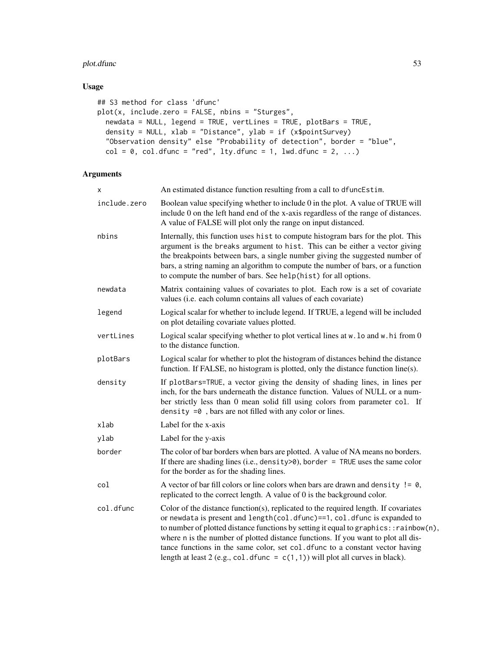## plot.dfunc 53

# Usage

```
## S3 method for class 'dfunc'
plot(x, include.zero = FALSE, nbins = "Sturges",
 newdata = NULL, legend = TRUE, vertLines = TRUE, plotBars = TRUE,
 density = NULL, xlab = "Distance", ylab = if (x$pointSurvey)
  "Observation density" else "Probability of detection", border = "blue",
 col = 0, col.dfunc = "red", lty.dfunc = 1, lwd.dfunc = 2, ...)
```
## Arguments

| Χ            | An estimated distance function resulting from a call to dfuncEstim.                                                                                                                                                                                                                                                                                                                                                                                                                                                |
|--------------|--------------------------------------------------------------------------------------------------------------------------------------------------------------------------------------------------------------------------------------------------------------------------------------------------------------------------------------------------------------------------------------------------------------------------------------------------------------------------------------------------------------------|
| include.zero | Boolean value specifying whether to include 0 in the plot. A value of TRUE will<br>include 0 on the left hand end of the x-axis regardless of the range of distances.<br>A value of FALSE will plot only the range on input distanced.                                                                                                                                                                                                                                                                             |
| nbins        | Internally, this function uses hist to compute histogram bars for the plot. This<br>argument is the breaks argument to hist. This can be either a vector giving<br>the breakpoints between bars, a single number giving the suggested number of<br>bars, a string naming an algorithm to compute the number of bars, or a function<br>to compute the number of bars. See help(hist) for all options.                                                                                                               |
| newdata      | Matrix containing values of covariates to plot. Each row is a set of covariate<br>values (i.e. each column contains all values of each covariate)                                                                                                                                                                                                                                                                                                                                                                  |
| legend       | Logical scalar for whether to include legend. If TRUE, a legend will be included<br>on plot detailing covariate values plotted.                                                                                                                                                                                                                                                                                                                                                                                    |
| vertLines    | Logical scalar specifying whether to plot vertical lines at w. lo and w. hi from 0<br>to the distance function.                                                                                                                                                                                                                                                                                                                                                                                                    |
| plotBars     | Logical scalar for whether to plot the histogram of distances behind the distance<br>function. If FALSE, no histogram is plotted, only the distance function line(s).                                                                                                                                                                                                                                                                                                                                              |
| density      | If plotBars=TRUE, a vector giving the density of shading lines, in lines per<br>inch, for the bars underneath the distance function. Values of NULL or a num-<br>ber strictly less than 0 mean solid fill using colors from parameter col. If<br>density $=0$ , bars are not filled with any color or lines.                                                                                                                                                                                                       |
| xlab         | Label for the x-axis                                                                                                                                                                                                                                                                                                                                                                                                                                                                                               |
| ylab         | Label for the y-axis                                                                                                                                                                                                                                                                                                                                                                                                                                                                                               |
| border       | The color of bar borders when bars are plotted. A value of NA means no borders.<br>If there are shading lines (i.e., density>0), border = TRUE uses the same color<br>for the border as for the shading lines.                                                                                                                                                                                                                                                                                                     |
| col          | A vector of bar fill colors or line colors when bars are drawn and density $!= 0$ ,<br>replicated to the correct length. A value of 0 is the background color.                                                                                                                                                                                                                                                                                                                                                     |
| col.dfunc    | Color of the distance function(s), replicated to the required length. If covariates<br>or newdata is present and length(col.dfunc)==1, col.dfunc is expanded to<br>to number of plotted distance functions by setting it equal to graphics:: rainbow(n),<br>where n is the number of plotted distance functions. If you want to plot all dis-<br>tance functions in the same color, set col. dfunc to a constant vector having<br>length at least 2 (e.g., col. dfunc = $c(1,1)$ ) will plot all curves in black). |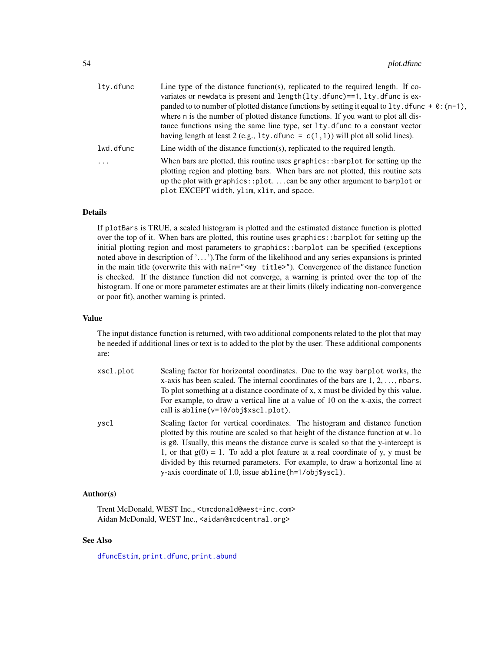| lty.dfunc | Line type of the distance function(s), replicated to the required length. If co-<br>variates or newdata is present and length $(lty.dfunc) == 1, lty.dfunc$ is ex-<br>panded to to number of plotted distance functions by setting it equal to $1$ ty. dfunc + 0: (n-1),<br>where n is the number of plotted distance functions. If you want to plot all dis-<br>tance functions using the same line type, set 1ty. dfunc to a constant vector<br>having length at least 2 (e.g., 1ty. dfunc = $c(1,1)$ ) will plot all solid lines). |
|-----------|---------------------------------------------------------------------------------------------------------------------------------------------------------------------------------------------------------------------------------------------------------------------------------------------------------------------------------------------------------------------------------------------------------------------------------------------------------------------------------------------------------------------------------------|
| lwd.dfunc | Line width of the distance function(s), replicated to the required length.                                                                                                                                                                                                                                                                                                                                                                                                                                                            |
| .         | When bars are plotted, this routine uses graphics: $:$ barplot for setting up the<br>plotting region and plotting bars. When bars are not plotted, this routine sets<br>up the plot with graphics: : plot. $\dots$ can be any other argument to barplot or<br>plot EXCEPT width, ylim, xlim, and space.                                                                                                                                                                                                                               |

### Details

If plotBars is TRUE, a scaled histogram is plotted and the estimated distance function is plotted over the top of it. When bars are plotted, this routine uses graphics::barplot for setting up the initial plotting region and most parameters to graphics::barplot can be specified (exceptions noted above in description of '. . . ').The form of the likelihood and any series expansions is printed in the main title (overwrite this with main="<my title>"). Convergence of the distance function is checked. If the distance function did not converge, a warning is printed over the top of the histogram. If one or more parameter estimates are at their limits (likely indicating non-convergence or poor fit), another warning is printed.

### Value

The input distance function is returned, with two additional components related to the plot that may be needed if additional lines or text is to added to the plot by the user. These additional components are:

| xscl.plot | Scaling factor for horizontal coordinates. Due to the way barplot works, the<br>x-axis has been scaled. The internal coordinates of the bars are $1, 2, \ldots$ , nbars.                                                                                                                                                                                                                                                                                                                     |
|-----------|----------------------------------------------------------------------------------------------------------------------------------------------------------------------------------------------------------------------------------------------------------------------------------------------------------------------------------------------------------------------------------------------------------------------------------------------------------------------------------------------|
|           | To plot something at a distance coordinate of x, x must be divided by this value.<br>For example, to draw a vertical line at a value of 10 on the x-axis, the correct<br>call is abline (v=10/obj\$xscl.plot).                                                                                                                                                                                                                                                                               |
| vscl      | Scaling factor for vertical coordinates. The histogram and distance function<br>plotted by this routine are scaled so that height of the distance function at w. lo<br>is g0. Usually, this means the distance curve is scaled so that the y-intercept is<br>1, or that $g(0) = 1$ . To add a plot feature at a real coordinate of y, y must be<br>divided by this returned parameters. For example, to draw a horizontal line at<br>y-axis coordinate of 1.0, issue abline (h=1/obj\$yscl). |

## Author(s)

Trent McDonald, WEST Inc., <tmcdonald@west-inc.com> Aidan McDonald, WEST Inc., <aidan@mcdcentral.org>

#### See Also

[dfuncEstim](#page-14-0), [print.dfunc](#page-56-0), [print.abund](#page-55-0)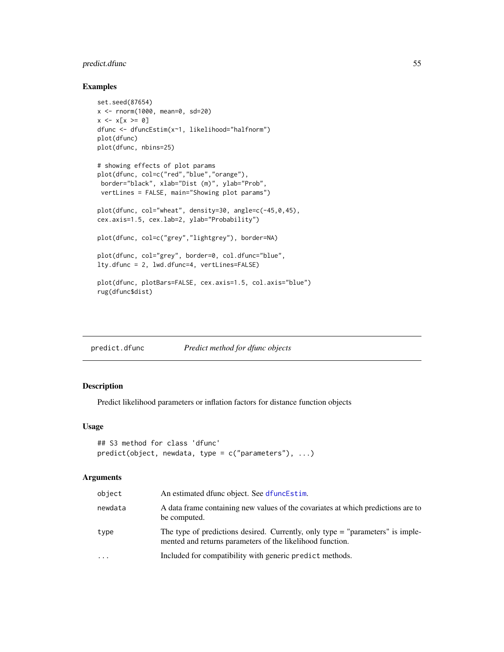## predict.dfunc 55

#### Examples

```
set.seed(87654)
x <- rnorm(1000, mean=0, sd=20)
x \le -x[x \ge 0]dfunc <- dfuncEstim(x~1, likelihood="halfnorm")
plot(dfunc)
plot(dfunc, nbins=25)
# showing effects of plot params
plot(dfunc, col=c("red","blue","orange"),
border="black", xlab="Dist (m)", ylab="Prob",
vertLines = FALSE, main="Showing plot params")
plot(dfunc, col="wheat", density=30, angle=c(-45,0,45),
cex.axis=1.5, cex.lab=2, ylab="Probability")
plot(dfunc, col=c("grey","lightgrey"), border=NA)
plot(dfunc, col="grey", border=0, col.dfunc="blue",
lty.dfunc = 2, lwd.dfunc=4, vertLines=FALSE)
plot(dfunc, plotBars=FALSE, cex.axis=1.5, col.axis="blue")
rug(dfunc$dist)
```
predict.dfunc *Predict method for dfunc objects*

## Description

Predict likelihood parameters or inflation factors for distance function objects

## Usage

```
## S3 method for class 'dfunc'
predict(object, new data, type = c("parameters"), ...)
```
#### **Arguments**

| object   | An estimated dfunc object. See dfuncEstim.                                                                                                    |
|----------|-----------------------------------------------------------------------------------------------------------------------------------------------|
| newdata  | A data frame containing new values of the covariates at which predictions are to<br>be computed.                                              |
| type     | The type of predictions desired. Currently, only type $=$ "parameters" is imple-<br>mented and returns parameters of the likelihood function. |
| $\cdots$ | Included for compatibility with generic predict methods.                                                                                      |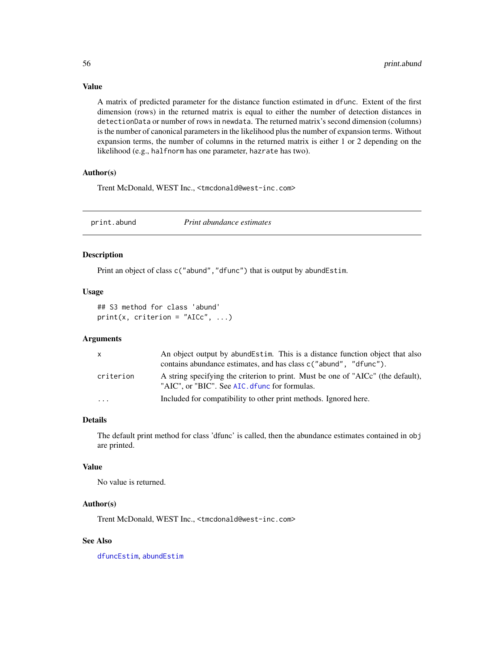A matrix of predicted parameter for the distance function estimated in dfunc. Extent of the first dimension (rows) in the returned matrix is equal to either the number of detection distances in detectionData or number of rows in newdata. The returned matrix's second dimension (columns) is the number of canonical parameters in the likelihood plus the number of expansion terms. Without expansion terms, the number of columns in the returned matrix is either 1 or 2 depending on the likelihood (e.g., halfnorm has one parameter, hazrate has two).

#### Author(s)

Trent McDonald, WEST Inc., <tmcdonald@west-inc.com>

<span id="page-55-0"></span>print.abund *Print abundance estimates*

#### Description

Print an object of class c("abund", "dfunc") that is output by abundEstim.

#### Usage

## S3 method for class 'abund'  $print(x, criterion = "AICc", ...)$ 

## Arguments

| $\mathsf{x}$ | An object output by abund Estim. This is a distance function object that also<br>contains abundance estimates, and has class c ("abund", "dfunc"). |
|--------------|----------------------------------------------------------------------------------------------------------------------------------------------------|
| criterion    | A string specifying the criterion to print. Must be one of "AICc" (the default),<br>"AIC", or "BIC". See AIC. dfunc for formulas.                  |
| .            | Included for compatibility to other print methods. Ignored here.                                                                                   |

## Details

The default print method for class 'dfunc' is called, then the abundance estimates contained in obj are printed.

#### Value

No value is returned.

## Author(s)

Trent McDonald, WEST Inc., <tmcdonald@west-inc.com>

#### See Also

[dfuncEstim](#page-14-0), [abundEstim](#page-4-0)

# Value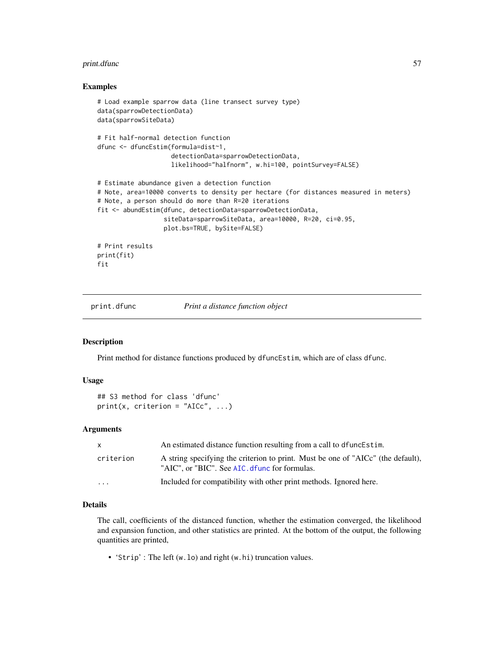#### print.dfunc 57

#### Examples

```
# Load example sparrow data (line transect survey type)
data(sparrowDetectionData)
data(sparrowSiteData)
# Fit half-normal detection function
dfunc <- dfuncEstim(formula=dist~1,
                    detectionData=sparrowDetectionData,
                    likelihood="halfnorm", w.hi=100, pointSurvey=FALSE)
# Estimate abundance given a detection function
# Note, area=10000 converts to density per hectare (for distances measured in meters)
# Note, a person should do more than R=20 iterations
fit <- abundEstim(dfunc, detectionData=sparrowDetectionData,
                  siteData=sparrowSiteData, area=10000, R=20, ci=0.95,
                  plot.bs=TRUE, bySite=FALSE)
# Print results
print(fit)
fit
```
<span id="page-56-0"></span>

print.dfunc *Print a distance function object*

#### Description

Print method for distance functions produced by dfuncEstim, which are of class dfunc.

### Usage

```
## S3 method for class 'dfunc'
print(x, criterion = "AICc", ...)
```
### **Arguments**

| X         | An estimated distance function resulting from a call to dfunce stim.                                                              |  |
|-----------|-----------------------------------------------------------------------------------------------------------------------------------|--|
| criterion | A string specifying the criterion to print. Must be one of "AICc" (the default),<br>"AIC", or "BIC". See AIC. dfunc for formulas. |  |
| $\cdot$   | Included for compatibility with other print methods. Ignored here.                                                                |  |

## Details

The call, coefficients of the distanced function, whether the estimation converged, the likelihood and expansion function, and other statistics are printed. At the bottom of the output, the following quantities are printed,

• 'Strip' : The left (w.lo) and right (w.hi) truncation values.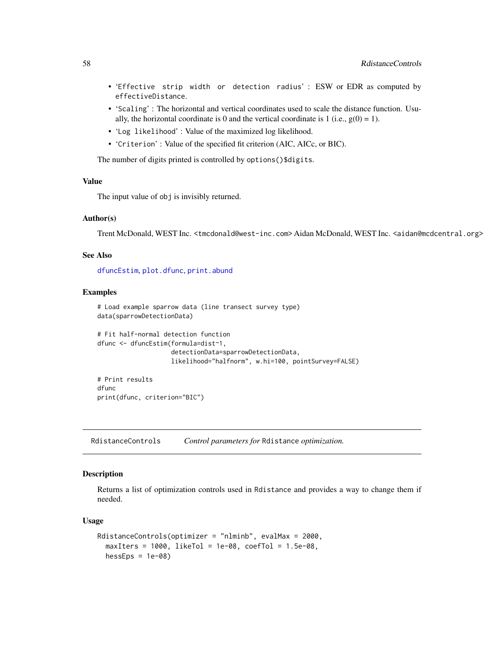- 'Effective strip width or detection radius' : ESW or EDR as computed by effectiveDistance.
- 'Scaling' : The horizontal and vertical coordinates used to scale the distance function. Usually, the horizontal coordinate is 0 and the vertical coordinate is 1 (i.e.,  $g(0) = 1$ ).
- 'Log likelihood' : Value of the maximized log likelihood.
- 'Criterion' : Value of the specified fit criterion (AIC, AICc, or BIC).

The number of digits printed is controlled by options()\$digits.

## Value

The input value of obj is invisibly returned.

## Author(s)

Trent McDonald, WEST Inc. <tmcdonald@west-inc.com> Aidan McDonald, WEST Inc. <aidan@mcdcentral.org>

#### See Also

[dfuncEstim](#page-14-0), [plot.dfunc](#page-51-0), [print.abund](#page-55-0)

#### Examples

```
# Load example sparrow data (line transect survey type)
data(sparrowDetectionData)
# Fit half-normal detection function
dfunc <- dfuncEstim(formula=dist~1,
                    detectionData=sparrowDetectionData,
                    likelihood="halfnorm", w.hi=100, pointSurvey=FALSE)
```
# Print results dfunc print(dfunc, criterion="BIC")

RdistanceControls *Control parameters for* Rdistance *optimization.*

### Description

Returns a list of optimization controls used in Rdistance and provides a way to change them if needed.

#### Usage

```
RdistanceControls(optimizer = "nlminb", evalMax = 2000,
 maxIters = 1000, likeTol = 1e-08, coeffol = 1.5e-08,
 hessEps = 1e-08
```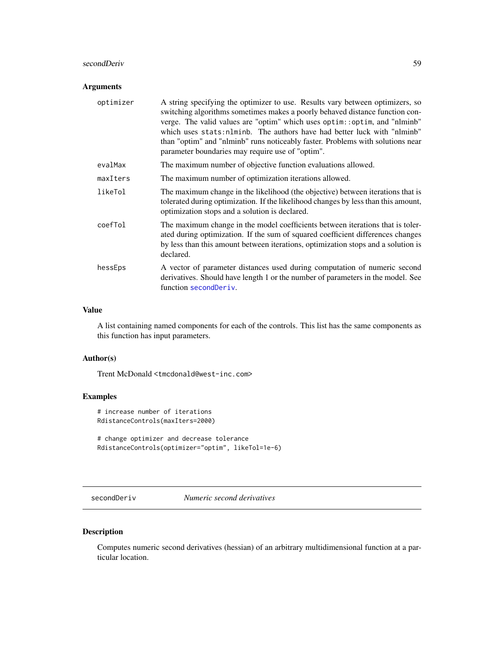### secondDeriv 59

## Arguments

| optimizer | A string specifying the optimizer to use. Results vary between optimizers, so<br>switching algorithms sometimes makes a poorly behaved distance function con-<br>verge. The valid values are "optim" which uses optim::optim, and "nlminb"<br>which uses stats: nlminb. The authors have had better luck with "nlminb"<br>than "optim" and "nlminb" runs noticeably faster. Problems with solutions near<br>parameter boundaries may require use of "optim". |
|-----------|--------------------------------------------------------------------------------------------------------------------------------------------------------------------------------------------------------------------------------------------------------------------------------------------------------------------------------------------------------------------------------------------------------------------------------------------------------------|
| evalMax   | The maximum number of objective function evaluations allowed.                                                                                                                                                                                                                                                                                                                                                                                                |
| maxIters  | The maximum number of optimization iterations allowed.                                                                                                                                                                                                                                                                                                                                                                                                       |
| likeTol   | The maximum change in the likelihood (the objective) between iterations that is<br>tolerated during optimization. If the likelihood changes by less than this amount,<br>optimization stops and a solution is declared.                                                                                                                                                                                                                                      |
| coefTol   | The maximum change in the model coefficients between iterations that is toler-<br>ated during optimization. If the sum of squared coefficient differences changes<br>by less than this amount between iterations, optimization stops and a solution is<br>declared.                                                                                                                                                                                          |
| hessEps   | A vector of parameter distances used during computation of numeric second<br>derivatives. Should have length 1 or the number of parameters in the model. See<br>function second Deriv.                                                                                                                                                                                                                                                                       |

### Value

A list containing named components for each of the controls. This list has the same components as this function has input parameters.

## Author(s)

Trent McDonald <tmcdonald@west-inc.com>

## Examples

```
# increase number of iterations
RdistanceControls(maxIters=2000)
# change optimizer and decrease tolerance
```

```
RdistanceControls(optimizer="optim", likeTol=1e-6)
```
<span id="page-58-0"></span>secondDeriv *Numeric second derivatives*

## Description

Computes numeric second derivatives (hessian) of an arbitrary multidimensional function at a particular location.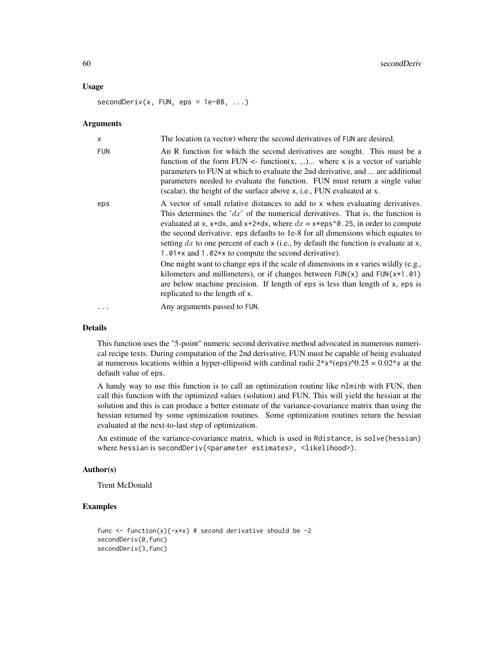#### Usage

 $secondDeriv(x, FUN, eps = 1e-08, ...)$ 

#### **Arguments**

| X          | The location (a vector) where the second derivatives of FUN are desired.                                                                                                                                                                                                                                                                                                                                                                                                                                                                                                                                                                                                                                                                                                              |
|------------|---------------------------------------------------------------------------------------------------------------------------------------------------------------------------------------------------------------------------------------------------------------------------------------------------------------------------------------------------------------------------------------------------------------------------------------------------------------------------------------------------------------------------------------------------------------------------------------------------------------------------------------------------------------------------------------------------------------------------------------------------------------------------------------|
| <b>FUN</b> | An R function for which the second derivatives are sought. This must be a<br>function of the form $FUN \le$ - function(x, ) where x is a vector of variable<br>parameters to FUN at which to evaluate the 2nd derivative, and  are additional<br>parameters needed to evaluate the function. FUN must return a single value<br>(scalar), the height of the surface above x, i.e., FUN evaluated at x.                                                                                                                                                                                                                                                                                                                                                                                 |
| eps        | A vector of small relative distances to add to x when evaluating derivatives.<br>This determines the $dx$ of the numerical derivatives. That is, the function is<br>evaluated at x, x+dx, and x+2*dx, where $dx = x*eps'0.25$ , in order to compute<br>the second derivative. eps defaults to 1e-8 for all dimensions which equates to<br>setting dx to one percent of each $x$ (i.e., by default the function is evaluate at $x$ ,<br>1.01*x and 1.02*x to compute the second derivative).<br>One might want to change eps if the scale of dimensions in x varies wildly (e.g.,<br>kilometers and millimeters), or if changes between $FUN(x)$ and $FUN(x*1.01)$<br>are below machine precision. If length of eps is less than length of x, eps is<br>replicated to the length of x. |
| $\ddotsc$  | Any arguments passed to FUN.                                                                                                                                                                                                                                                                                                                                                                                                                                                                                                                                                                                                                                                                                                                                                          |

#### Details

This function uses the "5-point" numeric second derivative method advocated in numerous numerical recipe texts. During computation of the 2nd derivative, FUN must be capable of being evaluated at numerous locations within a hyper-ellipsoid with cardinal radii  $2*x*(eps)$ <sup> $0.25 = 0.02*x$ </sup> at the default value of eps.

A handy way to use this function is to call an optimization routine like nlminb with FUN, then call this function with the optimized values (solution) and FUN. This will yield the hessian at the solution and this is can produce a better estimate of the variance-covariance matrix than using the hessian returned by some optimization routines. Some optimization routines return the hessian evaluated at the next-to-last step of optimization.

An estimate of the variance-covariance matrix, which is used in Rdistance, is solve(hessian) where hessian is secondDeriv(<parameter estimates>, <likelihood>).

### Author(s)

Trent McDonald

## Examples

```
func \le function(x){-x*x} # second derivative should be -2
secondDeriv(0,func)
secondDeriv(3,func)
```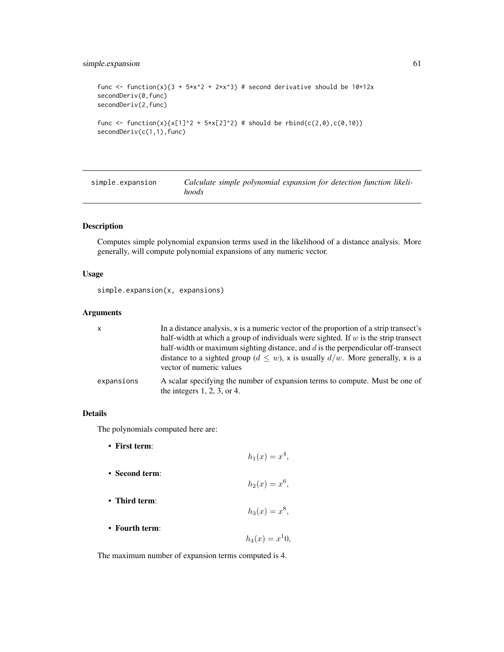## simple.expansion 61

```
func <- function(x){3 + 5*x^2 + 2*x^3} # second derivative should be 10+12x
secondDeriv(0,func)
secondDeriv(2,func)
func <- function(x){x[1]^2 + 5*x[2]^2} # should be rbind(c(2,0),c(0,10))
secondDeriv(c(1,1),func)
```
<span id="page-60-0"></span>

| simple.expansion | Calculate simple polynomial expansion for detection function likeli- |  |
|------------------|----------------------------------------------------------------------|--|
|                  | hoods                                                                |  |

## Description

Computes simple polynomial expansion terms used in the likelihood of a distance analysis. More generally, will compute polynomial expansions of any numeric vector.

### Usage

```
simple.expansion(x, expansions)
```
## Arguments

| $\mathsf{x}$ | In a distance analysis, x is a numeric vector of the proportion of a strip transect's<br>half-width at which a group of individuals were sighted. If $w$ is the strip transect<br>half-width or maximum sighting distance, and $d$ is the perpendicular off-transect |
|--------------|----------------------------------------------------------------------------------------------------------------------------------------------------------------------------------------------------------------------------------------------------------------------|
|              | distance to a sighted group ( $d \leq w$ ), x is usually $d/w$ . More generally, x is a<br>vector of numeric values                                                                                                                                                  |
| expansions   | A scalar specifying the number of expansion terms to compute. Must be one of<br>the integers $1, 2, 3$ , or 4.                                                                                                                                                       |

## Details

The polynomials computed here are:

| • First term:  | $h_1(x) = x^4$ , |
|----------------|------------------|
| • Second term: | $h_2(x) = x^6$ , |
| • Third term:  | $h_3(x) = x^8$ , |
| • Fourth term: | $h_4(x) = x^10,$ |

The maximum number of expansion terms computed is 4.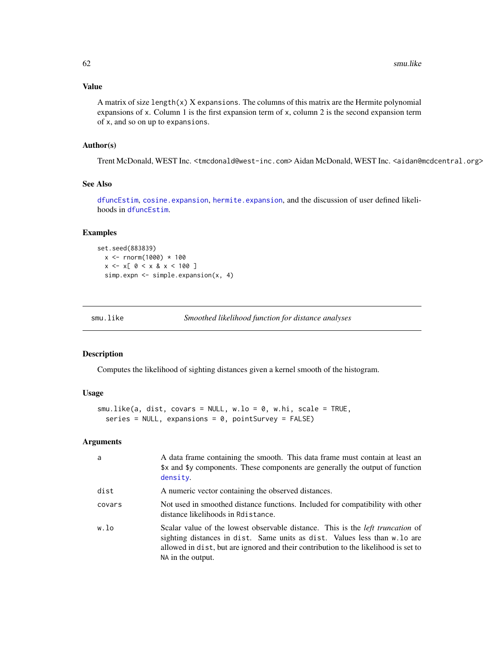## Value

A matrix of size length $(x)$  X expansions. The columns of this matrix are the Hermite polynomial expansions of x. Column 1 is the first expansion term of x, column 2 is the second expansion term of x, and so on up to expansions.

## Author(s)

Trent McDonald, WEST Inc. <tmcdonald@west-inc.com> Aidan McDonald, WEST Inc. <aidan@mcdcentral.org>

## See Also

[dfuncEstim](#page-14-0), [cosine.expansion](#page-13-0), [hermite.expansion](#page-45-0), and the discussion of user defined likelihoods in [dfuncEstim](#page-14-0).

#### Examples

set.seed(883839)  $x < -$  rnorm(1000)  $*$  100  $x \le x \le 0 \le x \& x \le 100 \]$ simp.expn <- simple.expansion(x, 4)

| smu.like | Smoothed likelihood function for distance analyses |  |
|----------|----------------------------------------------------|--|
|----------|----------------------------------------------------|--|

## Description

Computes the likelihood of sighting distances given a kernel smooth of the histogram.

#### Usage

```
smu.like(a, dist, covars = NULL, w \cdot lo = 0, w \cdot hi, scale = TRUE,
  series = NULL, expansions = 0, pointSurvey = FALSE)
```
## Arguments

| a      | A data frame containing the smooth. This data frame must contain at least an<br>\$x and \$y components. These components are generally the output of function<br>density.                                                                                                       |
|--------|---------------------------------------------------------------------------------------------------------------------------------------------------------------------------------------------------------------------------------------------------------------------------------|
| dist   | A numeric vector containing the observed distances.                                                                                                                                                                                                                             |
| covars | Not used in smoothed distance functions. Included for compatibility with other<br>distance likelihoods in Rdistance.                                                                                                                                                            |
| w.lo   | Scalar value of the lowest observable distance. This is the <i>left truncation</i> of<br>sighting distances in dist. Same units as dist. Values less than w. lo are<br>allowed in dist, but are ignored and their contribution to the likelihood is set to<br>NA in the output. |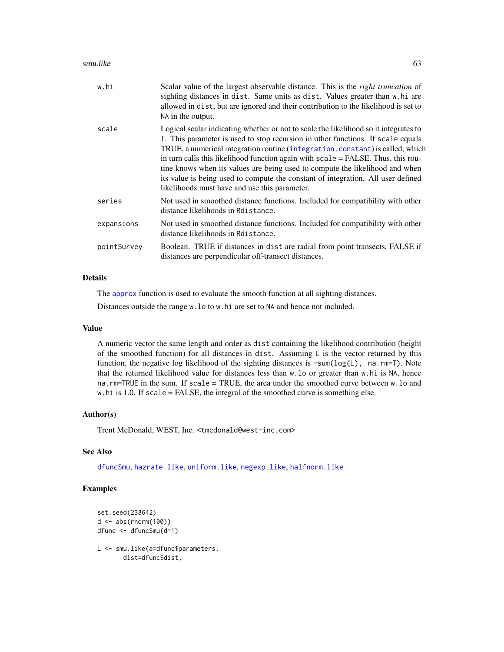#### smu.like 63

| w.hi        | Scalar value of the largest observable distance. This is the <i>right truncation</i> of<br>sighting distances in dist. Same units as dist. Values greater than w.hi are<br>allowed in dist, but are ignored and their contribution to the likelihood is set to<br>NA in the output.                                                                                                                                                                                                                                                                               |
|-------------|-------------------------------------------------------------------------------------------------------------------------------------------------------------------------------------------------------------------------------------------------------------------------------------------------------------------------------------------------------------------------------------------------------------------------------------------------------------------------------------------------------------------------------------------------------------------|
| scale       | Logical scalar indicating whether or not to scale the likelihood so it integrates to<br>1. This parameter is used to stop recursion in other functions. If scale equals<br>TRUE, a numerical integration routine (integration.constant) is called, which<br>in turn calls this likelihood function again with scale = FALSE. Thus, this rou-<br>tine knows when its values are being used to compute the likelihood and when<br>its value is being used to compute the constant of integration. All user defined<br>likelihoods must have and use this parameter. |
| series      | Not used in smoothed distance functions. Included for compatibility with other<br>distance likelihoods in Rdistance.                                                                                                                                                                                                                                                                                                                                                                                                                                              |
| expansions  | Not used in smoothed distance functions. Included for compatibility with other<br>distance likelihoods in Rdistance.                                                                                                                                                                                                                                                                                                                                                                                                                                              |
| pointSurvey | Boolean. TRUE if distances in dist are radial from point transects, FALSE if<br>distances are perpendicular off-transect distances.                                                                                                                                                                                                                                                                                                                                                                                                                               |

#### Details

The [approx](#page-0-0) function is used to evaluate the smooth function at all sighting distances.

Distances outside the range w.lo to w.hi are set to NA and hence not included.

#### Value

A numeric vector the same length and order as dist containing the likelihood contribution (height of the smoothed function) for all distances in dist. Assuming  $L$  is the vector returned by this function, the negative log likelihood of the sighting distances is  $\text{-sum}(\text{log}(L))$ , na.rm=T). Note that the returned likelihood value for distances less than w.lo or greater than w.hi is NA, hence na.rm=TRUE in the sum. If scale = TRUE, the area under the smoothed curve between w.lo and w.hi is 1.0. If scale = FALSE, the integral of the smoothed curve is something else.

#### Author(s)

Trent McDonald, WEST, Inc. <tmcdonald@west-inc.com>

## See Also

[dfuncSmu](#page-19-0), [hazrate.like](#page-43-0), [uniform.like](#page-69-0), [negexp.like](#page-48-0), [halfnorm.like](#page-40-0)

### Examples

```
set.seed(238642)
d <- abs(rnorm(100))
dfunc <- dfuncSmu(d~1)
```
L <- smu.like(a=dfunc\$parameters, dist=dfunc\$dist,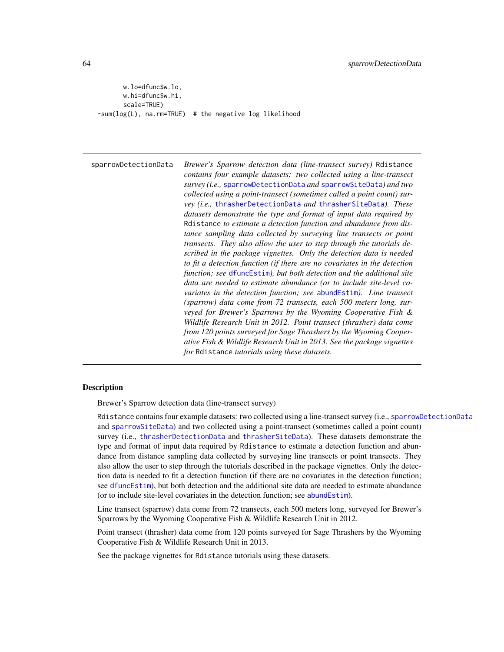```
w.lo=dfunc$w.lo,
      w.hi=dfunc$w.hi,
      scale=TRUE)
-sum(log(L), na.rm=TRUE) # the negative log likelihood
```
<span id="page-63-0"></span>sparrowDetectionData *Brewer's Sparrow detection data (line-transect survey)* Rdistance *contains four example datasets: two collected using a line-transect survey (i.e.,* [sparrowDetectionData](#page-63-0) *and* [sparrowSiteData](#page-64-0)*) and two collected using a point-transect (sometimes called a point count) survey (i.e.,* [thrasherDetectionData](#page-66-0) *and* [thrasherSiteData](#page-67-0)*). These datasets demonstrate the type and format of input data required by* Rdistance *to estimate a detection function and abundance from distance sampling data collected by surveying line transects or point transects. They also allow the user to step through the tutorials described in the package vignettes. Only the detection data is needed to fit a detection function (if there are no covariates in the detection function; see* [dfuncEstim](#page-14-0)*), but both detection and the additional site data are needed to estimate abundance (or to include site-level covariates in the detection function; see* [abundEstim](#page-4-0)*). Line transect (sparrow) data come from 72 transects, each 500 meters long, surveyed for Brewer's Sparrows by the Wyoming Cooperative Fish & Wildlife Research Unit in 2012. Point transect (thrasher) data come from 120 points surveyed for Sage Thrashers by the Wyoming Cooperative Fish & Wildlife Research Unit in 2013. See the package vignettes for* Rdistance *tutorials using these datasets.*

### **Description**

Brewer's Sparrow detection data (line-transect survey)

Rdistance contains four example datasets: two collected using a line-transect survey (i.e., [sparrowDetectionData](#page-63-0) and [sparrowSiteData](#page-64-0)) and two collected using a point-transect (sometimes called a point count) survey (i.e., [thrasherDetectionData](#page-66-0) and [thrasherSiteData](#page-67-0)). These datasets demonstrate the type and format of input data required by Rdistance to estimate a detection function and abundance from distance sampling data collected by surveying line transects or point transects. They also allow the user to step through the tutorials described in the package vignettes. Only the detection data is needed to fit a detection function (if there are no covariates in the detection function; see [dfuncEstim](#page-14-0)), but both detection and the additional site data are needed to estimate abundance (or to include site-level covariates in the detection function; see [abundEstim](#page-4-0)).

Line transect (sparrow) data come from 72 transects, each 500 meters long, surveyed for Brewer's Sparrows by the Wyoming Cooperative Fish & Wildlife Research Unit in 2012.

Point transect (thrasher) data come from 120 points surveyed for Sage Thrashers by the Wyoming Cooperative Fish & Wildlife Research Unit in 2013.

See the package vignettes for Rdistance tutorials using these datasets.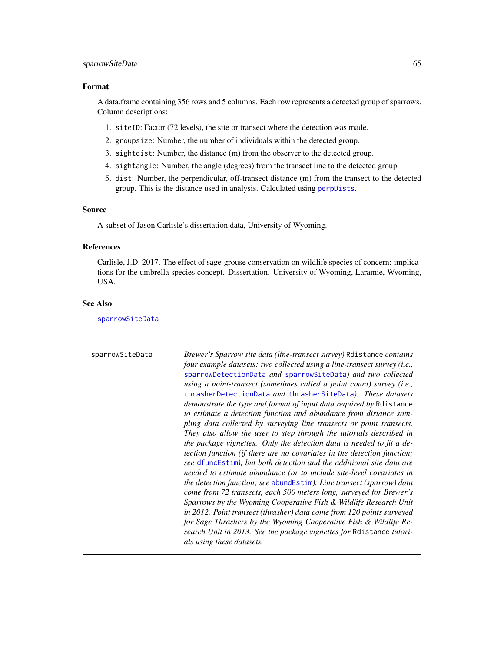### sparrowSiteData 65

#### Format

A data.frame containing 356 rows and 5 columns. Each row represents a detected group of sparrows. Column descriptions:

- 1. siteID: Factor (72 levels), the site or transect where the detection was made.
- 2. groupsize: Number, the number of individuals within the detected group.
- 3. sightdist: Number, the distance (m) from the observer to the detected group.
- 4. sightangle: Number, the angle (degrees) from the transect line to the detected group.
- 5. dist: Number, the perpendicular, off-transect distance (m) from the transect to the detected group. This is the distance used in analysis. Calculated using [perpDists](#page-50-0).

#### Source

A subset of Jason Carlisle's dissertation data, University of Wyoming.

#### References

Carlisle, J.D. 2017. The effect of sage-grouse conservation on wildlife species of concern: implications for the umbrella species concept. Dissertation. University of Wyoming, Laramie, Wyoming, USA.

### See Also

[sparrowSiteData](#page-64-0)

<span id="page-64-0"></span>sparrowSiteData *Brewer's Sparrow site data (line-transect survey)* Rdistance *contains four example datasets: two collected using a line-transect survey (i.e.,* [sparrowDetectionData](#page-63-0) *and* [sparrowSiteData](#page-64-0)*) and two collected using a point-transect (sometimes called a point count) survey (i.e.,* [thrasherDetectionData](#page-66-0) *and* [thrasherSiteData](#page-67-0)*). These datasets demonstrate the type and format of input data required by* Rdistance *to estimate a detection function and abundance from distance sampling data collected by surveying line transects or point transects. They also allow the user to step through the tutorials described in the package vignettes. Only the detection data is needed to fit a detection function (if there are no covariates in the detection function; see* [dfuncEstim](#page-14-0)*), but both detection and the additional site data are needed to estimate abundance (or to include site-level covariates in the detection function; see* [abundEstim](#page-4-0)*). Line transect (sparrow) data come from 72 transects, each 500 meters long, surveyed for Brewer's Sparrows by the Wyoming Cooperative Fish & Wildlife Research Unit in 2012. Point transect (thrasher) data come from 120 points surveyed for Sage Thrashers by the Wyoming Cooperative Fish & Wildlife Research Unit in 2013. See the package vignettes for* Rdistance *tutorials using these datasets.*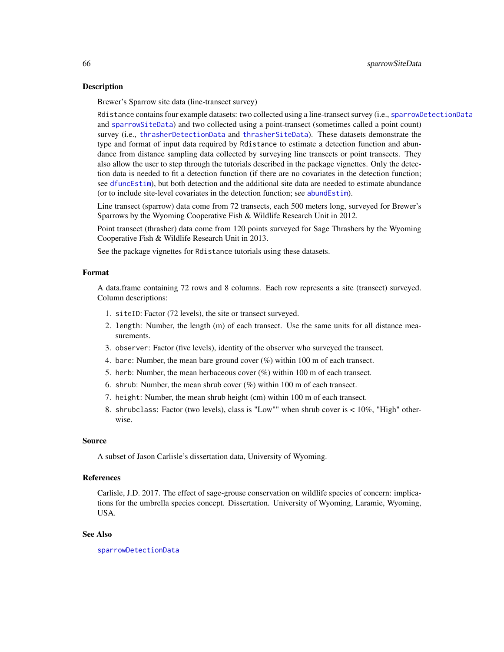#### Description

Brewer's Sparrow site data (line-transect survey)

Rdistance contains four example datasets: two collected using a line-transect survey (i.e., [sparrowDetectionData](#page-63-0) and [sparrowSiteData](#page-64-0)) and two collected using a point-transect (sometimes called a point count) survey (i.e., [thrasherDetectionData](#page-66-0) and [thrasherSiteData](#page-67-0)). These datasets demonstrate the type and format of input data required by Rdistance to estimate a detection function and abundance from distance sampling data collected by surveying line transects or point transects. They also allow the user to step through the tutorials described in the package vignettes. Only the detection data is needed to fit a detection function (if there are no covariates in the detection function; see [dfuncEstim](#page-14-0)), but both detection and the additional site data are needed to estimate abundance (or to include site-level covariates in the detection function; see [abundEstim](#page-4-0)).

Line transect (sparrow) data come from 72 transects, each 500 meters long, surveyed for Brewer's Sparrows by the Wyoming Cooperative Fish & Wildlife Research Unit in 2012.

Point transect (thrasher) data come from 120 points surveyed for Sage Thrashers by the Wyoming Cooperative Fish & Wildlife Research Unit in 2013.

See the package vignettes for Rdistance tutorials using these datasets.

#### Format

A data.frame containing 72 rows and 8 columns. Each row represents a site (transect) surveyed. Column descriptions:

- 1. siteID: Factor (72 levels), the site or transect surveyed.
- 2. length: Number, the length (m) of each transect. Use the same units for all distance measurements.
- 3. observer: Factor (five levels), identity of the observer who surveyed the transect.
- 4. bare: Number, the mean bare ground cover (%) within 100 m of each transect.
- 5. herb: Number, the mean herbaceous cover (%) within 100 m of each transect.
- 6. shrub: Number, the mean shrub cover (%) within 100 m of each transect.
- 7. height: Number, the mean shrub height (cm) within 100 m of each transect.
- 8. shrubclass: Factor (two levels), class is "Low"" when shrub cover is < 10%, "High" otherwise.

#### Source

A subset of Jason Carlisle's dissertation data, University of Wyoming.

#### References

Carlisle, J.D. 2017. The effect of sage-grouse conservation on wildlife species of concern: implications for the umbrella species concept. Dissertation. University of Wyoming, Laramie, Wyoming, USA.

#### See Also

[sparrowDetectionData](#page-63-0)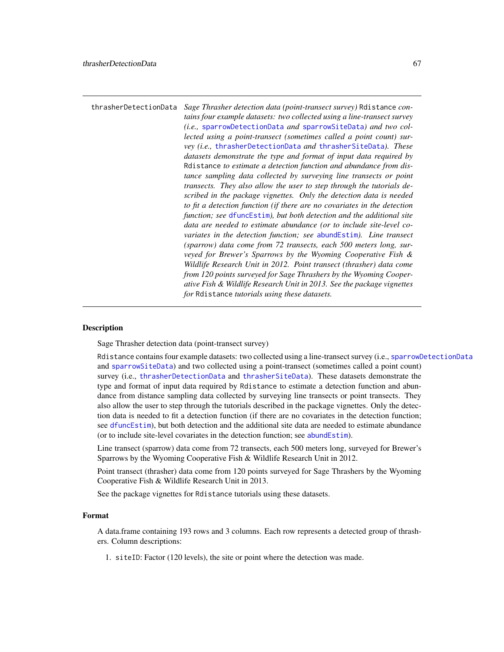<span id="page-66-0"></span>

| thrasherDetectionData | Sage Thrasher detection data (point-transect survey) Rdistance con-      |
|-----------------------|--------------------------------------------------------------------------|
|                       | tains four example datasets: two collected using a line-transect survey  |
|                       | <i>(i.e., sparrowDetectionData and sparrowSiteData) and two col-</i>     |
|                       | lected using a point-transect (sometimes called a point count) sur-      |
|                       | vey (i.e., thrasherDetectionData and thrasherSiteData). These            |
|                       | datasets demonstrate the type and format of input data required by       |
|                       | Relistance to estimate a detection function and abundance from dis-      |
|                       | tance sampling data collected by surveying line transects or point       |
|                       | transects. They also allow the user to step through the tutorials de-    |
|                       | scribed in the package vignettes. Only the detection data is needed      |
|                       | to fit a detection function (if there are no covariates in the detection |
|                       | function; see dfuncEstim), but both detection and the additional site    |
|                       | data are needed to estimate abundance (or to include site-level co-      |
|                       | variates in the detection function; see abundEstim). Line transect       |
|                       | (sparrow) data come from 72 transects, each 500 meters long, sur-        |
|                       | veyed for Brewer's Sparrows by the Wyoming Cooperative Fish &            |
|                       | Wildlife Research Unit in 2012. Point transect (thrasher) data come      |
|                       | from 120 points surveyed for Sage Thrashers by the Wyoming Cooper-       |
|                       | ative Fish & Wildlife Research Unit in 2013. See the package vignettes   |
|                       | for Rdistance tutorials using these datasets.                            |

### Description

Sage Thrasher detection data (point-transect survey)

Rdistance contains four example datasets: two collected using a line-transect survey (i.e., [sparrowDetectionData](#page-63-0) and [sparrowSiteData](#page-64-0)) and two collected using a point-transect (sometimes called a point count) survey (i.e., [thrasherDetectionData](#page-66-0) and [thrasherSiteData](#page-67-0)). These datasets demonstrate the type and format of input data required by Rdistance to estimate a detection function and abundance from distance sampling data collected by surveying line transects or point transects. They also allow the user to step through the tutorials described in the package vignettes. Only the detection data is needed to fit a detection function (if there are no covariates in the detection function; see [dfuncEstim](#page-14-0)), but both detection and the additional site data are needed to estimate abundance (or to include site-level covariates in the detection function; see [abundEstim](#page-4-0)).

Line transect (sparrow) data come from 72 transects, each 500 meters long, surveyed for Brewer's Sparrows by the Wyoming Cooperative Fish & Wildlife Research Unit in 2012.

Point transect (thrasher) data come from 120 points surveyed for Sage Thrashers by the Wyoming Cooperative Fish & Wildlife Research Unit in 2013.

See the package vignettes for Rdistance tutorials using these datasets.

## Format

A data.frame containing 193 rows and 3 columns. Each row represents a detected group of thrashers. Column descriptions:

1. siteID: Factor (120 levels), the site or point where the detection was made.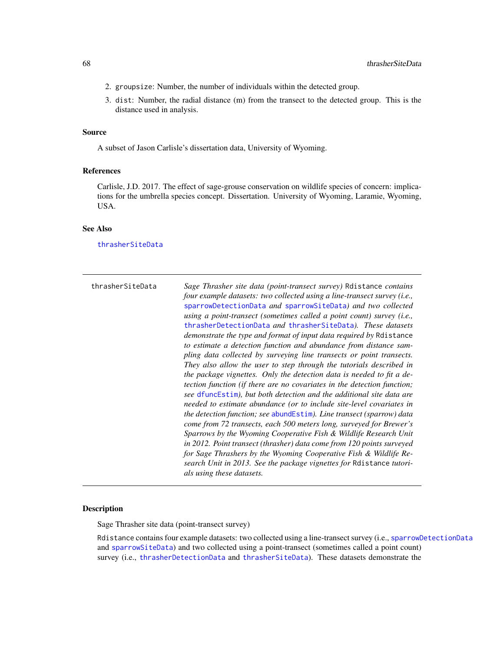- 2. groupsize: Number, the number of individuals within the detected group.
- 3. dist: Number, the radial distance (m) from the transect to the detected group. This is the distance used in analysis.

#### Source

A subset of Jason Carlisle's dissertation data, University of Wyoming.

#### References

Carlisle, J.D. 2017. The effect of sage-grouse conservation on wildlife species of concern: implications for the umbrella species concept. Dissertation. University of Wyoming, Laramie, Wyoming, USA.

## See Also

[thrasherSiteData](#page-67-0)

<span id="page-67-0"></span>

| thrasherSiteData | Sage Thrasher site data (point-transect survey) Relistance contains<br>four example datasets: two collected using a line-transect survey (i.e.,<br>sparrowDetectionData and sparrowSiteData) and two collected<br>using a point-transect (sometimes called a point count) survey (i.e.,<br>thrasherDetectionData and thrasherSiteData). These datasets<br><i>demonstrate the type and format of input data required by Rdistance</i><br>to estimate a detection function and abundance from distance sam-<br>pling data collected by surveying line transects or point transects.<br>They also allow the user to step through the tutorials described in<br>the package vignettes. Only the detection data is needed to fit a de-<br><i>tection function (if there are no covariates in the detection function;</i><br>see dfuncEstim), but both detection and the additional site data are<br>needed to estimate abundance (or to include site-level covariates in<br>the detection function; see abundEstim). Line transect (sparrow) data<br>come from 72 transects, each 500 meters long, surveyed for Brewer's<br>Sparrows by the Wyoming Cooperative Fish & Wildlife Research Unit<br>in 2012. Point transect (thrasher) data come from 120 points surveyed<br>for Sage Thrashers by the Wyoming Cooperative Fish & Wildlife Re- |
|------------------|----------------------------------------------------------------------------------------------------------------------------------------------------------------------------------------------------------------------------------------------------------------------------------------------------------------------------------------------------------------------------------------------------------------------------------------------------------------------------------------------------------------------------------------------------------------------------------------------------------------------------------------------------------------------------------------------------------------------------------------------------------------------------------------------------------------------------------------------------------------------------------------------------------------------------------------------------------------------------------------------------------------------------------------------------------------------------------------------------------------------------------------------------------------------------------------------------------------------------------------------------------------------------------------------------------------------------------------|
|                  | search Unit in 2013. See the package vignettes for Resistance tutori-<br>als using these datasets.                                                                                                                                                                                                                                                                                                                                                                                                                                                                                                                                                                                                                                                                                                                                                                                                                                                                                                                                                                                                                                                                                                                                                                                                                                     |

## Description

Sage Thrasher site data (point-transect survey)

Rdistance contains four example datasets: two collected using a line-transect survey (i.e., [sparrowDetectionData](#page-63-0) and [sparrowSiteData](#page-64-0)) and two collected using a point-transect (sometimes called a point count) survey (i.e., [thrasherDetectionData](#page-66-0) and [thrasherSiteData](#page-67-0)). These datasets demonstrate the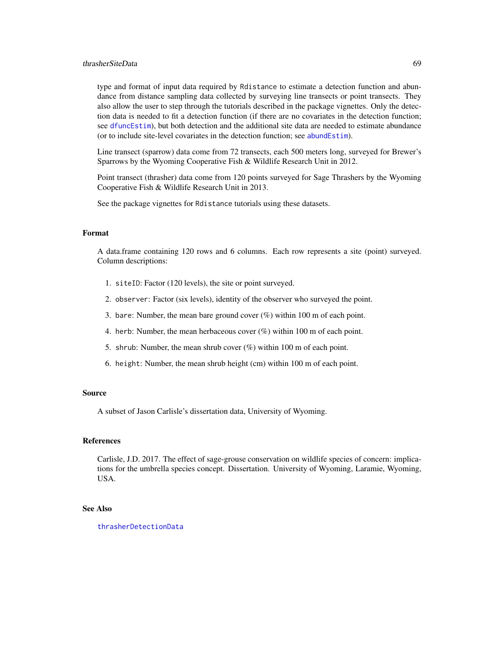## thrasherSiteData 69

type and format of input data required by Rdistance to estimate a detection function and abundance from distance sampling data collected by surveying line transects or point transects. They also allow the user to step through the tutorials described in the package vignettes. Only the detection data is needed to fit a detection function (if there are no covariates in the detection function; see [dfuncEstim](#page-14-0)), but both detection and the additional site data are needed to estimate abundance (or to include site-level covariates in the detection function; see [abundEstim](#page-4-0)).

Line transect (sparrow) data come from 72 transects, each 500 meters long, surveyed for Brewer's Sparrows by the Wyoming Cooperative Fish & Wildlife Research Unit in 2012.

Point transect (thrasher) data come from 120 points surveyed for Sage Thrashers by the Wyoming Cooperative Fish & Wildlife Research Unit in 2013.

See the package vignettes for Rdistance tutorials using these datasets.

## Format

A data.frame containing 120 rows and 6 columns. Each row represents a site (point) surveyed. Column descriptions:

- 1. siteID: Factor (120 levels), the site or point surveyed.
- 2. observer: Factor (six levels), identity of the observer who surveyed the point.
- 3. bare: Number, the mean bare ground cover (%) within 100 m of each point.
- 4. herb: Number, the mean herbaceous cover (%) within 100 m of each point.
- 5. shrub: Number, the mean shrub cover (%) within 100 m of each point.
- 6. height: Number, the mean shrub height (cm) within 100 m of each point.

#### Source

A subset of Jason Carlisle's dissertation data, University of Wyoming.

#### References

Carlisle, J.D. 2017. The effect of sage-grouse conservation on wildlife species of concern: implications for the umbrella species concept. Dissertation. University of Wyoming, Laramie, Wyoming, USA.

#### See Also

[thrasherDetectionData](#page-66-0)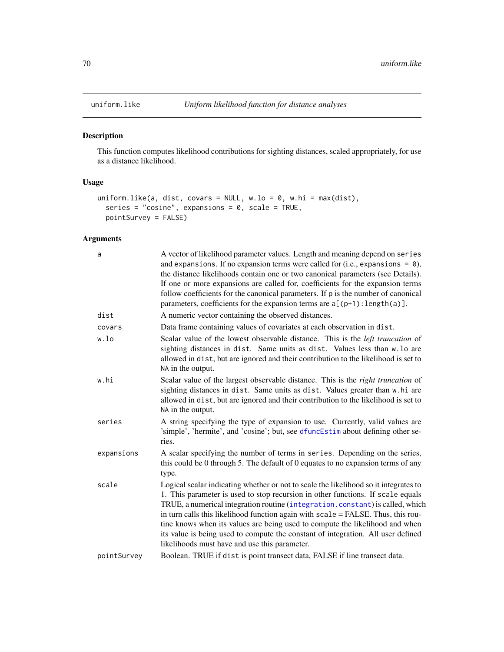<span id="page-69-0"></span>

## Description

This function computes likelihood contributions for sighting distances, scaled appropriately, for use as a distance likelihood.

## Usage

```
uniform.like(a, dist, covars = NULL, w.lo = 0, w.hi = max(dist),
  series = "cosine", expansions = 0, scale = TRUE,
 pointSurvey = FALSE)
```
## Arguments

| a           | A vector of likelihood parameter values. Length and meaning depend on series<br>and expansions. If no expansion terms were called for (i.e., expansions = $\theta$ ),<br>the distance likelihoods contain one or two canonical parameters (see Details).<br>If one or more expansions are called for, coefficients for the expansion terms<br>follow coefficients for the canonical parameters. If p is the number of canonical<br>parameters, coefficients for the expansion terms are $a[(p+1):length(a)].$                                                     |
|-------------|-------------------------------------------------------------------------------------------------------------------------------------------------------------------------------------------------------------------------------------------------------------------------------------------------------------------------------------------------------------------------------------------------------------------------------------------------------------------------------------------------------------------------------------------------------------------|
| dist        | A numeric vector containing the observed distances.                                                                                                                                                                                                                                                                                                                                                                                                                                                                                                               |
| covars      | Data frame containing values of covariates at each observation in dist.                                                                                                                                                                                                                                                                                                                                                                                                                                                                                           |
| w.lo        | Scalar value of the lowest observable distance. This is the <i>left truncation</i> of<br>sighting distances in dist. Same units as dist. Values less than w.lo are<br>allowed in dist, but are ignored and their contribution to the likelihood is set to<br>NA in the output.                                                                                                                                                                                                                                                                                    |
| w.hi        | Scalar value of the largest observable distance. This is the right truncation of<br>sighting distances in dist. Same units as dist. Values greater than w.hi are<br>allowed in dist, but are ignored and their contribution to the likelihood is set to<br>NA in the output.                                                                                                                                                                                                                                                                                      |
| series      | A string specifying the type of expansion to use. Currently, valid values are<br>'simple', 'hermite', and 'cosine'; but, see dfuncEstim about defining other se-<br>ries.                                                                                                                                                                                                                                                                                                                                                                                         |
| expansions  | A scalar specifying the number of terms in series. Depending on the series,<br>this could be 0 through 5. The default of 0 equates to no expansion terms of any<br>type.                                                                                                                                                                                                                                                                                                                                                                                          |
| scale       | Logical scalar indicating whether or not to scale the likelihood so it integrates to<br>1. This parameter is used to stop recursion in other functions. If scale equals<br>TRUE, a numerical integration routine (integration.constant) is called, which<br>in turn calls this likelihood function again with scale = FALSE. Thus, this rou-<br>tine knows when its values are being used to compute the likelihood and when<br>its value is being used to compute the constant of integration. All user defined<br>likelihoods must have and use this parameter. |
| pointSurvey | Boolean. TRUE if dist is point transect data, FALSE if line transect data.                                                                                                                                                                                                                                                                                                                                                                                                                                                                                        |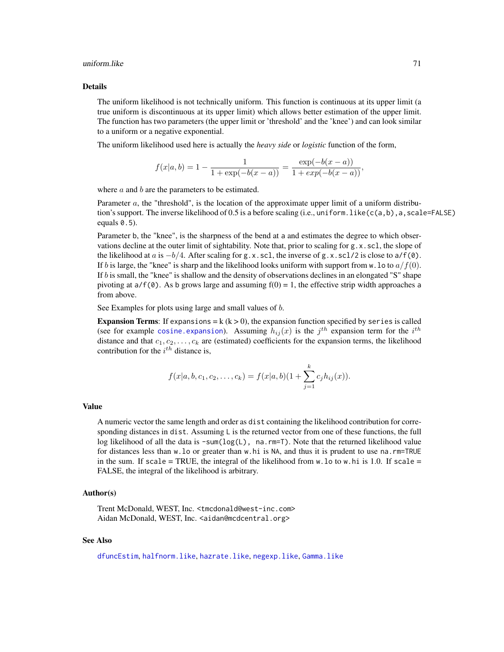#### uniform.like 71

#### Details

The uniform likelihood is not technically uniform. This function is continuous at its upper limit (a true uniform is discontinuous at its upper limit) which allows better estimation of the upper limit. The function has two parameters (the upper limit or 'threshold' and the 'knee') and can look similar to a uniform or a negative exponential.

The uniform likelihood used here is actually the *heavy side* or *logistic* function of the form,

$$
f(x|a, b) = 1 - \frac{1}{1 + \exp(-b(x - a))} = \frac{\exp(-b(x - a))}{1 + \exp(-b(x - a))},
$$

where  $a$  and  $b$  are the parameters to be estimated.

Parameter  $a$ , the "threshold", is the location of the approximate upper limit of a uniform distribution's support. The inverse likelihood of 0.5 is a before scaling (i.e., uniform. like(c(a,b), a, scale=FALSE) equals 0.5).

Parameter b, the "knee", is the sharpness of the bend at a and estimates the degree to which observations decline at the outer limit of sightability. Note that, prior to scaling for  $g.x$ , scl, the slope of the likelihood at a is  $-b/4$ . After scaling for g.x.scl, the inverse of g.x.scl/2 is close to a/f(0). If b is large, the "knee" is sharp and the likelihood looks uniform with support from w. lo to  $a/f(0)$ . If b is small, the "knee" is shallow and the density of observations declines in an elongated "S" shape pivoting at  $a/f(0)$ . As b grows large and assuming  $f(0) = 1$ , the effective strip width approaches a from above.

See Examples for plots using large and small values of b.

**Expansion Terms:** If expansions =  $k$  ( $k > 0$ ), the expansion function specified by series is called (see for example cosine. expansion). Assuming  $h_{ij}(x)$  is the  $j^{th}$  expansion term for the  $i^{th}$ distance and that  $c_1, c_2, \ldots, c_k$  are (estimated) coefficients for the expansion terms, the likelihood contribution for the  $i^{th}$  distance is,

$$
f(x|a, b, c_1, c_2, \ldots, c_k) = f(x|a, b)(1 + \sum_{j=1}^k c_j h_{ij}(x)).
$$

### Value

A numeric vector the same length and order as dist containing the likelihood contribution for corresponding distances in dist. Assuming  $L$  is the returned vector from one of these functions, the full log likelihood of all the data is -sum(log(L), na.rm=T). Note that the returned likelihood value for distances less than w.lo or greater than w.hi is NA, and thus it is prudent to use na.rm=TRUE in the sum. If scale = TRUE, the integral of the likelihood from  $w \cdot$  lo to  $w \cdot h$  is 1.0. If scale = FALSE, the integral of the likelihood is arbitrary.

#### Author(s)

Trent McDonald, WEST, Inc. <tmcdonald@west-inc.com> Aidan McDonald, WEST, Inc. <aidan@mcdcentral.org>

#### See Also

[dfuncEstim](#page-14-0), [halfnorm.like](#page-40-0), [hazrate.like](#page-43-0), [negexp.like](#page-48-0), [Gamma.like](#page-37-0)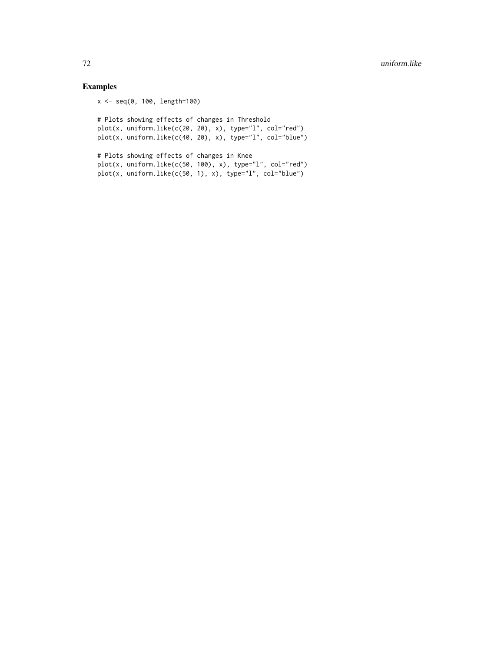# Examples

```
x <- seq(0, 100, length=100)
```
# Plots showing effects of changes in Threshold plot(x, uniform.like(c(20, 20), x), type="l", col="red") plot(x, uniform.like(c(40, 20), x), type="l", col="blue")

```
# Plots showing effects of changes in Knee
plot(x, uniformuike(c(50, 100), x), type="1", col="red")plot(x, uniformuike(c(50, 1), x), type="1", col="blue")
```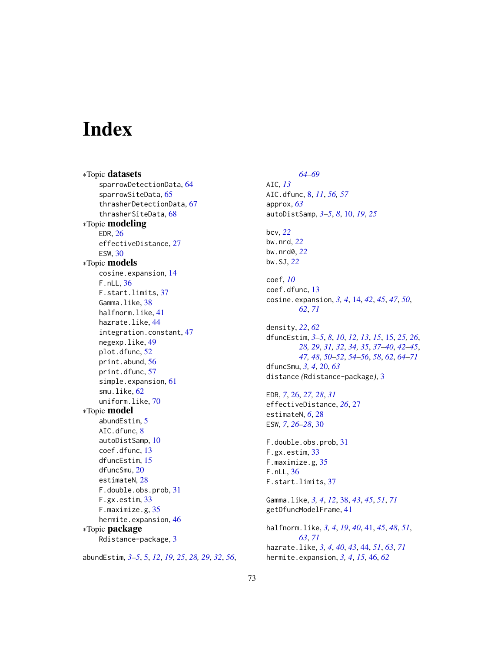## Index

∗Topic datasets sparrowDetectionData, [64](#page-63-0) sparrowSiteData, [65](#page-64-0) thrasherDetectionData, [67](#page-66-0) thrasherSiteData, [68](#page-67-0) ∗Topic modeling EDR, [26](#page-25-0) effectiveDistance, [27](#page-26-0) ESW, [30](#page-29-0) ∗Topic models cosine.expansion, [14](#page-13-0) F.nLL, [36](#page-35-0) F.start.limits, [37](#page-36-0) Gamma.like, [38](#page-37-0) halfnorm.like, [41](#page-40-0) hazrate.like, [44](#page-43-0) integration.constant, [47](#page-46-0) negexp.like, [49](#page-48-0) plot.dfunc, [52](#page-51-0) print.abund, [56](#page-55-0) print.dfunc, [57](#page-56-0) simple.expansion, [61](#page-60-0) smu.like, [62](#page-61-0) uniform.like, [70](#page-69-0) ∗Topic model abundEstim, [5](#page-4-0) AIC.dfunc, [8](#page-7-0) autoDistSamp, [10](#page-9-0) coef.dfunc, [13](#page-12-0) dfuncEstim, [15](#page-14-0) dfuncSmu, [20](#page-19-0) estimateN, [28](#page-27-0) F.double.obs.prob, [31](#page-30-0) F.gx.estim, [33](#page-32-0) F.maximize.g, [35](#page-34-0) hermite.expansion, [46](#page-45-0) ∗Topic package Rdistance-package, [3](#page-2-0)

abundEstim, *[3](#page-2-0)[–5](#page-4-0)*, [5,](#page-4-0) *[12](#page-11-0)*, *[19](#page-18-0)*, *[25](#page-24-0)*, *[28,](#page-27-0) [29](#page-28-0)*, *[32](#page-31-0)*, *[56](#page-55-0)*,

*[64](#page-63-0)[–69](#page-68-0)* AIC, *[13](#page-12-0)* AIC.dfunc, [8,](#page-7-0) *[11](#page-10-0)*, *[56,](#page-55-0) [57](#page-56-0)* approx, *[63](#page-62-0)* autoDistSamp, *[3](#page-2-0)[–5](#page-4-0)*, *[8](#page-7-0)*, [10,](#page-9-0) *[19](#page-18-0)*, *[25](#page-24-0)* bcv, *[22](#page-21-0)* bw.nrd, *[22](#page-21-0)* bw.nrd0, *[22](#page-21-0)* bw.SJ, *[22](#page-21-0)* coef, *[10](#page-9-0)* coef.dfunc, [13](#page-12-0) cosine.expansion, *[3,](#page-2-0) [4](#page-3-0)*, [14,](#page-13-0) *[42](#page-41-0)*, *[45](#page-44-0)*, *[47](#page-46-0)*, *[50](#page-49-0)*, *[62](#page-61-0)*, *[71](#page-70-0)* density, *[22](#page-21-0)*, *[62](#page-61-0)* dfuncEstim, *[3](#page-2-0)[–5](#page-4-0)*, *[8](#page-7-0)*, *[10](#page-9-0)*, *[12,](#page-11-0) [13](#page-12-0)*, *[15](#page-14-0)*, [15,](#page-14-0) *[25,](#page-24-0) [26](#page-25-0)*, *[28,](#page-27-0) [29](#page-28-0)*, *[31,](#page-30-0) [32](#page-31-0)*, *[34,](#page-33-0) [35](#page-34-0)*, *[37](#page-36-0)[–40](#page-39-0)*, *[42](#page-41-0)[–45](#page-44-0)*, *[47,](#page-46-0) [48](#page-47-0)*, *[50](#page-49-0)[–52](#page-51-0)*, *[54](#page-53-0)[–56](#page-55-0)*, *[58](#page-57-0)*, *[62](#page-61-0)*, *[64](#page-63-0)[–71](#page-70-0)* dfuncSmu, *[3,](#page-2-0) [4](#page-3-0)*, [20,](#page-19-0) *[63](#page-62-0)* distance *(*Rdistance-package*)*, [3](#page-2-0) EDR, *[7](#page-6-0)*, [26,](#page-25-0) *[27,](#page-26-0) [28](#page-27-0)*, *[31](#page-30-0)* effectiveDistance, *[26](#page-25-0)*, [27](#page-26-0) estimateN, *[6](#page-5-0)*, [28](#page-27-0) ESW, *[7](#page-6-0)*, *[26](#page-25-0)[–28](#page-27-0)*, [30](#page-29-0) F.double.obs.prob, [31](#page-30-0) F.gx.estim, [33](#page-32-0) F.maximize.g, [35](#page-34-0) F.nLL, [36](#page-35-0) F.start.limits, [37](#page-36-0) Gamma.like, *[3,](#page-2-0) [4](#page-3-0)*, *[12](#page-11-0)*, [38,](#page-37-0) *[43](#page-42-0)*, *[45](#page-44-0)*, *[51](#page-50-0)*, *[71](#page-70-0)* getDfuncModelFrame, [41](#page-40-0) halfnorm.like, *[3,](#page-2-0) [4](#page-3-0)*, *[19](#page-18-0)*, *[40](#page-39-0)*, [41,](#page-40-0) *[45](#page-44-0)*, *[48](#page-47-0)*, *[51](#page-50-0)*, *[63](#page-62-0)*, *[71](#page-70-0)* hazrate.like, *[3,](#page-2-0) [4](#page-3-0)*, *[40](#page-39-0)*, *[43](#page-42-0)*, [44,](#page-43-0) *[51](#page-50-0)*, *[63](#page-62-0)*, *[71](#page-70-0)* hermite.expansion, *[3,](#page-2-0) [4](#page-3-0)*, *[15](#page-14-0)*, [46,](#page-45-0) *[62](#page-61-0)*